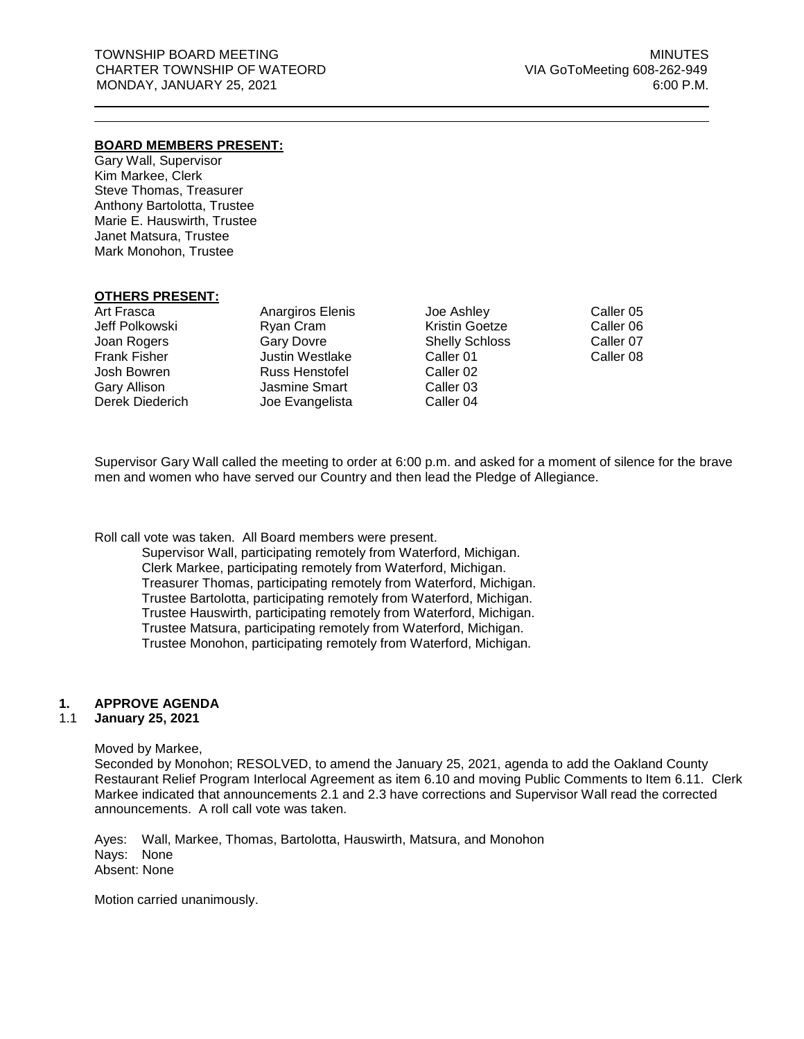# **BOARD MEMBERS PRESENT:**

Gary Wall, Supervisor Kim Markee, Clerk Steve Thomas, Treasurer Anthony Bartolotta, Trustee Marie E. Hauswirth, Trustee Janet Matsura, Trustee Mark Monohon, Trustee

#### **OTHERS PRESENT:**

Art Frasca Jeff Polkowski Joan Rogers Frank Fisher Josh Bowren Gary Allison Derek Diederich

Anargiros Elenis Ryan Cram Gary Dovre Justin Westlake Russ Henstofel Jasmine Smart Joe Evangelista

Joe Ashley Kristin Goetze Shelly Schloss Caller 01 Caller 02 Caller 03 Caller 04

Caller 05 Caller 06 Caller 07 Caller 08

Supervisor Gary Wall called the meeting to order at 6:00 p.m. and asked for a moment of silence for the brave men and women who have served our Country and then lead the Pledge of Allegiance.

Roll call vote was taken. All Board members were present.

Supervisor Wall, participating remotely from Waterford, Michigan. Clerk Markee, participating remotely from Waterford, Michigan. Treasurer Thomas, participating remotely from Waterford, Michigan. Trustee Bartolotta, participating remotely from Waterford, Michigan. Trustee Hauswirth, participating remotely from Waterford, Michigan. Trustee Matsura, participating remotely from Waterford, Michigan. Trustee Monohon, participating remotely from Waterford, Michigan.

#### **1. APPROVE AGENDA**

#### 1.1 **January 25, 2021**

Moved by Markee,

Seconded by Monohon; RESOLVED, to amend the January 25, 2021, agenda to add the Oakland County Restaurant Relief Program Interlocal Agreement as item 6.10 and moving Public Comments to Item 6.11. Clerk Markee indicated that announcements 2.1 and 2.3 have corrections and Supervisor Wall read the corrected announcements. A roll call vote was taken.

Ayes: Wall, Markee, Thomas, Bartolotta, Hauswirth, Matsura, and Monohon Nays: None Absent: None

Motion carried unanimously.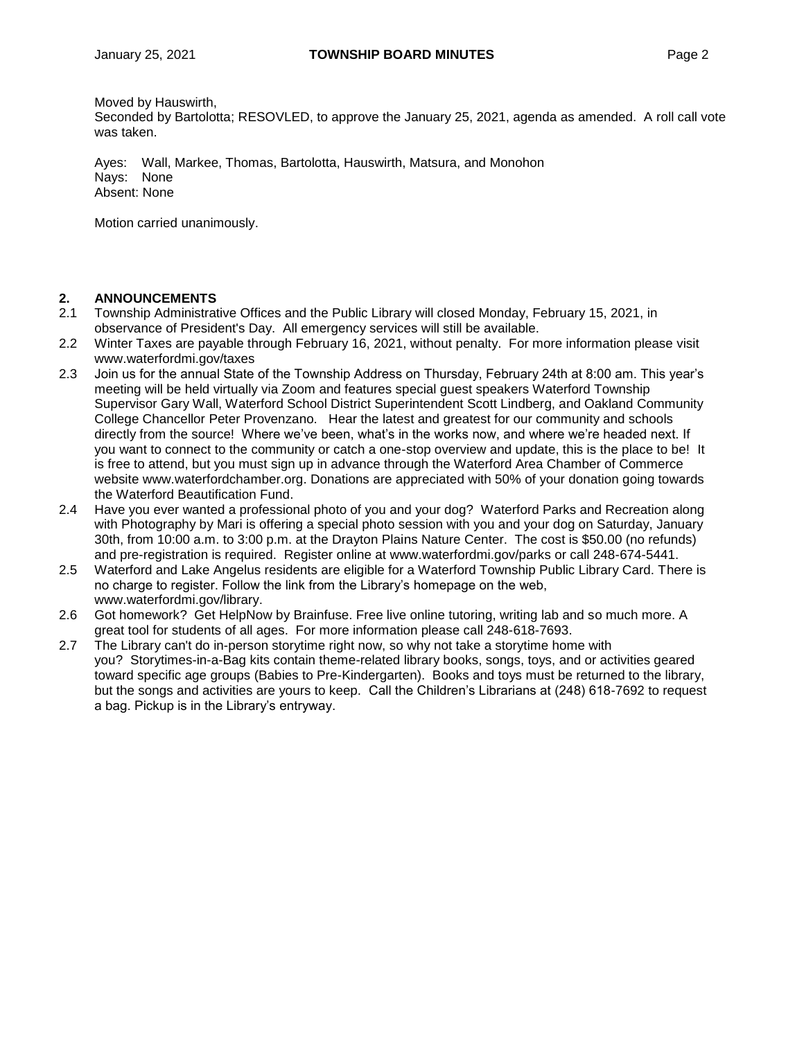Moved by Hauswirth,

Seconded by Bartolotta; RESOVLED, to approve the January 25, 2021, agenda as amended. A roll call vote was taken.

Ayes: Wall, Markee, Thomas, Bartolotta, Hauswirth, Matsura, and Monohon Nays: None Absent: None

Motion carried unanimously.

# **2. ANNOUNCEMENTS**

- 2.1 Township Administrative Offices and the Public Library will closed Monday, February 15, 2021, in observance of President's Day. All emergency services will still be available.
- 2.2 Winter Taxes are payable through February 16, 2021, without penalty. For more information please visit [www.waterfordmi.gov/taxes](http://www.waterfordmi.gov/taxes)
- 2.3 Join us for the annual State of the Township Address on Thursday, February 24th at 8:00 am. This year's meeting will be held virtually via Zoom and features special guest speakers Waterford Township Supervisor Gary Wall, Waterford School District Superintendent Scott Lindberg, and Oakland Community College Chancellor Peter Provenzano. Hear the latest and greatest for our community and schools directly from the source! Where we've been, what's in the works now, and where we're headed next. If you want to connect to the community or catch a one-stop overview and update, this is the place to be! It is free to attend, but you must sign up in advance through the Waterford Area Chamber of Commerce website [www.waterfordchamber.org.](http://www.waterfordchamber.org/) Donations are appreciated with 50% of your donation going towards the Waterford Beautification Fund.
- 2.4 Have you ever wanted a professional photo of you and your dog? Waterford Parks and Recreation along with Photography by Mari is offering a special photo session with you and your dog on Saturday, January 30th, from 10:00 a.m. to 3:00 p.m. at the Drayton Plains Nature Center. The cost is \$50.00 (no refunds) and pre-registration is required. Register online at www.waterfordmi.gov/parks or call 248-674-5441.
- 2.5 Waterford and Lake Angelus residents are eligible for a Waterford Township Public Library Card. There is no charge to register. Follow the link from the Library's homepage on the web, [www.waterfordmi.gov/library.](http://www.waterfordmi.gov/library)
- 2.6 Got homework? Get HelpNow by Brainfuse. Free live online tutoring, writing lab and so much more. A great tool for students of all ages. For more information please call 248-618-7693.
- 2.7 The Library can't do in-person storytime right now, so why not take a storytime home with you? Storytimes-in-a-Bag kits contain theme-related library books, songs, toys, and or activities geared toward specific age groups (Babies to Pre-Kindergarten). Books and toys must be returned to the library, but the songs and activities are yours to keep. Call the Children's Librarians at (248) 618-7692 to request a bag. Pickup is in the Library's entryway.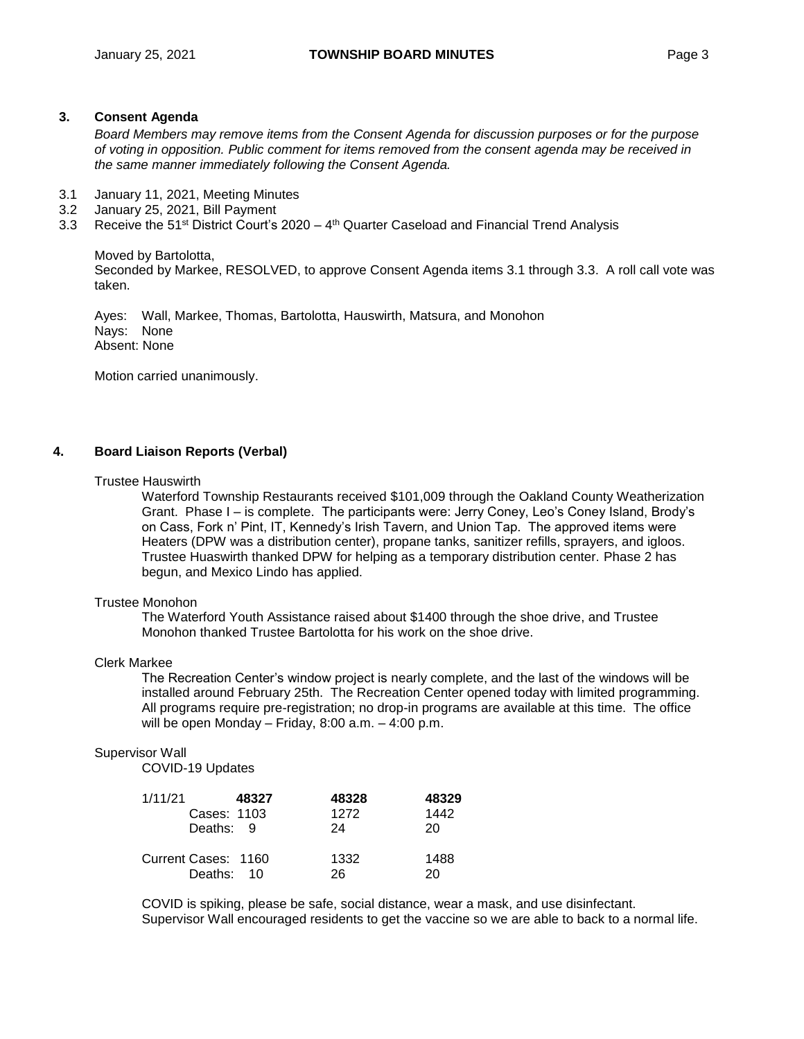### **3. Consent Agenda**

*Board Members may remove items from the Consent Agenda for discussion purposes or for the purpose of voting in opposition. Public comment for items removed from the consent agenda may be received in the same manner immediately following the Consent Agenda.*

- 3.1 January 11, 2021, Meeting Minutes
- 3.2 January 25, 2021, Bill Payment
- 3.3 Receive the 51<sup>st</sup> District Court's 2020 4<sup>th</sup> Quarter Caseload and Financial Trend Analysis

#### Moved by Bartolotta,

Seconded by Markee, RESOLVED, to approve Consent Agenda items 3.1 through 3.3. A roll call vote was taken.

Ayes: Wall, Markee, Thomas, Bartolotta, Hauswirth, Matsura, and Monohon Nays: None Absent: None

Motion carried unanimously.

# **4. Board Liaison Reports (Verbal)**

#### Trustee Hauswirth

Waterford Township Restaurants received \$101,009 through the Oakland County Weatherization Grant. Phase I – is complete. The participants were: Jerry Coney, Leo's Coney Island, Brody's on Cass, Fork n' Pint, IT, Kennedy's Irish Tavern, and Union Tap. The approved items were Heaters (DPW was a distribution center), propane tanks, sanitizer refills, sprayers, and igloos. Trustee Huaswirth thanked DPW for helping as a temporary distribution center. Phase 2 has begun, and Mexico Lindo has applied.

#### Trustee Monohon

The Waterford Youth Assistance raised about \$1400 through the shoe drive, and Trustee Monohon thanked Trustee Bartolotta for his work on the shoe drive.

#### Clerk Markee

The Recreation Center's window project is nearly complete, and the last of the windows will be installed around February 25th. The Recreation Center opened today with limited programming. All programs require pre-registration; no drop-in programs are available at this time. The office will be open Monday – Friday, 8:00 a.m. – 4:00 p.m.

#### Supervisor Wall

COVID-19 Updates

| 1/11/21             | 48327       | 48328 | 48329 |
|---------------------|-------------|-------|-------|
|                     | Cases: 1103 | 1272  | 1442  |
|                     | Deaths: 9   | 24    | 20    |
| Current Cases: 1160 |             | 1332  | 1488  |
|                     | Deaths: 10  | 26    | 20    |

COVID is spiking, please be safe, social distance, wear a mask, and use disinfectant. Supervisor Wall encouraged residents to get the vaccine so we are able to back to a normal life.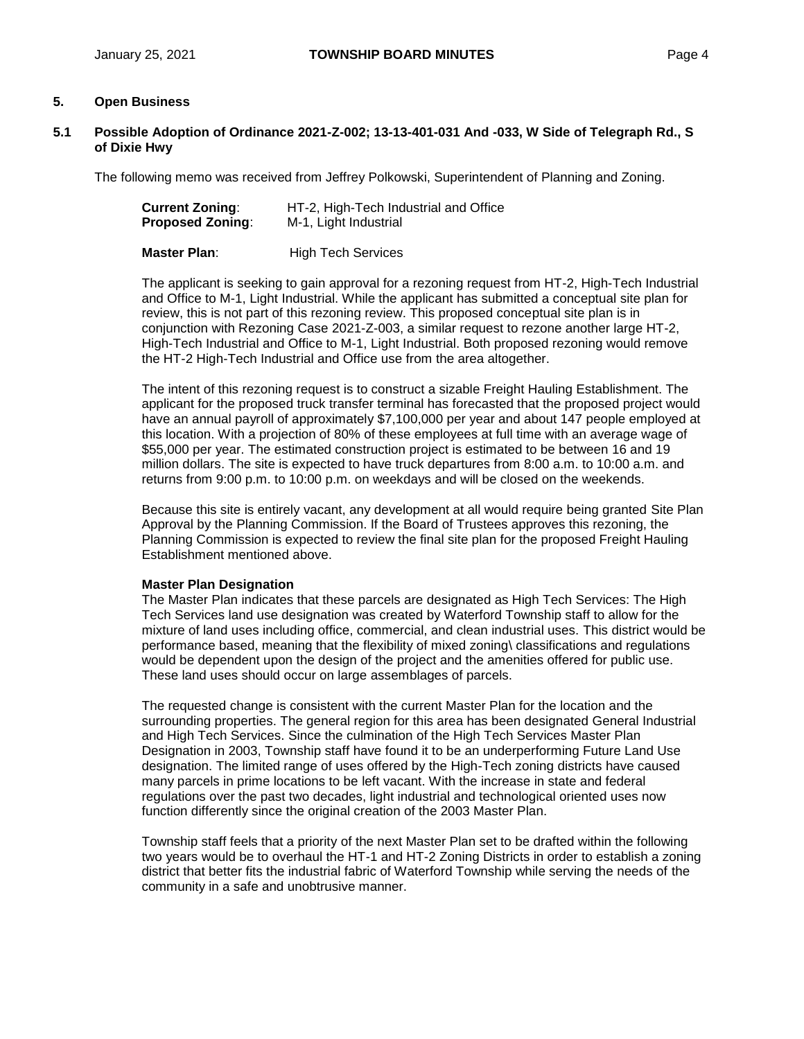# **5. Open Business**

**5.1 Possible Adoption of Ordinance 2021-Z-002; 13-13-401-031 And -033, W Side of Telegraph Rd., S of Dixie Hwy**

The following memo was received from Jeffrey Polkowski, Superintendent of Planning and Zoning.

| <b>Current Zoning:</b>  | HT-2, High-Tech Industrial and Office |
|-------------------------|---------------------------------------|
| <b>Proposed Zoning:</b> | M-1, Light Industrial                 |
| Master Plan:            | <b>High Tech Services</b>             |

The applicant is seeking to gain approval for a rezoning request from HT-2, High-Tech Industrial and Office to M-1, Light Industrial. While the applicant has submitted a conceptual site plan for review, this is not part of this rezoning review. This proposed conceptual site plan is in conjunction with Rezoning Case 2021-Z-003, a similar request to rezone another large HT-2, High-Tech Industrial and Office to M-1, Light Industrial. Both proposed rezoning would remove the HT-2 High-Tech Industrial and Office use from the area altogether.

The intent of this rezoning request is to construct a sizable Freight Hauling Establishment. The applicant for the proposed truck transfer terminal has forecasted that the proposed project would have an annual payroll of approximately \$7,100,000 per year and about 147 people employed at this location. With a projection of 80% of these employees at full time with an average wage of \$55,000 per year. The estimated construction project is estimated to be between 16 and 19 million dollars. The site is expected to have truck departures from 8:00 a.m. to 10:00 a.m. and returns from 9:00 p.m. to 10:00 p.m. on weekdays and will be closed on the weekends.

Because this site is entirely vacant, any development at all would require being granted Site Plan Approval by the Planning Commission. If the Board of Trustees approves this rezoning, the Planning Commission is expected to review the final site plan for the proposed Freight Hauling Establishment mentioned above.

#### **Master Plan Designation**

The Master Plan indicates that these parcels are designated as High Tech Services: The High Tech Services land use designation was created by Waterford Township staff to allow for the mixture of land uses including office, commercial, and clean industrial uses. This district would be performance based, meaning that the flexibility of mixed zoning\ classifications and regulations would be dependent upon the design of the project and the amenities offered for public use. These land uses should occur on large assemblages of parcels.

The requested change is consistent with the current Master Plan for the location and the surrounding properties. The general region for this area has been designated General Industrial and High Tech Services. Since the culmination of the High Tech Services Master Plan Designation in 2003, Township staff have found it to be an underperforming Future Land Use designation. The limited range of uses offered by the High-Tech zoning districts have caused many parcels in prime locations to be left vacant. With the increase in state and federal regulations over the past two decades, light industrial and technological oriented uses now function differently since the original creation of the 2003 Master Plan.

Township staff feels that a priority of the next Master Plan set to be drafted within the following two years would be to overhaul the HT-1 and HT-2 Zoning Districts in order to establish a zoning district that better fits the industrial fabric of Waterford Township while serving the needs of the community in a safe and unobtrusive manner.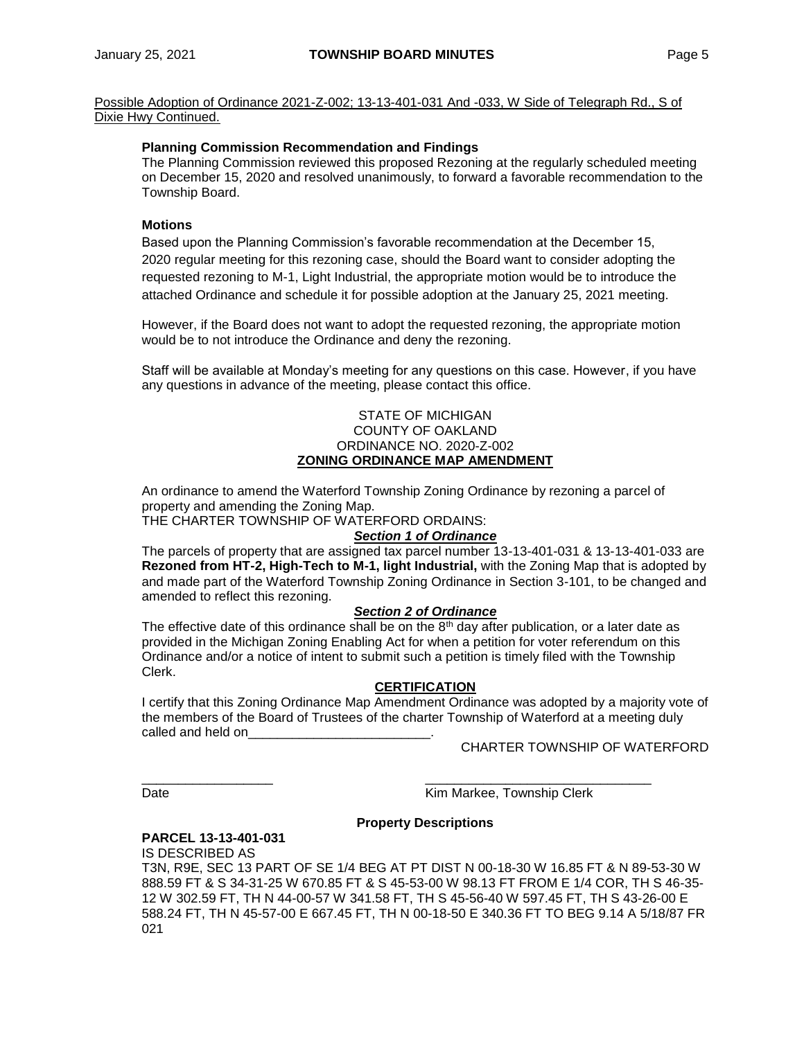Possible Adoption of Ordinance 2021-Z-002; 13-13-401-031 And -033, W Side of Telegraph Rd., S of Dixie Hwy Continued.

#### **Planning Commission Recommendation and Findings**

The Planning Commission reviewed this proposed Rezoning at the regularly scheduled meeting on December 15, 2020 and resolved unanimously, to forward a favorable recommendation to the Township Board.

# **Motions**

Based upon the Planning Commission's favorable recommendation at the December 15, 2020 regular meeting for this rezoning case, should the Board want to consider adopting the requested rezoning to M-1, Light Industrial, the appropriate motion would be to introduce the attached Ordinance and schedule it for possible adoption at the January 25, 2021 meeting.

However, if the Board does not want to adopt the requested rezoning, the appropriate motion would be to not introduce the Ordinance and deny the rezoning.

Staff will be available at Monday's meeting for any questions on this case. However, if you have any questions in advance of the meeting, please contact this office.

#### STATE OF MICHIGAN COUNTY OF OAKLAND ORDINANCE NO. 2020-Z-002 **ZONING ORDINANCE MAP AMENDMENT**

An ordinance to amend the Waterford Township Zoning Ordinance by rezoning a parcel of property and amending the Zoning Map.

THE CHARTER TOWNSHIP OF WATERFORD ORDAINS:

#### *Section 1 of Ordinance*

The parcels of property that are assigned tax parcel number 13-13-401-031 & 13-13-401-033 are **Rezoned from HT-2, High-Tech to M-1, light Industrial,** with the Zoning Map that is adopted by and made part of the Waterford Township Zoning Ordinance in Section 3-101, to be changed and amended to reflect this rezoning.

#### *Section 2 of Ordinance*

The effective date of this ordinance shall be on the  $8<sup>th</sup>$  day after publication, or a later date as provided in the Michigan Zoning Enabling Act for when a petition for voter referendum on this Ordinance and/or a notice of intent to submit such a petition is timely filed with the Township Clerk.

#### **CERTIFICATION**

I certify that this Zoning Ordinance Map Amendment Ordinance was adopted by a majority vote of the members of the Board of Trustees of the charter Township of Waterford at a meeting duly called and held on

CHARTER TOWNSHIP OF WATERFORD

\_\_\_\_\_\_\_\_\_\_\_\_\_\_\_\_\_\_ \_\_\_\_\_\_\_\_\_\_\_\_\_\_\_\_\_\_\_\_\_\_\_\_\_\_\_\_\_\_\_ Date **Date Contract Contract Contract Contract Contract Contract Contract Contract Contract Contract Contract Contract Contract Contract Contract Contract Contract Contract Contract Contract Contract Contract Contract Co** 

### **Property Descriptions**

#### **PARCEL 13-13-401-031**

IS DESCRIBED AS T3N, R9E, SEC 13 PART OF SE 1/4 BEG AT PT DIST N 00-18-30 W 16.85 FT & N 89-53-30 W 888.59 FT & S 34-31-25 W 670.85 FT & S 45-53-00 W 98.13 FT FROM E 1/4 COR, TH S 46-35- 12 W 302.59 FT, TH N 44-00-57 W 341.58 FT, TH S 45-56-40 W 597.45 FT, TH S 43-26-00 E 588.24 FT, TH N 45-57-00 E 667.45 FT, TH N 00-18-50 E 340.36 FT TO BEG 9.14 A 5/18/87 FR 021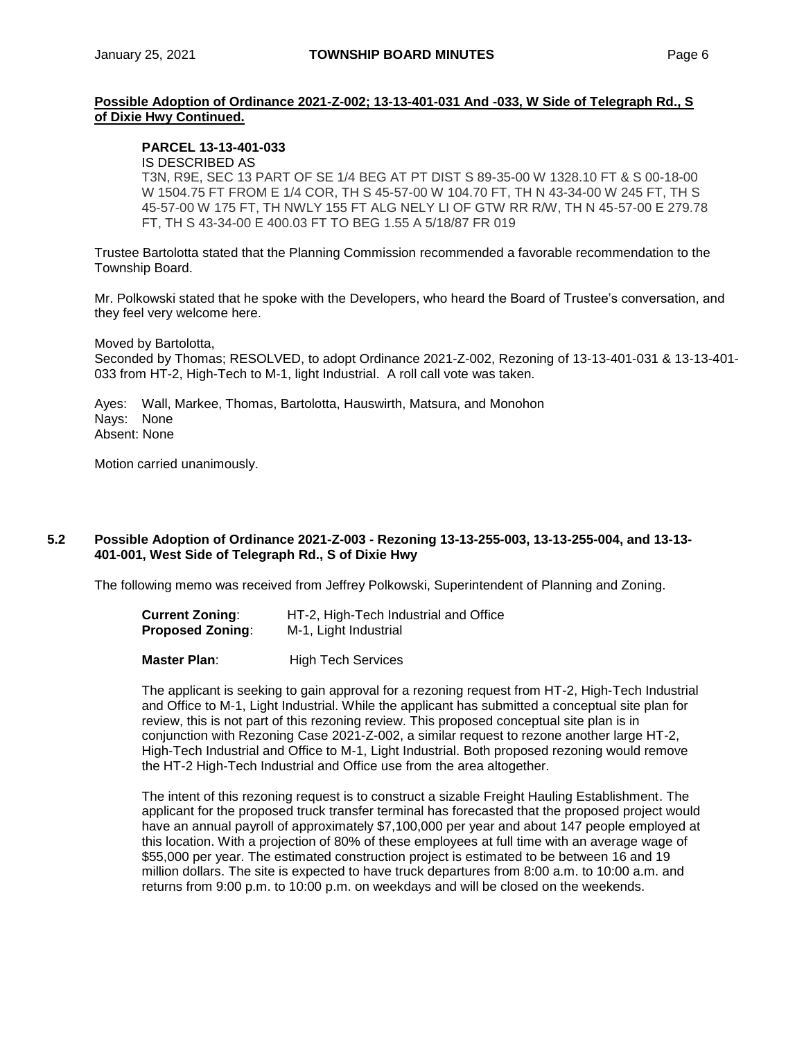# **Possible Adoption of Ordinance 2021-Z-002; 13-13-401-031 And -033, W Side of Telegraph Rd., S of Dixie Hwy Continued.**

## **PARCEL 13-13-401-033**

#### IS DESCRIBED AS

T3N, R9E, SEC 13 PART OF SE 1/4 BEG AT PT DIST S 89-35-00 W 1328.10 FT & S 00-18-00 W 1504.75 FT FROM E 1/4 COR, TH S 45-57-00 W 104.70 FT, TH N 43-34-00 W 245 FT, TH S 45-57-00 W 175 FT, TH NWLY 155 FT ALG NELY LI OF GTW RR R/W, TH N 45-57-00 E 279.78 FT, TH S 43-34-00 E 400.03 FT TO BEG 1.55 A 5/18/87 FR 019

Trustee Bartolotta stated that the Planning Commission recommended a favorable recommendation to the Township Board.

Mr. Polkowski stated that he spoke with the Developers, who heard the Board of Trustee's conversation, and they feel very welcome here.

Moved by Bartolotta,

Seconded by Thomas; RESOLVED, to adopt Ordinance 2021-Z-002, Rezoning of 13-13-401-031 & 13-13-401- 033 from HT-2, High-Tech to M-1, light Industrial. A roll call vote was taken.

Ayes: Wall, Markee, Thomas, Bartolotta, Hauswirth, Matsura, and Monohon Nays: None Absent: None

Motion carried unanimously.

#### **5.2 Possible Adoption of Ordinance 2021-Z-003 - Rezoning 13-13-255-003, 13-13-255-004, and 13-13- 401-001, West Side of Telegraph Rd., S of Dixie Hwy**

The following memo was received from Jeffrey Polkowski, Superintendent of Planning and Zoning.

| <b>Current Zoning:</b>  | HT-2, High-Tech Industrial and Office |
|-------------------------|---------------------------------------|
| <b>Proposed Zoning:</b> | M-1, Light Industrial                 |

**Master Plan:** High Tech Services

The applicant is seeking to gain approval for a rezoning request from HT-2, High-Tech Industrial and Office to M-1, Light Industrial. While the applicant has submitted a conceptual site plan for review, this is not part of this rezoning review. This proposed conceptual site plan is in conjunction with Rezoning Case 2021-Z-002, a similar request to rezone another large HT-2, High-Tech Industrial and Office to M-1, Light Industrial. Both proposed rezoning would remove the HT-2 High-Tech Industrial and Office use from the area altogether.

The intent of this rezoning request is to construct a sizable Freight Hauling Establishment. The applicant for the proposed truck transfer terminal has forecasted that the proposed project would have an annual payroll of approximately \$7,100,000 per year and about 147 people employed at this location. With a projection of 80% of these employees at full time with an average wage of \$55,000 per year. The estimated construction project is estimated to be between 16 and 19 million dollars. The site is expected to have truck departures from 8:00 a.m. to 10:00 a.m. and returns from 9:00 p.m. to 10:00 p.m. on weekdays and will be closed on the weekends.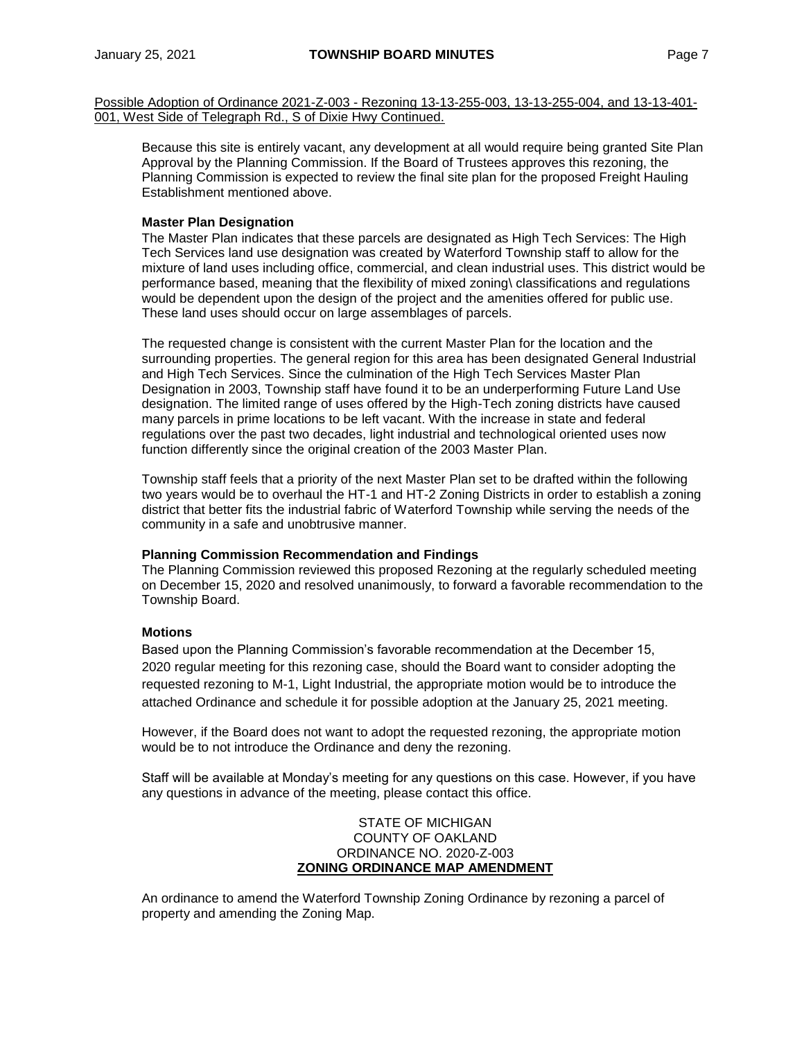Possible Adoption of Ordinance 2021-Z-003 - Rezoning 13-13-255-003, 13-13-255-004, and 13-13-401- 001, West Side of Telegraph Rd., S of Dixie Hwy Continued.

Because this site is entirely vacant, any development at all would require being granted Site Plan Approval by the Planning Commission. If the Board of Trustees approves this rezoning, the Planning Commission is expected to review the final site plan for the proposed Freight Hauling Establishment mentioned above.

#### **Master Plan Designation**

The Master Plan indicates that these parcels are designated as High Tech Services: The High Tech Services land use designation was created by Waterford Township staff to allow for the mixture of land uses including office, commercial, and clean industrial uses. This district would be performance based, meaning that the flexibility of mixed zoning\ classifications and regulations would be dependent upon the design of the project and the amenities offered for public use. These land uses should occur on large assemblages of parcels.

The requested change is consistent with the current Master Plan for the location and the surrounding properties. The general region for this area has been designated General Industrial and High Tech Services. Since the culmination of the High Tech Services Master Plan Designation in 2003, Township staff have found it to be an underperforming Future Land Use designation. The limited range of uses offered by the High-Tech zoning districts have caused many parcels in prime locations to be left vacant. With the increase in state and federal regulations over the past two decades, light industrial and technological oriented uses now function differently since the original creation of the 2003 Master Plan.

Township staff feels that a priority of the next Master Plan set to be drafted within the following two years would be to overhaul the HT-1 and HT-2 Zoning Districts in order to establish a zoning district that better fits the industrial fabric of Waterford Township while serving the needs of the community in a safe and unobtrusive manner.

#### **Planning Commission Recommendation and Findings**

The Planning Commission reviewed this proposed Rezoning at the regularly scheduled meeting on December 15, 2020 and resolved unanimously, to forward a favorable recommendation to the Township Board.

#### **Motions**

Based upon the Planning Commission's favorable recommendation at the December 15, 2020 regular meeting for this rezoning case, should the Board want to consider adopting the requested rezoning to M-1, Light Industrial, the appropriate motion would be to introduce the attached Ordinance and schedule it for possible adoption at the January 25, 2021 meeting.

However, if the Board does not want to adopt the requested rezoning, the appropriate motion would be to not introduce the Ordinance and deny the rezoning.

Staff will be available at Monday's meeting for any questions on this case. However, if you have any questions in advance of the meeting, please contact this office.

#### STATE OF MICHIGAN COUNTY OF OAKLAND ORDINANCE NO. 2020-Z-003 **ZONING ORDINANCE MAP AMENDMENT**

An ordinance to amend the Waterford Township Zoning Ordinance by rezoning a parcel of property and amending the Zoning Map.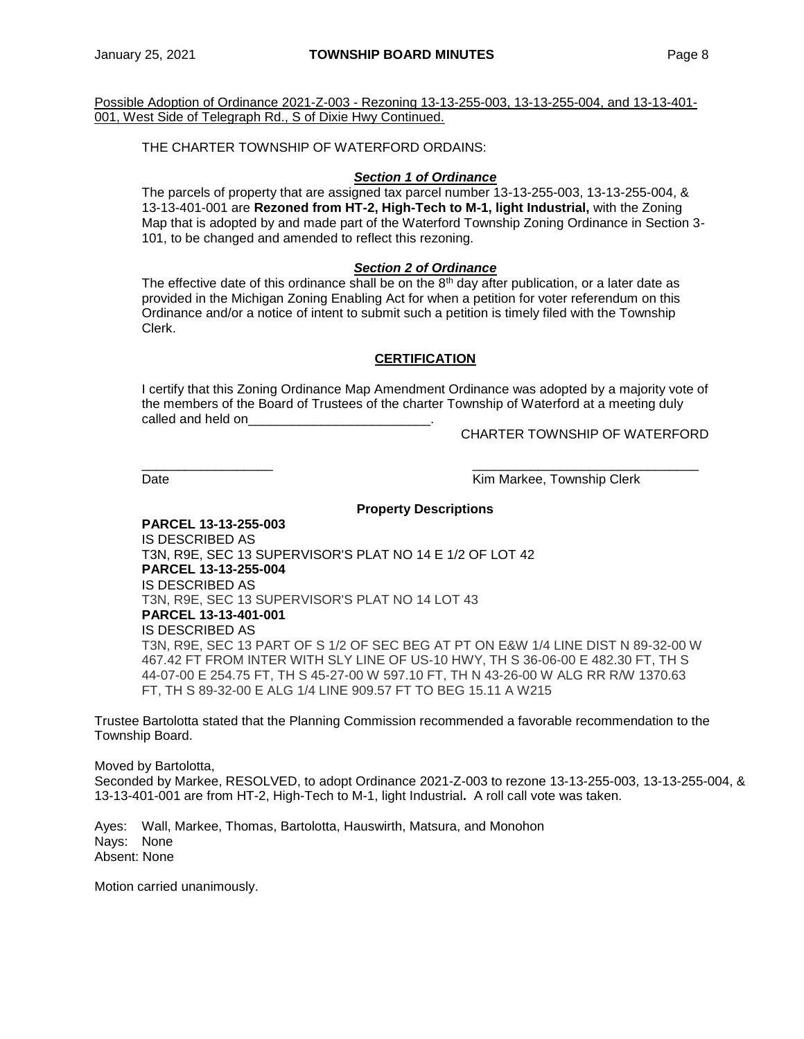Possible Adoption of Ordinance 2021-Z-003 - Rezoning 13-13-255-003, 13-13-255-004, and 13-13-401- 001, West Side of Telegraph Rd., S of Dixie Hwy Continued.

THE CHARTER TOWNSHIP OF WATERFORD ORDAINS:

### *Section 1 of Ordinance*

The parcels of property that are assigned tax parcel number 13-13-255-003, 13-13-255-004, & 13-13-401-001 are **Rezoned from HT-2, High-Tech to M-1, light Industrial,** with the Zoning Map that is adopted by and made part of the Waterford Township Zoning Ordinance in Section 3- 101, to be changed and amended to reflect this rezoning.

#### *Section 2 of Ordinance*

The effective date of this ordinance shall be on the  $8<sup>th</sup>$  day after publication, or a later date as provided in the Michigan Zoning Enabling Act for when a petition for voter referendum on this Ordinance and/or a notice of intent to submit such a petition is timely filed with the Township Clerk.

# **CERTIFICATION**

I certify that this Zoning Ordinance Map Amendment Ordinance was adopted by a majority vote of the members of the Board of Trustees of the charter Township of Waterford at a meeting duly called and held on

CHARTER TOWNSHIP OF WATERFORD

Date **Contract Contract Contract Contract Contract Contract Contract Contract Contract Contract Contract Contract Contract Contract Contract Contract Contract Contract Contract Contract Contract Contract Contract Contract** 

# **Property Descriptions**

\_\_\_\_\_\_\_\_\_\_\_\_\_\_\_\_\_\_ \_\_\_\_\_\_\_\_\_\_\_\_\_\_\_\_\_\_\_\_\_\_\_\_\_\_\_\_\_\_\_

**PARCEL 13-13-255-003** IS DESCRIBED AS T3N, R9E, SEC 13 SUPERVISOR'S PLAT NO 14 E 1/2 OF LOT 42 **PARCEL 13-13-255-004** IS DESCRIBED AS T3N, R9E, SEC 13 SUPERVISOR'S PLAT NO 14 LOT 43 **PARCEL 13-13-401-001** IS DESCRIBED AS T3N, R9E, SEC 13 PART OF S 1/2 OF SEC BEG AT PT ON E&W 1/4 LINE DIST N 89-32-00 W 467.42 FT FROM INTER WITH SLY LINE OF US-10 HWY, TH S 36-06-00 E 482.30 FT, TH S 44-07-00 E 254.75 FT, TH S 45-27-00 W 597.10 FT, TH N 43-26-00 W ALG RR R/W 1370.63 FT, TH S 89-32-00 E ALG 1/4 LINE 909.57 FT TO BEG 15.11 A W215

Trustee Bartolotta stated that the Planning Commission recommended a favorable recommendation to the Township Board.

Moved by Bartolotta, Seconded by Markee, RESOLVED, to adopt Ordinance 2021-Z-003 to rezone 13-13-255-003, 13-13-255-004, & 13-13-401-001 are from HT-2, High-Tech to M-1, light Industrial**.** A roll call vote was taken.

Ayes: Wall, Markee, Thomas, Bartolotta, Hauswirth, Matsura, and Monohon Nays: None Absent: None

Motion carried unanimously.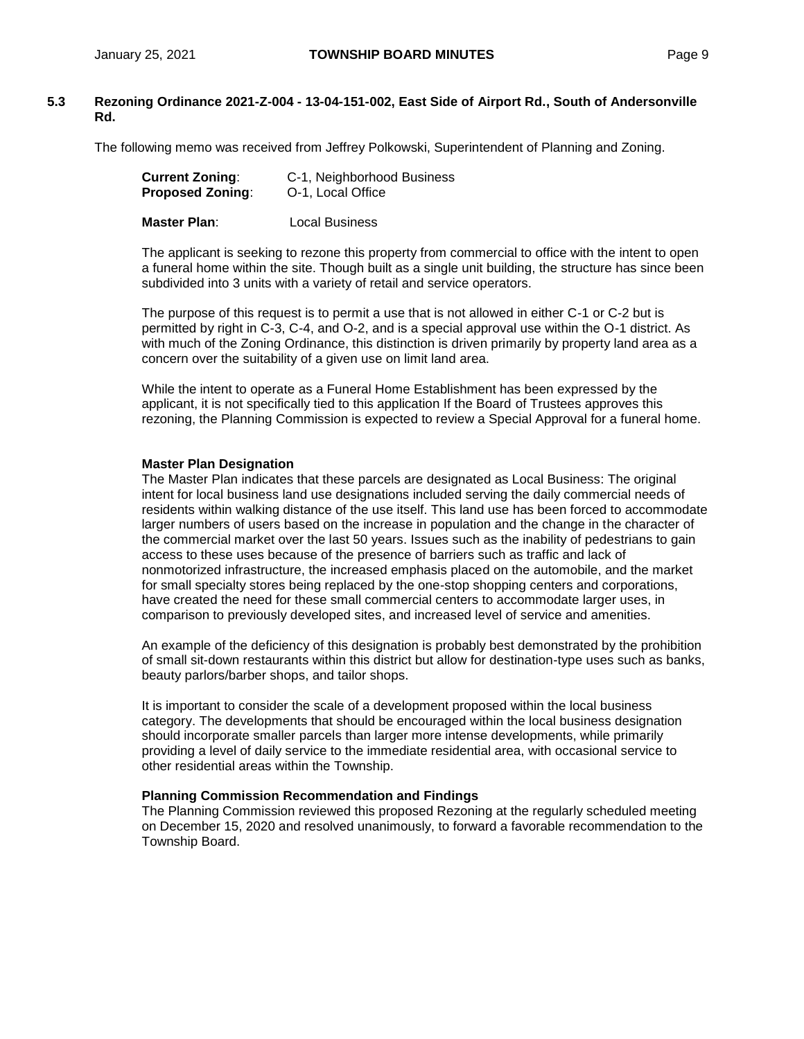# **5.3 Rezoning Ordinance 2021-Z-004 - 13-04-151-002, East Side of Airport Rd., South of Andersonville Rd.**

The following memo was received from Jeffrey Polkowski, Superintendent of Planning and Zoning.

| <b>Current Zoning:</b>  | C-1, Neighborhood Business |
|-------------------------|----------------------------|
| <b>Proposed Zoning:</b> | O-1, Local Office          |
|                         |                            |

**Master Plan**: Local Business

The applicant is seeking to rezone this property from commercial to office with the intent to open a funeral home within the site. Though built as a single unit building, the structure has since been subdivided into 3 units with a variety of retail and service operators.

The purpose of this request is to permit a use that is not allowed in either C-1 or C-2 but is permitted by right in C-3, C-4, and O-2, and is a special approval use within the O-1 district. As with much of the Zoning Ordinance, this distinction is driven primarily by property land area as a concern over the suitability of a given use on limit land area.

While the intent to operate as a Funeral Home Establishment has been expressed by the applicant, it is not specifically tied to this application If the Board of Trustees approves this rezoning, the Planning Commission is expected to review a Special Approval for a funeral home.

# **Master Plan Designation**

The Master Plan indicates that these parcels are designated as Local Business: The original intent for local business land use designations included serving the daily commercial needs of residents within walking distance of the use itself. This land use has been forced to accommodate larger numbers of users based on the increase in population and the change in the character of the commercial market over the last 50 years. Issues such as the inability of pedestrians to gain access to these uses because of the presence of barriers such as traffic and lack of nonmotorized infrastructure, the increased emphasis placed on the automobile, and the market for small specialty stores being replaced by the one-stop shopping centers and corporations, have created the need for these small commercial centers to accommodate larger uses, in comparison to previously developed sites, and increased level of service and amenities.

An example of the deficiency of this designation is probably best demonstrated by the prohibition of small sit-down restaurants within this district but allow for destination-type uses such as banks, beauty parlors/barber shops, and tailor shops.

It is important to consider the scale of a development proposed within the local business category. The developments that should be encouraged within the local business designation should incorporate smaller parcels than larger more intense developments, while primarily providing a level of daily service to the immediate residential area, with occasional service to other residential areas within the Township.

#### **Planning Commission Recommendation and Findings**

The Planning Commission reviewed this proposed Rezoning at the regularly scheduled meeting on December 15, 2020 and resolved unanimously, to forward a favorable recommendation to the Township Board.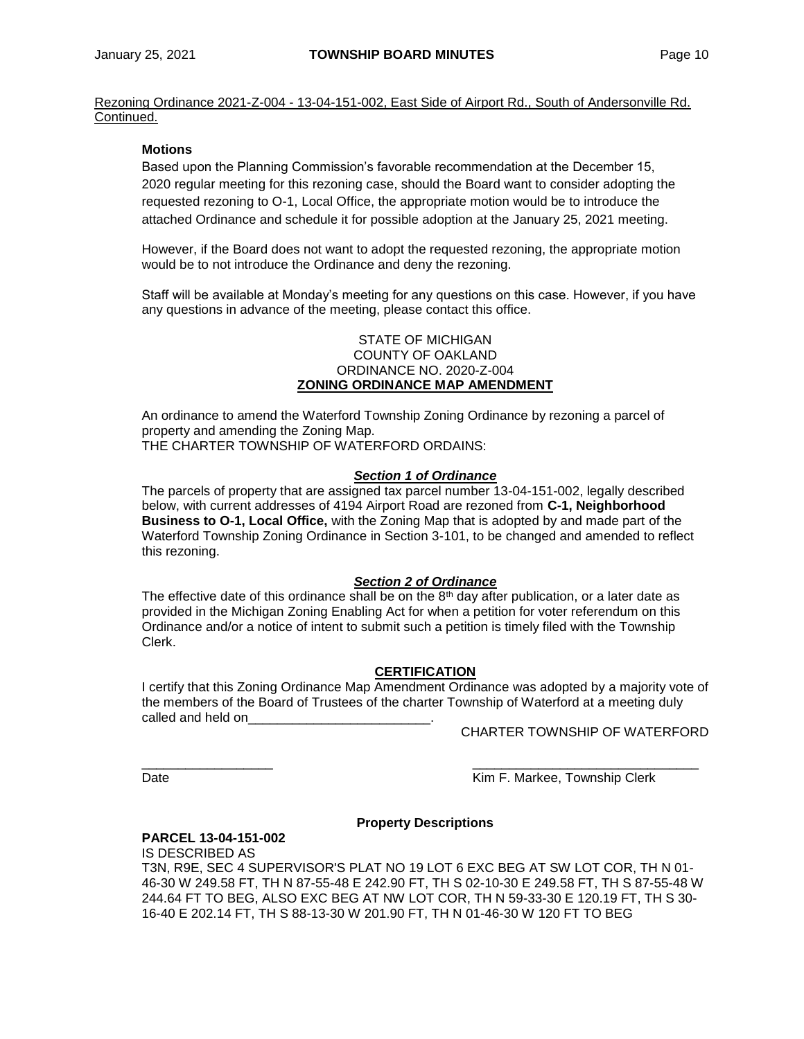Rezoning Ordinance 2021-Z-004 - 13-04-151-002, East Side of Airport Rd., South of Andersonville Rd. Continued.

# **Motions**

Based upon the Planning Commission's favorable recommendation at the December 15, 2020 regular meeting for this rezoning case, should the Board want to consider adopting the requested rezoning to O-1, Local Office, the appropriate motion would be to introduce the attached Ordinance and schedule it for possible adoption at the January 25, 2021 meeting.

However, if the Board does not want to adopt the requested rezoning, the appropriate motion would be to not introduce the Ordinance and deny the rezoning.

Staff will be available at Monday's meeting for any questions on this case. However, if you have any questions in advance of the meeting, please contact this office.

#### STATE OF MICHIGAN COUNTY OF OAKLAND ORDINANCE NO. 2020-Z-004 **ZONING ORDINANCE MAP AMENDMENT**

An ordinance to amend the Waterford Township Zoning Ordinance by rezoning a parcel of property and amending the Zoning Map. THE CHARTER TOWNSHIP OF WATERFORD ORDAINS:

# *Section 1 of Ordinance*

The parcels of property that are assigned tax parcel number 13-04-151-002, legally described below, with current addresses of 4194 Airport Road are rezoned from **C-1, Neighborhood Business to O-1, Local Office,** with the Zoning Map that is adopted by and made part of the Waterford Township Zoning Ordinance in Section 3-101, to be changed and amended to reflect this rezoning.

#### *Section 2 of Ordinance*

The effective date of this ordinance shall be on the  $8<sup>th</sup>$  day after publication, or a later date as provided in the Michigan Zoning Enabling Act for when a petition for voter referendum on this Ordinance and/or a notice of intent to submit such a petition is timely filed with the Township Clerk.

# **CERTIFICATION**

I certify that this Zoning Ordinance Map Amendment Ordinance was adopted by a majority vote of the members of the Board of Trustees of the charter Township of Waterford at a meeting duly called and held on

CHARTER TOWNSHIP OF WATERFORD

Date **Communist Communist Communist Communist Communist Communist Communist Communist Communist Communist Communist Communist Communist Communist Communist Communist Communist Communist Communist Communist Communist Commun** 

# **Property Descriptions**

\_\_\_\_\_\_\_\_\_\_\_\_\_\_\_\_\_\_ \_\_\_\_\_\_\_\_\_\_\_\_\_\_\_\_\_\_\_\_\_\_\_\_\_\_\_\_\_\_\_

# **PARCEL 13-04-151-002**

IS DESCRIBED AS T3N, R9E, SEC 4 SUPERVISOR'S PLAT NO 19 LOT 6 EXC BEG AT SW LOT COR, TH N 01- 46-30 W 249.58 FT, TH N 87-55-48 E 242.90 FT, TH S 02-10-30 E 249.58 FT, TH S 87-55-48 W 244.64 FT TO BEG, ALSO EXC BEG AT NW LOT COR, TH N 59-33-30 E 120.19 FT, TH S 30- 16-40 E 202.14 FT, TH S 88-13-30 W 201.90 FT, TH N 01-46-30 W 120 FT TO BEG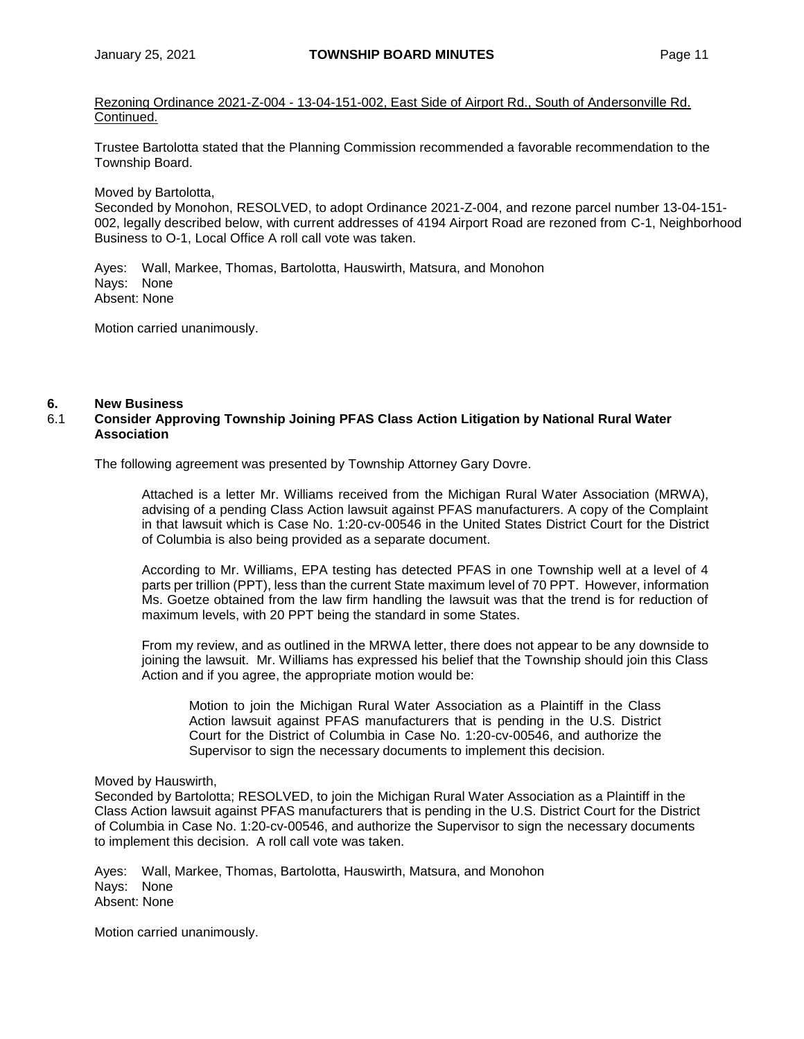Rezoning Ordinance 2021-Z-004 - 13-04-151-002, East Side of Airport Rd., South of Andersonville Rd. Continued.

Trustee Bartolotta stated that the Planning Commission recommended a favorable recommendation to the Township Board.

Moved by Bartolotta,

Seconded by Monohon, RESOLVED, to adopt Ordinance 2021-Z-004, and rezone parcel number 13-04-151- 002, legally described below, with current addresses of 4194 Airport Road are rezoned from C-1, Neighborhood Business to O-1, Local Office A roll call vote was taken.

Ayes: Wall, Markee, Thomas, Bartolotta, Hauswirth, Matsura, and Monohon Nays: None Absent: None

Motion carried unanimously.

#### **6. New Business**

## 6.1 **Consider Approving Township Joining PFAS Class Action Litigation by National Rural Water Association**

The following agreement was presented by Township Attorney Gary Dovre.

Attached is a letter Mr. Williams received from the Michigan Rural Water Association (MRWA), advising of a pending Class Action lawsuit against PFAS manufacturers. A copy of the Complaint in that lawsuit which is Case No. 1:20-cv-00546 in the United States District Court for the District of Columbia is also being provided as a separate document.

According to Mr. Williams, EPA testing has detected PFAS in one Township well at a level of 4 parts per trillion (PPT), less than the current State maximum level of 70 PPT. However, information Ms. Goetze obtained from the law firm handling the lawsuit was that the trend is for reduction of maximum levels, with 20 PPT being the standard in some States.

From my review, and as outlined in the MRWA letter, there does not appear to be any downside to joining the lawsuit. Mr. Williams has expressed his belief that the Township should join this Class Action and if you agree, the appropriate motion would be:

Motion to join the Michigan Rural Water Association as a Plaintiff in the Class Action lawsuit against PFAS manufacturers that is pending in the U.S. District Court for the District of Columbia in Case No. 1:20-cv-00546, and authorize the Supervisor to sign the necessary documents to implement this decision.

#### Moved by Hauswirth,

Seconded by Bartolotta; RESOLVED, to join the Michigan Rural Water Association as a Plaintiff in the Class Action lawsuit against PFAS manufacturers that is pending in the U.S. District Court for the District of Columbia in Case No. 1:20-cv-00546, and authorize the Supervisor to sign the necessary documents to implement this decision. A roll call vote was taken.

Ayes: Wall, Markee, Thomas, Bartolotta, Hauswirth, Matsura, and Monohon Nays: None Absent: None

Motion carried unanimously.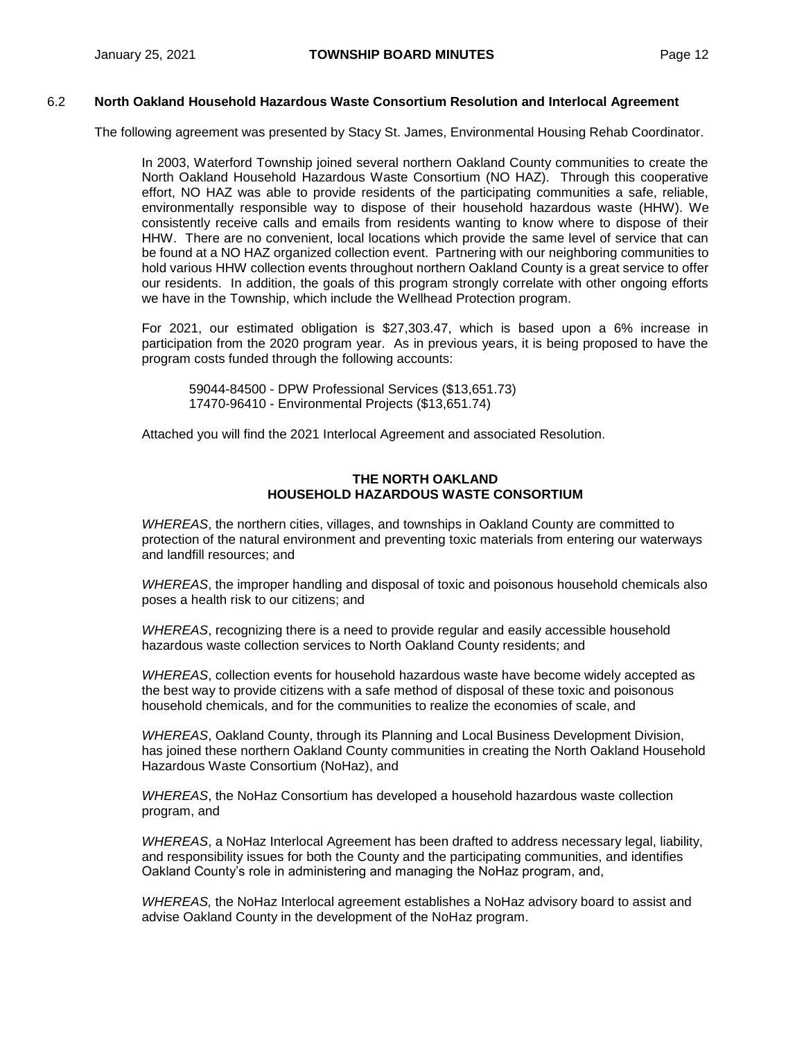# 6.2 **North Oakland Household Hazardous Waste Consortium Resolution and Interlocal Agreement**

The following agreement was presented by Stacy St. James, Environmental Housing Rehab Coordinator.

In 2003, Waterford Township joined several northern Oakland County communities to create the North Oakland Household Hazardous Waste Consortium (NO HAZ). Through this cooperative effort, NO HAZ was able to provide residents of the participating communities a safe, reliable, environmentally responsible way to dispose of their household hazardous waste (HHW). We consistently receive calls and emails from residents wanting to know where to dispose of their HHW. There are no convenient, local locations which provide the same level of service that can be found at a NO HAZ organized collection event. Partnering with our neighboring communities to hold various HHW collection events throughout northern Oakland County is a great service to offer our residents. In addition, the goals of this program strongly correlate with other ongoing efforts we have in the Township, which include the Wellhead Protection program.

For 2021, our estimated obligation is \$27,303.47, which is based upon a 6% increase in participation from the 2020 program year. As in previous years, it is being proposed to have the program costs funded through the following accounts:

59044-84500 - DPW Professional Services (\$13,651.73) 17470-96410 - Environmental Projects (\$13,651.74)

Attached you will find the 2021 Interlocal Agreement and associated Resolution.

#### **THE NORTH OAKLAND HOUSEHOLD HAZARDOUS WASTE CONSORTIUM**

*WHEREAS*, the northern cities, villages, and townships in Oakland County are committed to protection of the natural environment and preventing toxic materials from entering our waterways and landfill resources; and

*WHEREAS*, the improper handling and disposal of toxic and poisonous household chemicals also poses a health risk to our citizens; and

*WHEREAS*, recognizing there is a need to provide regular and easily accessible household hazardous waste collection services to North Oakland County residents; and

*WHEREAS*, collection events for household hazardous waste have become widely accepted as the best way to provide citizens with a safe method of disposal of these toxic and poisonous household chemicals, and for the communities to realize the economies of scale, and

*WHEREAS*, Oakland County, through its Planning and Local Business Development Division, has joined these northern Oakland County communities in creating the North Oakland Household Hazardous Waste Consortium (NoHaz), and

*WHEREAS*, the NoHaz Consortium has developed a household hazardous waste collection program, and

*WHEREAS*, a NoHaz Interlocal Agreement has been drafted to address necessary legal, liability, and responsibility issues for both the County and the participating communities, and identifies Oakland County's role in administering and managing the NoHaz program, and,

*WHEREAS,* the NoHaz Interlocal agreement establishes a NoHaz advisory board to assist and advise Oakland County in the development of the NoHaz program.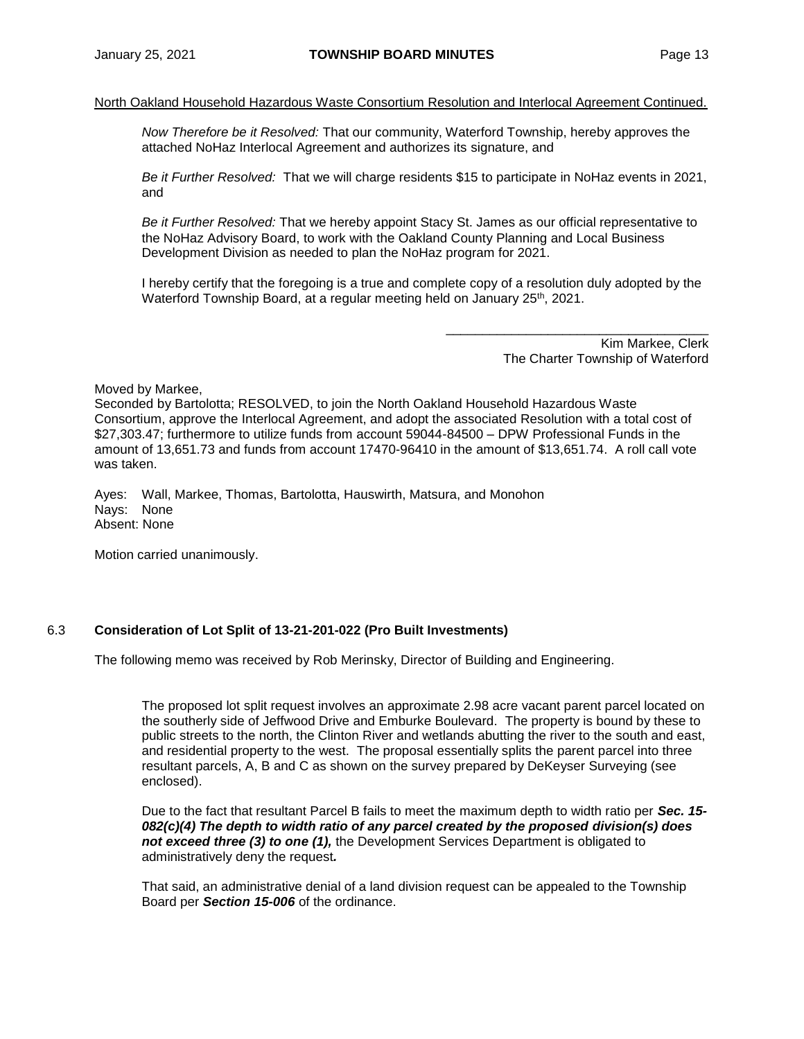#### North Oakland Household Hazardous Waste Consortium Resolution and Interlocal Agreement Continued.

*Now Therefore be it Resolved:* That our community, Waterford Township, hereby approves the attached NoHaz Interlocal Agreement and authorizes its signature, and

*Be it Further Resolved:* That we will charge residents \$15 to participate in NoHaz events in 2021, and

*Be it Further Resolved:* That we hereby appoint Stacy St. James as our official representative to the NoHaz Advisory Board, to work with the Oakland County Planning and Local Business Development Division as needed to plan the NoHaz program for 2021.

I hereby certify that the foregoing is a true and complete copy of a resolution duly adopted by the Waterford Township Board, at a regular meeting held on January 25<sup>th</sup>, 2021.

> $\overline{\phantom{a}}$  ,  $\overline{\phantom{a}}$  ,  $\overline{\phantom{a}}$  ,  $\overline{\phantom{a}}$  ,  $\overline{\phantom{a}}$  ,  $\overline{\phantom{a}}$  ,  $\overline{\phantom{a}}$  ,  $\overline{\phantom{a}}$  ,  $\overline{\phantom{a}}$  ,  $\overline{\phantom{a}}$  ,  $\overline{\phantom{a}}$  ,  $\overline{\phantom{a}}$  ,  $\overline{\phantom{a}}$  ,  $\overline{\phantom{a}}$  ,  $\overline{\phantom{a}}$  ,  $\overline{\phantom{a}}$ Kim Markee, Clerk The Charter Township of Waterford

Moved by Markee,

Seconded by Bartolotta; RESOLVED, to join the North Oakland Household Hazardous Waste Consortium, approve the Interlocal Agreement, and adopt the associated Resolution with a total cost of \$27,303.47; furthermore to utilize funds from account 59044-84500 – DPW Professional Funds in the amount of 13,651.73 and funds from account 17470-96410 in the amount of \$13,651.74. A roll call vote was taken.

Ayes: Wall, Markee, Thomas, Bartolotta, Hauswirth, Matsura, and Monohon Nays: None Absent: None

Motion carried unanimously.

#### 6.3 **Consideration of Lot Split of 13-21-201-022 (Pro Built Investments)**

The following memo was received by Rob Merinsky, Director of Building and Engineering.

The proposed lot split request involves an approximate 2.98 acre vacant parent parcel located on the southerly side of Jeffwood Drive and Emburke Boulevard. The property is bound by these to public streets to the north, the Clinton River and wetlands abutting the river to the south and east, and residential property to the west. The proposal essentially splits the parent parcel into three resultant parcels, A, B and C as shown on the survey prepared by DeKeyser Surveying (see enclosed).

Due to the fact that resultant Parcel B fails to meet the maximum depth to width ratio per *Sec. 15- 082(c)(4) The depth to width ratio of any parcel created by the proposed division(s) does not exceed three (3) to one (1),* the Development Services Department is obligated to administratively deny the request*.*

That said, an administrative denial of a land division request can be appealed to the Township Board per *Section 15-006* of the ordinance.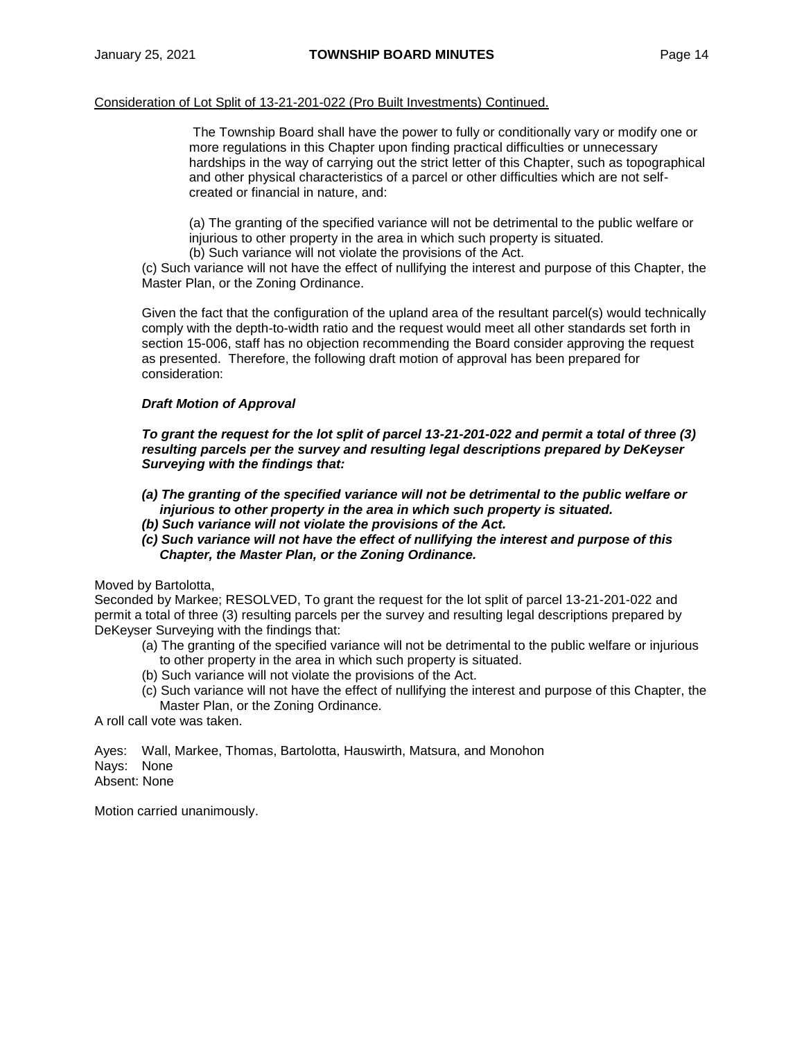#### Consideration of Lot Split of 13-21-201-022 (Pro Built Investments) Continued.

The Township Board shall have the power to fully or conditionally vary or modify one or more regulations in this Chapter upon finding practical difficulties or unnecessary hardships in the way of carrying out the strict letter of this Chapter, such as topographical and other physical characteristics of a parcel or other difficulties which are not selfcreated or financial in nature, and:

(a) The granting of the specified variance will not be detrimental to the public welfare or injurious to other property in the area in which such property is situated.

(b) Such variance will not violate the provisions of the Act.

(c) Such variance will not have the effect of nullifying the interest and purpose of this Chapter, the Master Plan, or the Zoning Ordinance.

Given the fact that the configuration of the upland area of the resultant parcel(s) would technically comply with the depth-to-width ratio and the request would meet all other standards set forth in section 15-006, staff has no objection recommending the Board consider approving the request as presented. Therefore, the following draft motion of approval has been prepared for consideration:

#### *Draft Motion of Approval*

*To grant the request for the lot split of parcel 13-21-201-022 and permit a total of three (3) resulting parcels per the survey and resulting legal descriptions prepared by DeKeyser Surveying with the findings that:*

- *(a) The granting of the specified variance will not be detrimental to the public welfare or injurious to other property in the area in which such property is situated.*
- *(b) Such variance will not violate the provisions of the Act.*
- *(c) Such variance will not have the effect of nullifying the interest and purpose of this Chapter, the Master Plan, or the Zoning Ordinance.*

Moved by Bartolotta,

Seconded by Markee; RESOLVED, To grant the request for the lot split of parcel 13-21-201-022 and permit a total of three (3) resulting parcels per the survey and resulting legal descriptions prepared by DeKeyser Surveying with the findings that:

- (a) The granting of the specified variance will not be detrimental to the public welfare or injurious to other property in the area in which such property is situated.
- (b) Such variance will not violate the provisions of the Act.
- (c) Such variance will not have the effect of nullifying the interest and purpose of this Chapter, the Master Plan, or the Zoning Ordinance.

A roll call vote was taken.

Ayes: Wall, Markee, Thomas, Bartolotta, Hauswirth, Matsura, and Monohon Nays: None Absent: None

Motion carried unanimously.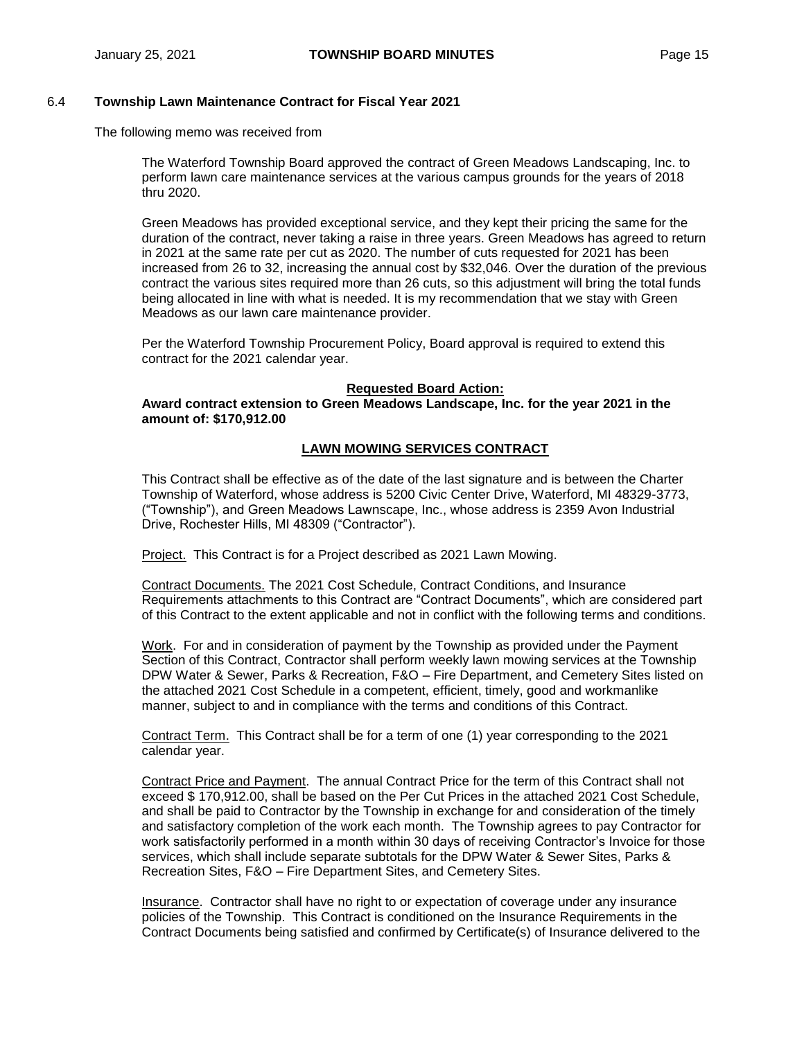#### 6.4 **Township Lawn Maintenance Contract for Fiscal Year 2021**

The following memo was received from

The Waterford Township Board approved the contract of Green Meadows Landscaping, Inc. to perform lawn care maintenance services at the various campus grounds for the years of 2018 thru 2020.

Green Meadows has provided exceptional service, and they kept their pricing the same for the duration of the contract, never taking a raise in three years. Green Meadows has agreed to return in 2021 at the same rate per cut as 2020. The number of cuts requested for 2021 has been increased from 26 to 32, increasing the annual cost by \$32,046. Over the duration of the previous contract the various sites required more than 26 cuts, so this adjustment will bring the total funds being allocated in line with what is needed. It is my recommendation that we stay with Green Meadows as our lawn care maintenance provider.

Per the Waterford Township Procurement Policy, Board approval is required to extend this contract for the 2021 calendar year.

#### **Requested Board Action:**

**Award contract extension to Green Meadows Landscape, Inc. for the year 2021 in the amount of: \$170,912.00**

#### **LAWN MOWING SERVICES CONTRACT**

This Contract shall be effective as of the date of the last signature and is between the Charter Township of Waterford, whose address is 5200 Civic Center Drive, Waterford, MI 48329-3773, ("Township"), and Green Meadows Lawnscape, Inc., whose address is 2359 Avon Industrial Drive, Rochester Hills, MI 48309 ("Contractor").

Project. This Contract is for a Project described as 2021 Lawn Mowing.

Contract Documents. The 2021 Cost Schedule, Contract Conditions, and Insurance Requirements attachments to this Contract are "Contract Documents", which are considered part of this Contract to the extent applicable and not in conflict with the following terms and conditions.

Work. For and in consideration of payment by the Township as provided under the Payment Section of this Contract, Contractor shall perform weekly lawn mowing services at the Township DPW Water & Sewer, Parks & Recreation, F&O – Fire Department, and Cemetery Sites listed on the attached 2021 Cost Schedule in a competent, efficient, timely, good and workmanlike manner, subject to and in compliance with the terms and conditions of this Contract.

Contract Term. This Contract shall be for a term of one (1) year corresponding to the 2021 calendar year.

Contract Price and Payment. The annual Contract Price for the term of this Contract shall not exceed \$ 170,912.00, shall be based on the Per Cut Prices in the attached 2021 Cost Schedule, and shall be paid to Contractor by the Township in exchange for and consideration of the timely and satisfactory completion of the work each month. The Township agrees to pay Contractor for work satisfactorily performed in a month within 30 days of receiving Contractor's Invoice for those services, which shall include separate subtotals for the DPW Water & Sewer Sites, Parks & Recreation Sites, F&O – Fire Department Sites, and Cemetery Sites.

Insurance. Contractor shall have no right to or expectation of coverage under any insurance policies of the Township. This Contract is conditioned on the Insurance Requirements in the Contract Documents being satisfied and confirmed by Certificate(s) of Insurance delivered to the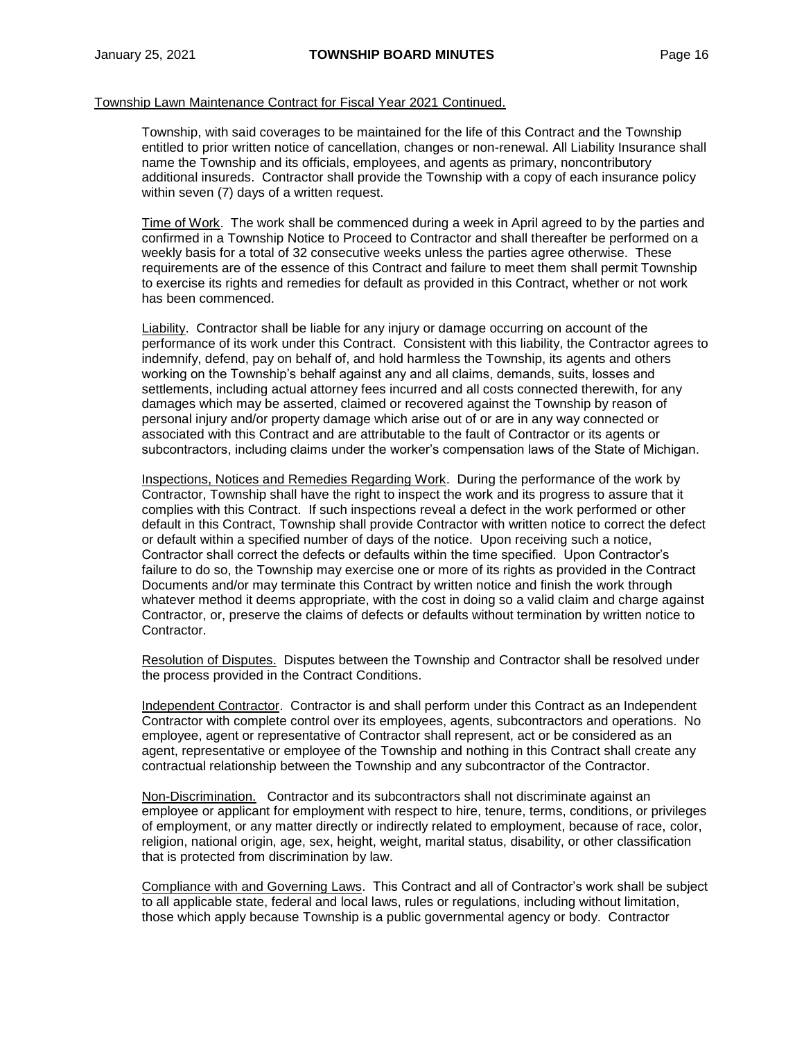Township, with said coverages to be maintained for the life of this Contract and the Township entitled to prior written notice of cancellation, changes or non-renewal. All Liability Insurance shall name the Township and its officials, employees, and agents as primary, noncontributory additional insureds. Contractor shall provide the Township with a copy of each insurance policy within seven (7) days of a written request.

Time of Work. The work shall be commenced during a week in April agreed to by the parties and confirmed in a Township Notice to Proceed to Contractor and shall thereafter be performed on a weekly basis for a total of 32 consecutive weeks unless the parties agree otherwise. These requirements are of the essence of this Contract and failure to meet them shall permit Township to exercise its rights and remedies for default as provided in this Contract, whether or not work has been commenced.

Liability. Contractor shall be liable for any injury or damage occurring on account of the performance of its work under this Contract. Consistent with this liability, the Contractor agrees to indemnify, defend, pay on behalf of, and hold harmless the Township, its agents and others working on the Township's behalf against any and all claims, demands, suits, losses and settlements, including actual attorney fees incurred and all costs connected therewith, for any damages which may be asserted, claimed or recovered against the Township by reason of personal injury and/or property damage which arise out of or are in any way connected or associated with this Contract and are attributable to the fault of Contractor or its agents or subcontractors, including claims under the worker's compensation laws of the State of Michigan.

Inspections, Notices and Remedies Regarding Work. During the performance of the work by Contractor, Township shall have the right to inspect the work and its progress to assure that it complies with this Contract. If such inspections reveal a defect in the work performed or other default in this Contract, Township shall provide Contractor with written notice to correct the defect or default within a specified number of days of the notice. Upon receiving such a notice, Contractor shall correct the defects or defaults within the time specified. Upon Contractor's failure to do so, the Township may exercise one or more of its rights as provided in the Contract Documents and/or may terminate this Contract by written notice and finish the work through whatever method it deems appropriate, with the cost in doing so a valid claim and charge against Contractor, or, preserve the claims of defects or defaults without termination by written notice to Contractor.

Resolution of Disputes. Disputes between the Township and Contractor shall be resolved under the process provided in the Contract Conditions.

Independent Contractor. Contractor is and shall perform under this Contract as an Independent Contractor with complete control over its employees, agents, subcontractors and operations. No employee, agent or representative of Contractor shall represent, act or be considered as an agent, representative or employee of the Township and nothing in this Contract shall create any contractual relationship between the Township and any subcontractor of the Contractor.

Non-Discrimination. Contractor and its subcontractors shall not discriminate against an employee or applicant for employment with respect to hire, tenure, terms, conditions, or privileges of employment, or any matter directly or indirectly related to employment, because of race, color, religion, national origin, age, sex, height, weight, marital status, disability, or other classification that is protected from discrimination by law.

Compliance with and Governing Laws. This Contract and all of Contractor's work shall be subject to all applicable state, federal and local laws, rules or regulations, including without limitation, those which apply because Township is a public governmental agency or body. Contractor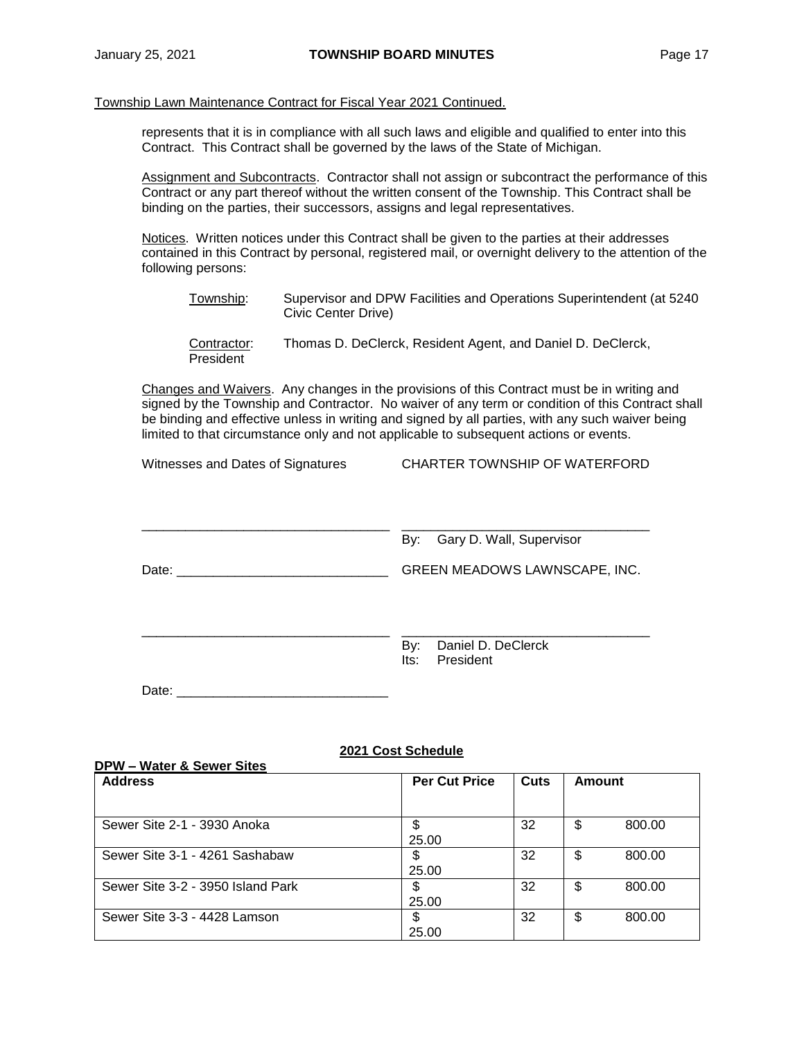represents that it is in compliance with all such laws and eligible and qualified to enter into this Contract. This Contract shall be governed by the laws of the State of Michigan.

Assignment and Subcontracts. Contractor shall not assign or subcontract the performance of this Contract or any part thereof without the written consent of the Township. This Contract shall be binding on the parties, their successors, assigns and legal representatives.

Notices. Written notices under this Contract shall be given to the parties at their addresses contained in this Contract by personal, registered mail, or overnight delivery to the attention of the following persons:

- Township: Supervisor and DPW Facilities and Operations Superintendent (at 5240 Civic Center Drive)
- Contractor: Thomas D. DeClerck, Resident Agent, and Daniel D. DeClerck, President

Changes and Waivers. Any changes in the provisions of this Contract must be in writing and signed by the Township and Contractor. No waiver of any term or condition of this Contract shall be binding and effective unless in writing and signed by all parties, with any such waiver being limited to that circumstance only and not applicable to subsequent actions or events.

Witnesses and Dates of Signatures CHARTER TOWNSHIP OF WATERFORD

|       | Gary D. Wall, Supervisor<br>By:                |
|-------|------------------------------------------------|
| Date: | GREEN MEADOWS LAWNSCAPE, INC.                  |
|       |                                                |
|       | Daniel D. DeClerck<br>By:<br>President<br>lts: |

Date: \_\_\_\_\_\_\_\_\_\_\_\_\_\_\_\_\_\_\_\_\_\_\_\_\_\_\_\_\_

#### **2021 Cost Schedule**

| <b>DPW-Water &amp; Sewer Sites</b> |                      |      |              |
|------------------------------------|----------------------|------|--------------|
| <b>Address</b>                     | <b>Per Cut Price</b> | Cuts | Amount       |
| Sewer Site 2-1 - 3930 Anoka        | \$<br>25.00          | 32   | \$<br>800.00 |
| Sewer Site 3-1 - 4261 Sashabaw     | \$<br>25.00          | 32   | \$<br>800.00 |
| Sewer Site 3-2 - 3950 Island Park  | \$<br>25.00          | 32   | \$<br>800.00 |
| Sewer Site 3-3 - 4428 Lamson       | \$<br>25.00          | 32   | \$<br>800.00 |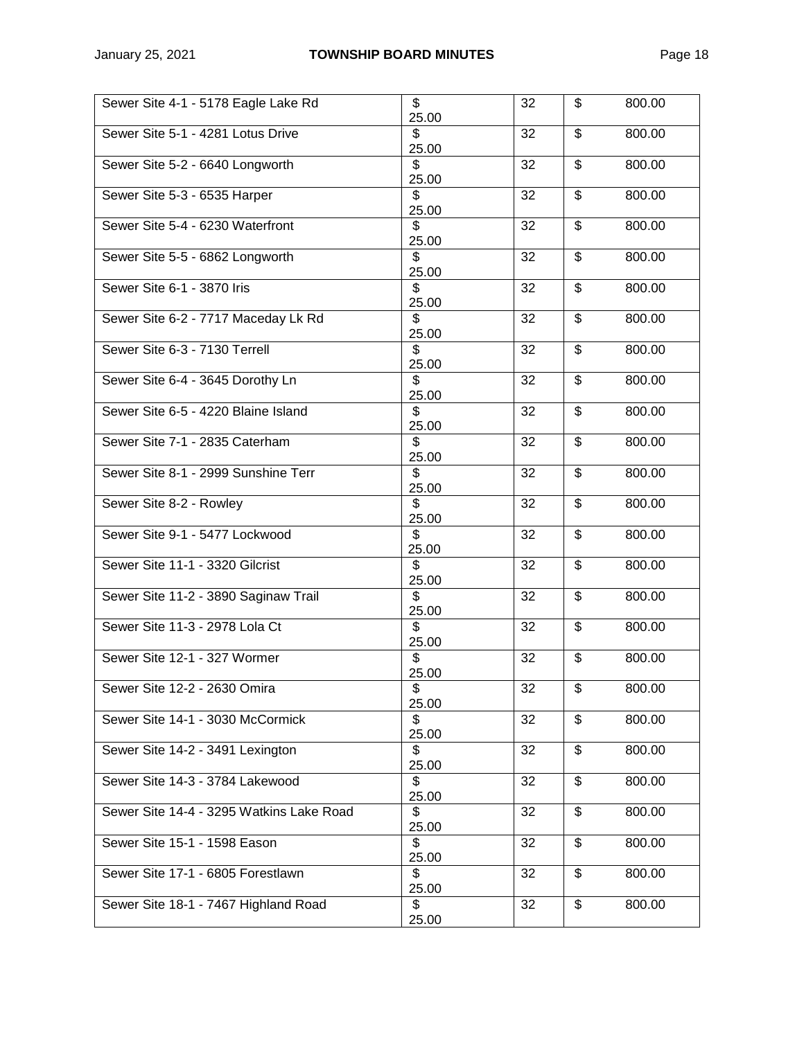| Sewer Site 4-1 - 5178 Eagle Lake Rd      | \$<br>25.00 | 32 | \$<br>800.00 |
|------------------------------------------|-------------|----|--------------|
| Sewer Site 5-1 - 4281 Lotus Drive        | \$<br>25.00 | 32 | \$<br>800.00 |
| Sewer Site 5-2 - 6640 Longworth          | S<br>25.00  | 32 | \$<br>800.00 |
| Sewer Site 5-3 - 6535 Harper             | \$<br>25.00 | 32 | \$<br>800.00 |
| Sewer Site 5-4 - 6230 Waterfront         | \$<br>25.00 | 32 | \$<br>800.00 |
| Sewer Site 5-5 - 6862 Longworth          | \$<br>25.00 | 32 | \$<br>800.00 |
| Sewer Site 6-1 - 3870 Iris               | \$<br>25.00 | 32 | \$<br>800.00 |
| Sewer Site 6-2 - 7717 Maceday Lk Rd      | \$<br>25.00 | 32 | \$<br>800.00 |
| Sewer Site 6-3 - 7130 Terrell            | \$<br>25.00 | 32 | \$<br>800.00 |
| Sewer Site 6-4 - 3645 Dorothy Ln         | \$<br>25.00 | 32 | \$<br>800.00 |
| Sewer Site 6-5 - 4220 Blaine Island      | \$<br>25.00 | 32 | \$<br>800.00 |
| Sewer Site 7-1 - 2835 Caterham           | \$<br>25.00 | 32 | \$<br>800.00 |
| Sewer Site 8-1 - 2999 Sunshine Terr      | \$<br>25.00 | 32 | \$<br>800.00 |
| Sewer Site 8-2 - Rowley                  | \$<br>25.00 | 32 | \$<br>800.00 |
| Sewer Site 9-1 - 5477 Lockwood           | \$<br>25.00 | 32 | \$<br>800.00 |
| Sewer Site 11-1 - 3320 Gilcrist          | \$<br>25.00 | 32 | \$<br>800.00 |
| Sewer Site 11-2 - 3890 Saginaw Trail     | \$<br>25.00 | 32 | \$<br>800.00 |
| Sewer Site 11-3 - 2978 Lola Ct           | \$<br>25.00 | 32 | \$<br>800.00 |
| Sewer Site 12-1 - 327 Wormer             | s)<br>25.00 | 32 | \$<br>800.00 |
| Sewer Site 12-2 - 2630 Omira             | \$<br>25.00 | 32 | \$<br>800.00 |
| Sewer Site 14-1 - 3030 McCormick         | \$<br>25.00 | 32 | \$<br>800.00 |
| Sewer Site 14-2 - 3491 Lexington         | \$<br>25.00 | 32 | \$<br>800.00 |
| Sewer Site 14-3 - 3784 Lakewood          | \$<br>25.00 | 32 | \$<br>800.00 |
| Sewer Site 14-4 - 3295 Watkins Lake Road | \$<br>25.00 | 32 | \$<br>800.00 |
| Sewer Site 15-1 - 1598 Eason             | \$<br>25.00 | 32 | \$<br>800.00 |
| Sewer Site 17-1 - 6805 Forestlawn        | \$<br>25.00 | 32 | \$<br>800.00 |
| Sewer Site 18-1 - 7467 Highland Road     | \$<br>25.00 | 32 | \$<br>800.00 |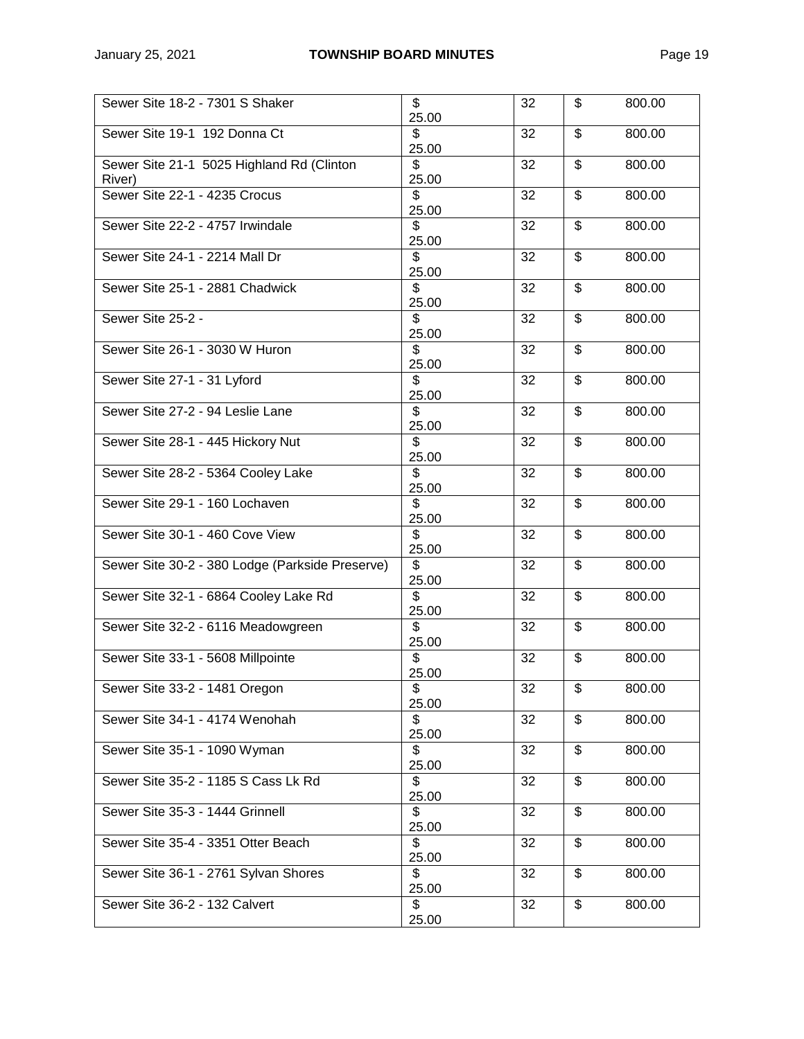| Sewer Site 18-2 - 7301 S Shaker                     | \$<br>25.00  | 32 | \$<br>800.00 |
|-----------------------------------------------------|--------------|----|--------------|
| Sewer Site 19-1 192 Donna Ct                        | \$<br>25.00  | 32 | \$<br>800.00 |
| Sewer Site 21-1 5025 Highland Rd (Clinton<br>River) | \$.<br>25.00 | 32 | \$<br>800.00 |
| Sewer Site 22-1 - 4235 Crocus                       | \$<br>25.00  | 32 | \$<br>800.00 |
| Sewer Site 22-2 - 4757 Irwindale                    | S<br>25.00   | 32 | \$<br>800.00 |
| Sewer Site 24-1 - 2214 Mall Dr                      | \$<br>25.00  | 32 | \$<br>800.00 |
| Sewer Site 25-1 - 2881 Chadwick                     | \$<br>25.00  | 32 | \$<br>800.00 |
| Sewer Site 25-2 -                                   | \$<br>25.00  | 32 | \$<br>800.00 |
| Sewer Site 26-1 - 3030 W Huron                      | \$<br>25.00  | 32 | \$<br>800.00 |
| Sewer Site 27-1 - 31 Lyford                         | \$<br>25.00  | 32 | \$<br>800.00 |
| Sewer Site 27-2 - 94 Leslie Lane                    | \$<br>25.00  | 32 | \$<br>800.00 |
| Sewer Site 28-1 - 445 Hickory Nut                   | \$<br>25.00  | 32 | \$<br>800.00 |
| Sewer Site 28-2 - 5364 Cooley Lake                  | \$<br>25.00  | 32 | \$<br>800.00 |
| Sewer Site 29-1 - 160 Lochaven                      | \$<br>25.00  | 32 | \$<br>800.00 |
| Sewer Site 30-1 - 460 Cove View                     | \$<br>25.00  | 32 | \$<br>800.00 |
| Sewer Site 30-2 - 380 Lodge (Parkside Preserve)     | \$<br>25.00  | 32 | \$<br>800.00 |
| Sewer Site 32-1 - 6864 Cooley Lake Rd               | \$<br>25.00  | 32 | \$<br>800.00 |
| Sewer Site 32-2 - 6116 Meadowgreen                  | \$<br>25.00  | 32 | \$<br>800.00 |
| Sewer Site 33-1 - 5608 Millpointe                   | \$<br>25.00  | 32 | \$<br>800.00 |
| Sewer Site 33-2 - 1481 Oregon                       | \$<br>25.00  | 32 | \$<br>800.00 |
| Sewer Site 34-1 - 4174 Wenohah                      | \$<br>25.00  | 32 | \$<br>800.00 |
| Sewer Site 35-1 - 1090 Wyman                        | \$<br>25.00  | 32 | \$<br>800.00 |
| Sewer Site 35-2 - 1185 S Cass Lk Rd                 | \$<br>25.00  | 32 | \$<br>800.00 |
| Sewer Site 35-3 - 1444 Grinnell                     | \$<br>25.00  | 32 | \$<br>800.00 |
| Sewer Site 35-4 - 3351 Otter Beach                  | \$<br>25.00  | 32 | \$<br>800.00 |
| Sewer Site 36-1 - 2761 Sylvan Shores                | \$<br>25.00  | 32 | \$<br>800.00 |
| Sewer Site 36-2 - 132 Calvert                       | \$<br>25.00  | 32 | \$<br>800.00 |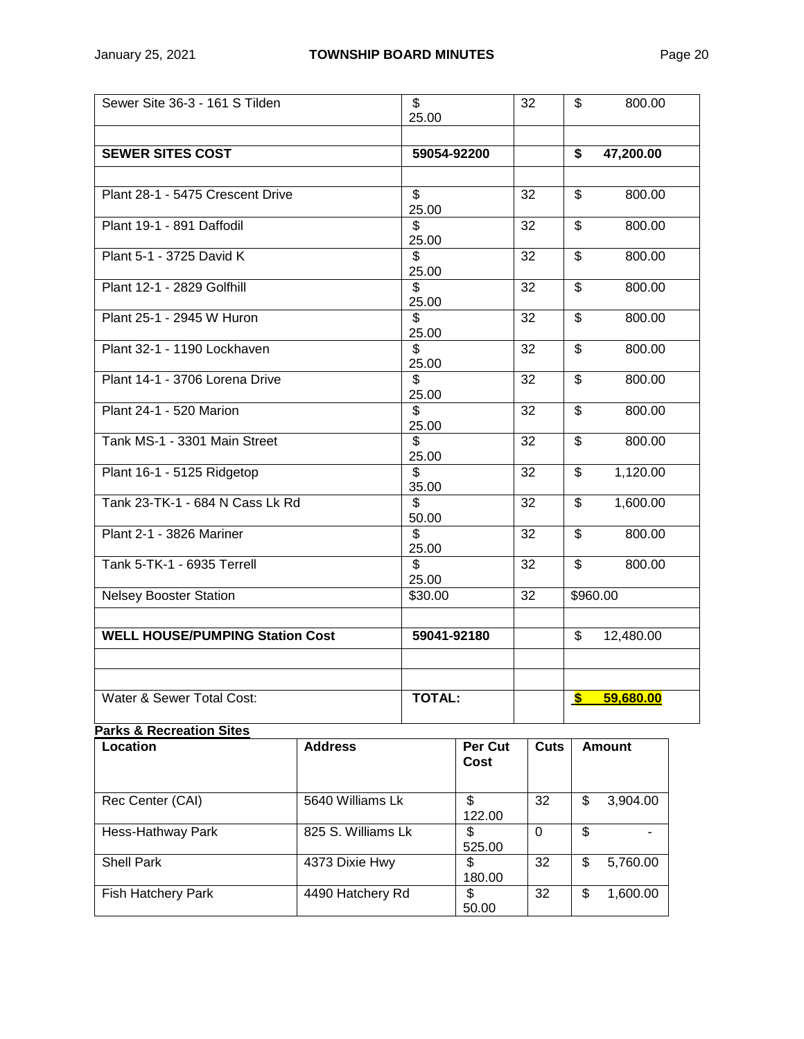| Sewer Site 36-3 - 161 S Tilden         |                    | \$<br>25.00                       |                 | 32          | \$            | 800.00        |
|----------------------------------------|--------------------|-----------------------------------|-----------------|-------------|---------------|---------------|
|                                        |                    |                                   |                 |             |               |               |
| <b>SEWER SITES COST</b>                |                    | 59054-92200                       |                 |             | \$            | 47,200.00     |
|                                        |                    |                                   |                 |             |               |               |
| Plant 28-1 - 5475 Crescent Drive       |                    | \$<br>25.00                       |                 | 32          | \$            | 800.00        |
| Plant 19-1 - 891 Daffodil              |                    | \$<br>25.00                       |                 | 32          | \$            | 800.00        |
| Plant 5-1 - 3725 David K               |                    | s)<br>25.00                       |                 | 32          | \$            | 800.00        |
| Plant 12-1 - 2829 Golfhill             |                    | \$<br>25.00                       |                 | 32          | \$            | 800.00        |
| Plant 25-1 - 2945 W Huron              |                    | \$<br>25.00                       |                 | 32          | \$            | 800.00        |
| Plant 32-1 - 1190 Lockhaven            |                    | \$<br>25.00                       |                 | 32          | \$            | 800.00        |
| Plant 14-1 - 3706 Lorena Drive         |                    | \$<br>25.00                       |                 | 32          | \$            | 800.00        |
| Plant 24-1 - 520 Marion                |                    | \$<br>25.00                       |                 | 32          | \$            | 800.00        |
| Tank MS-1 - 3301 Main Street           |                    | \$                                |                 | 32          | \$            | 800.00        |
| Plant 16-1 - 5125 Ridgetop             |                    | 25.00<br>\$                       |                 | 32          | \$            | 1,120.00      |
| Tank 23-TK-1 - 684 N Cass Lk Rd        |                    | 35.00<br>$\overline{\mathcal{S}}$ |                 | 32          | \$            | 1,600.00      |
| Plant 2-1 - 3826 Mariner               |                    | 50.00<br>$\overline{\mathbf{S}}$  |                 | 32          | \$            | 800.00        |
| Tank 5-TK-1 - 6935 Terrell             |                    | 25.00<br>\$                       |                 | 32          | \$            | 800.00        |
| <b>Nelsey Booster Station</b>          |                    | 25.00<br>\$30.00                  |                 | 32          |               | \$960.00      |
|                                        |                    |                                   |                 |             |               |               |
| <b>WELL HOUSE/PUMPING Station Cost</b> |                    | 59041-92180                       |                 |             | \$            | 12,480.00     |
|                                        |                    |                                   |                 |             |               |               |
|                                        |                    |                                   |                 |             |               |               |
| Water & Sewer Total Cost:              |                    | <b>TOTAL:</b>                     |                 |             | $\mathbf{\$}$ | 59,680.00     |
| <b>Parks &amp; Recreation Sites</b>    |                    |                                   |                 |             |               |               |
| Location                               | <b>Address</b>     |                                   | Per Cut<br>Cost | <b>Cuts</b> |               | <b>Amount</b> |
| Rec Center (CAI)                       | 5640 Williams Lk   |                                   | \$<br>122.00    | 32          | \$            | 3,904.00      |
| Hess-Hathway Park                      | 825 S. Williams Lk |                                   | \$<br>525.00    | 0           | \$            |               |
| <b>Shell Park</b>                      | 4373 Dixie Hwy     |                                   | \$<br>180.00    | 32          | \$            | 5,760.00      |
| Fish Hatchery Park                     | 4490 Hatchery Rd   |                                   | \$              | 32          | \$            | 1,600.00      |

50.00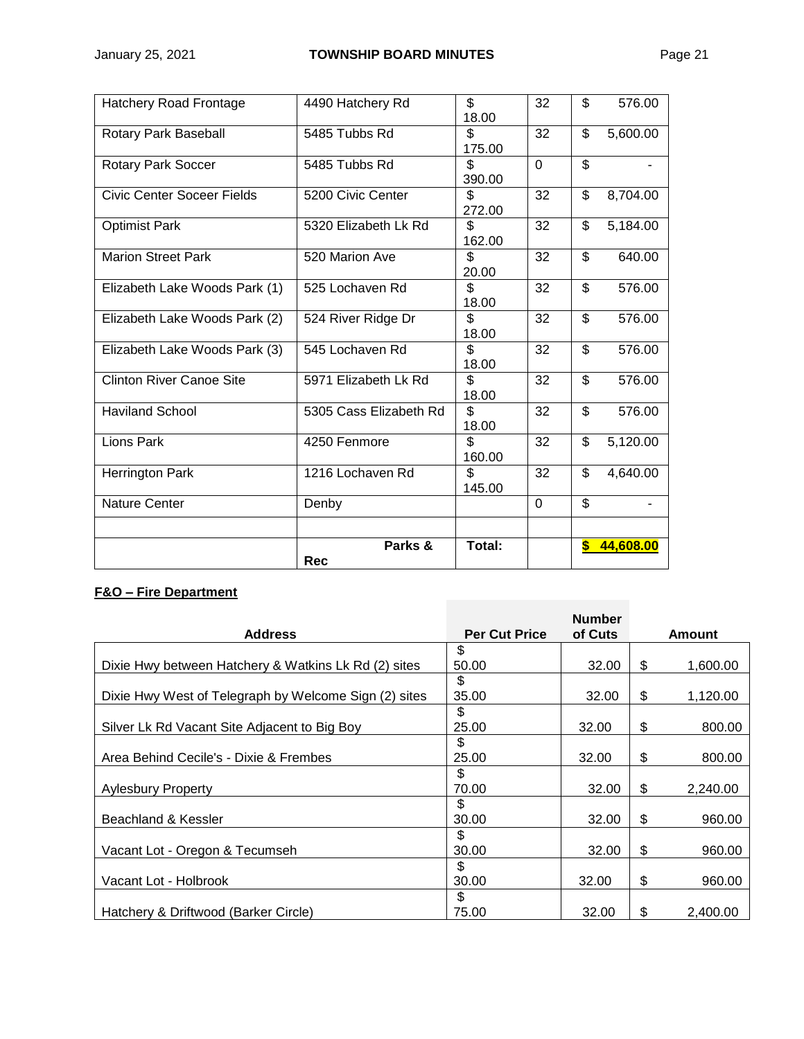| <b>Hatchery Road Frontage</b>     | 4490 Hatchery Rd       | \$<br>18.00   | 32       | \$                       | 576.00    |
|-----------------------------------|------------------------|---------------|----------|--------------------------|-----------|
| Rotary Park Baseball              | 5485 Tubbs Rd          | \$<br>175.00  | 32       | \$                       | 5,600.00  |
| Rotary Park Soccer                | 5485 Tubbs Rd          | \$.<br>390.00 | $\Omega$ | $\overline{\mathcal{S}}$ |           |
| <b>Civic Center Soceer Fields</b> | 5200 Civic Center      | \$<br>272.00  | 32       | \$                       | 8,704.00  |
| <b>Optimist Park</b>              | 5320 Elizabeth Lk Rd   | \$<br>162.00  | 32       | \$                       | 5,184.00  |
| <b>Marion Street Park</b>         | 520 Marion Ave         | \$<br>20.00   | 32       | \$                       | 640.00    |
| Elizabeth Lake Woods Park (1)     | 525 Lochaven Rd        | \$.<br>18.00  | 32       | \$                       | 576.00    |
| Elizabeth Lake Woods Park (2)     | 524 River Ridge Dr     | \$<br>18.00   | 32       | \$                       | 576.00    |
| Elizabeth Lake Woods Park (3)     | 545 Lochaven Rd        | \$.<br>18.00  | 32       | \$                       | 576.00    |
| <b>Clinton River Canoe Site</b>   | 5971 Elizabeth Lk Rd   | \$<br>18.00   | 32       | \$                       | 576.00    |
| <b>Haviland School</b>            | 5305 Cass Elizabeth Rd | \$<br>18.00   | 32       | \$                       | 576.00    |
| Lions Park                        | 4250 Fenmore           | \$.<br>160.00 | 32       | \$                       | 5,120.00  |
| <b>Herrington Park</b>            | 1216 Lochaven Rd       | \$.<br>145.00 | 32       | \$                       | 4,640.00  |
| <b>Nature Center</b>              | Denby                  |               | $\Omega$ | \$                       |           |
|                                   |                        |               |          |                          |           |
|                                   | Parks &<br><b>Rec</b>  | Total:        |          | \$                       | 44,608.00 |

# **F&O – Fire Department**

|                                                       |                      | <b>Number</b> |                |
|-------------------------------------------------------|----------------------|---------------|----------------|
| <b>Address</b>                                        | <b>Per Cut Price</b> | of Cuts       | <b>Amount</b>  |
|                                                       | \$                   |               |                |
| Dixie Hwy between Hatchery & Watkins Lk Rd (2) sites  | 50.00                | 32.00         | \$<br>1,600.00 |
|                                                       | \$                   |               |                |
| Dixie Hwy West of Telegraph by Welcome Sign (2) sites | 35.00                | 32.00         | \$<br>1,120.00 |
|                                                       | \$                   |               |                |
| Silver Lk Rd Vacant Site Adjacent to Big Boy          | 25.00                | 32.00         | \$<br>800.00   |
|                                                       | \$                   |               |                |
| Area Behind Cecile's - Dixie & Frembes                | 25.00                | 32.00         | \$<br>800.00   |
|                                                       | \$                   |               |                |
| Aylesbury Property                                    | 70.00                | 32.00         | \$<br>2,240.00 |
|                                                       | \$                   |               |                |
| Beachland & Kessler                                   | 30.00                | 32.00         | \$<br>960.00   |
|                                                       | \$                   |               |                |
| Vacant Lot - Oregon & Tecumseh                        | 30.00                | 32.00         | \$<br>960.00   |
|                                                       | \$                   |               |                |
| Vacant Lot - Holbrook                                 | 30.00                | 32.00         | \$<br>960.00   |
|                                                       | \$                   |               |                |
| Hatchery & Driftwood (Barker Circle)                  | 75.00                | 32.00         | \$<br>2,400.00 |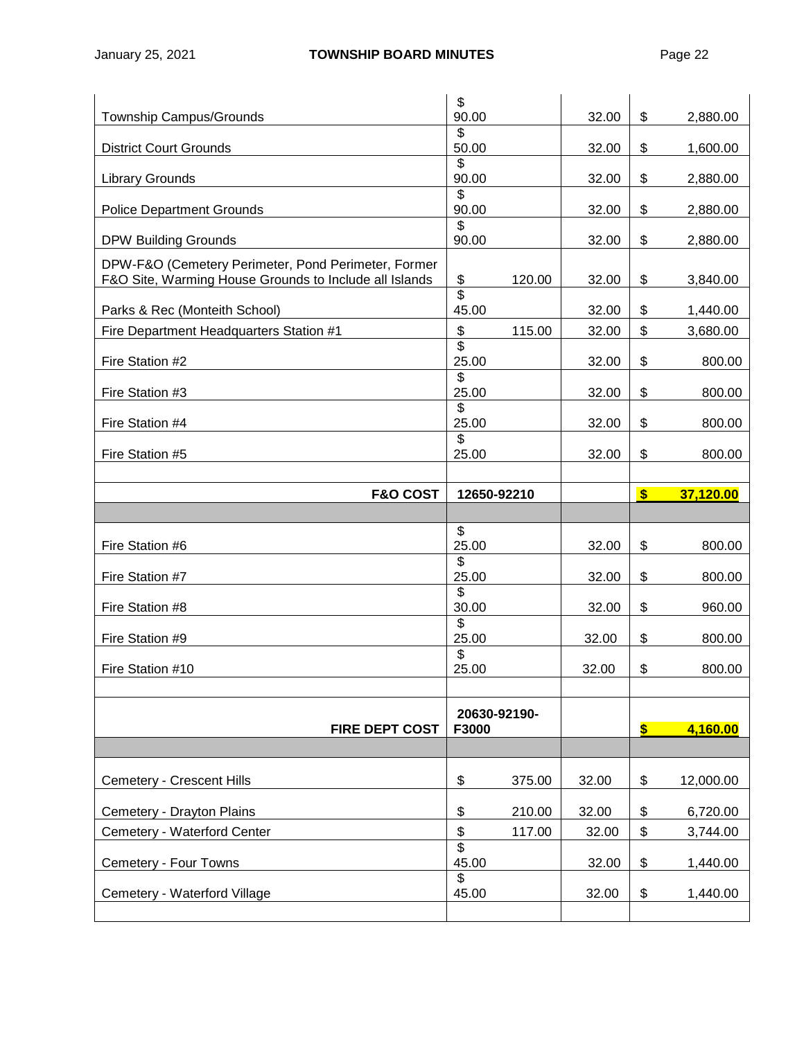| Township Campus/Grounds                                                                                       | \$<br>90.00                       | 32.00           | \$           | 2,880.00  |
|---------------------------------------------------------------------------------------------------------------|-----------------------------------|-----------------|--------------|-----------|
| <b>District Court Grounds</b>                                                                                 | \$<br>50.00                       | 32.00           | \$           | 1,600.00  |
| <b>Library Grounds</b>                                                                                        | \$<br>90.00                       | 32.00           | \$           | 2,880.00  |
| <b>Police Department Grounds</b>                                                                              | \$<br>90.00                       | 32.00           | \$           | 2,880.00  |
| <b>DPW Building Grounds</b>                                                                                   | \$<br>90.00                       | 32.00           | \$           | 2,880.00  |
| DPW-F&O (Cemetery Perimeter, Pond Perimeter, Former<br>F&O Site, Warming House Grounds to Include all Islands | \$                                | 120.00<br>32.00 | \$           | 3,840.00  |
| Parks & Rec (Monteith School)                                                                                 | \$<br>45.00                       | 32.00           | \$           | 1,440.00  |
| Fire Department Headquarters Station #1                                                                       | $\boldsymbol{\mathsf{S}}$         | 115.00<br>32.00 | \$           | 3,680.00  |
| Fire Station #2                                                                                               | \$<br>25.00                       | 32.00           | \$           | 800.00    |
| Fire Station #3                                                                                               | $\overline{\mathcal{S}}$<br>25.00 | 32.00           | \$           | 800.00    |
| Fire Station #4                                                                                               | \$<br>25.00                       | 32.00           | \$           | 800.00    |
| Fire Station #5                                                                                               | \$<br>25.00                       | 32.00           | \$           | 800.00    |
|                                                                                                               |                                   |                 |              |           |
| <b>F&amp;O COST</b>                                                                                           | 12650-92210                       |                 | $\mathbf{s}$ | 37,120.00 |
|                                                                                                               |                                   |                 |              |           |
|                                                                                                               |                                   |                 |              |           |
| Fire Station #6                                                                                               | \$<br>25.00                       | 32.00           | \$           | 800.00    |
| Fire Station #7                                                                                               | \$<br>25.00                       | 32.00           | \$           | 800.00    |
| Fire Station #8                                                                                               | \$<br>30.00                       | 32.00           | \$           | 960.00    |
| Fire Station #9                                                                                               | \$<br>25.00                       | 32.00           | \$           | 800.00    |
| Fire Station #10                                                                                              | \$<br>25.00                       | 32.00           | \$           | 800.00    |
|                                                                                                               |                                   |                 |              |           |
|                                                                                                               | 20630-92190-                      |                 |              |           |
| <b>FIRE DEPT COST</b>                                                                                         | F3000                             |                 | S            | 4,160.00  |
|                                                                                                               |                                   | 32.00           |              |           |
| Cemetery - Crescent Hills                                                                                     | \$                                | 375.00          | \$           | 12,000.00 |
| Cemetery - Drayton Plains                                                                                     | \$                                | 210.00<br>32.00 | \$           | 6,720.00  |
| Cemetery - Waterford Center                                                                                   | \$<br>$\overline{\mathcal{S}}$    | 117.00<br>32.00 | \$           | 3,744.00  |
| Cemetery - Four Towns                                                                                         | 45.00<br>\$                       | 32.00           | \$           | 1,440.00  |
| Cemetery - Waterford Village                                                                                  | 45.00                             | 32.00           | \$           | 1,440.00  |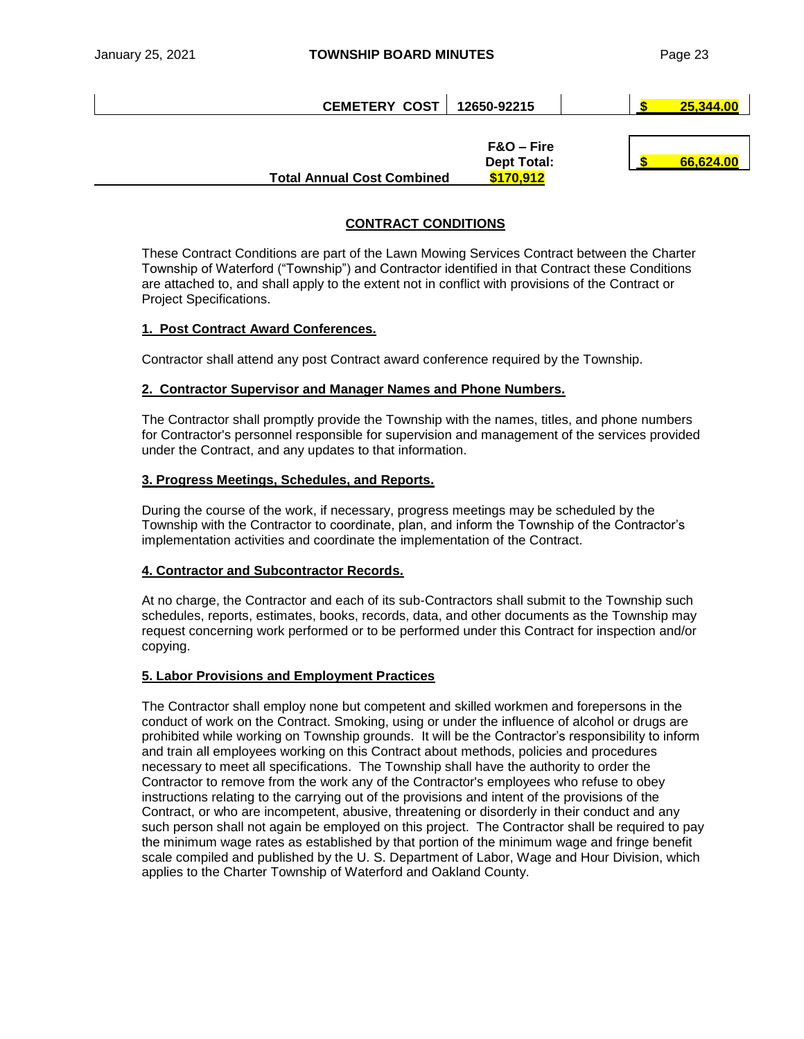| <b>CEMETERY COST</b>              | 12650-92215                                   | 25,344.00 |
|-----------------------------------|-----------------------------------------------|-----------|
| <b>Total Annual Cost Combined</b> | $F&O-Fire$<br><b>Dept Total:</b><br>\$170,912 | 66,624.00 |

# **CONTRACT CONDITIONS**

These Contract Conditions are part of the Lawn Mowing Services Contract between the Charter Township of Waterford ("Township") and Contractor identified in that Contract these Conditions are attached to, and shall apply to the extent not in conflict with provisions of the Contract or Project Specifications.

# **1. Post Contract Award Conferences.**

Contractor shall attend any post Contract award conference required by the Township.

# **2. Contractor Supervisor and Manager Names and Phone Numbers.**

The Contractor shall promptly provide the Township with the names, titles, and phone numbers for Contractor's personnel responsible for supervision and management of the services provided under the Contract, and any updates to that information.

# **3. Progress Meetings, Schedules, and Reports.**

During the course of the work, if necessary, progress meetings may be scheduled by the Township with the Contractor to coordinate, plan, and inform the Township of the Contractor's implementation activities and coordinate the implementation of the Contract.

#### **4. Contractor and Subcontractor Records.**

At no charge, the Contractor and each of its sub-Contractors shall submit to the Township such schedules, reports, estimates, books, records, data, and other documents as the Township may request concerning work performed or to be performed under this Contract for inspection and/or copying.

#### **5. Labor Provisions and Employment Practices**

The Contractor shall employ none but competent and skilled workmen and forepersons in the conduct of work on the Contract. Smoking, using or under the influence of alcohol or drugs are prohibited while working on Township grounds. It will be the Contractor's responsibility to inform and train all employees working on this Contract about methods, policies and procedures necessary to meet all specifications. The Township shall have the authority to order the Contractor to remove from the work any of the Contractor's employees who refuse to obey instructions relating to the carrying out of the provisions and intent of the provisions of the Contract, or who are incompetent, abusive, threatening or disorderly in their conduct and any such person shall not again be employed on this project. The Contractor shall be required to pay the minimum wage rates as established by that portion of the minimum wage and fringe benefit scale compiled and published by the U. S. Department of Labor, Wage and Hour Division, which applies to the Charter Township of Waterford and Oakland County.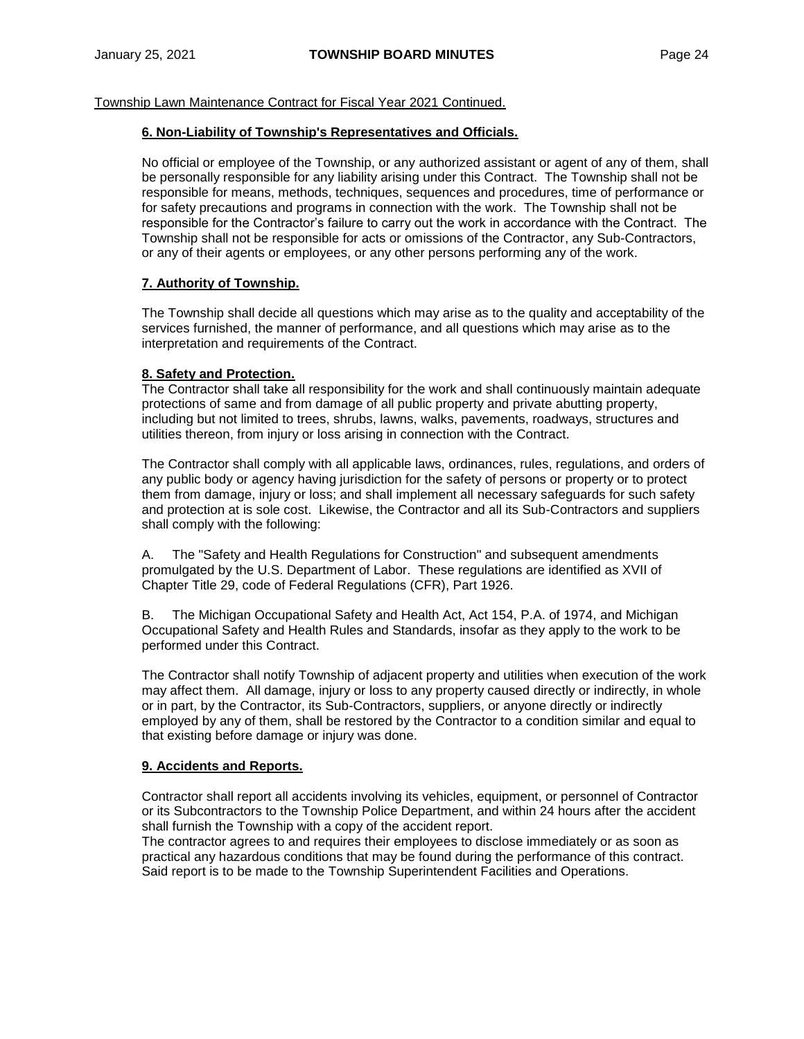#### **6. Non-Liability of Township's Representatives and Officials.**

No official or employee of the Township, or any authorized assistant or agent of any of them, shall be personally responsible for any liability arising under this Contract. The Township shall not be responsible for means, methods, techniques, sequences and procedures, time of performance or for safety precautions and programs in connection with the work. The Township shall not be responsible for the Contractor's failure to carry out the work in accordance with the Contract. The Township shall not be responsible for acts or omissions of the Contractor, any Sub-Contractors, or any of their agents or employees, or any other persons performing any of the work.

#### **7. Authority of Township.**

The Township shall decide all questions which may arise as to the quality and acceptability of the services furnished, the manner of performance, and all questions which may arise as to the interpretation and requirements of the Contract.

#### **8. Safety and Protection.**

The Contractor shall take all responsibility for the work and shall continuously maintain adequate protections of same and from damage of all public property and private abutting property, including but not limited to trees, shrubs, lawns, walks, pavements, roadways, structures and utilities thereon, from injury or loss arising in connection with the Contract.

The Contractor shall comply with all applicable laws, ordinances, rules, regulations, and orders of any public body or agency having jurisdiction for the safety of persons or property or to protect them from damage, injury or loss; and shall implement all necessary safeguards for such safety and protection at is sole cost. Likewise, the Contractor and all its Sub-Contractors and suppliers shall comply with the following:

A. The "Safety and Health Regulations for Construction" and subsequent amendments promulgated by the U.S. Department of Labor. These regulations are identified as XVII of Chapter Title 29, code of Federal Regulations (CFR), Part 1926.

B. The Michigan Occupational Safety and Health Act, Act 154, P.A. of 1974, and Michigan Occupational Safety and Health Rules and Standards, insofar as they apply to the work to be performed under this Contract.

The Contractor shall notify Township of adjacent property and utilities when execution of the work may affect them. All damage, injury or loss to any property caused directly or indirectly, in whole or in part, by the Contractor, its Sub-Contractors, suppliers, or anyone directly or indirectly employed by any of them, shall be restored by the Contractor to a condition similar and equal to that existing before damage or injury was done.

#### **9. Accidents and Reports.**

Contractor shall report all accidents involving its vehicles, equipment, or personnel of Contractor or its Subcontractors to the Township Police Department, and within 24 hours after the accident shall furnish the Township with a copy of the accident report.

The contractor agrees to and requires their employees to disclose immediately or as soon as practical any hazardous conditions that may be found during the performance of this contract. Said report is to be made to the Township Superintendent Facilities and Operations.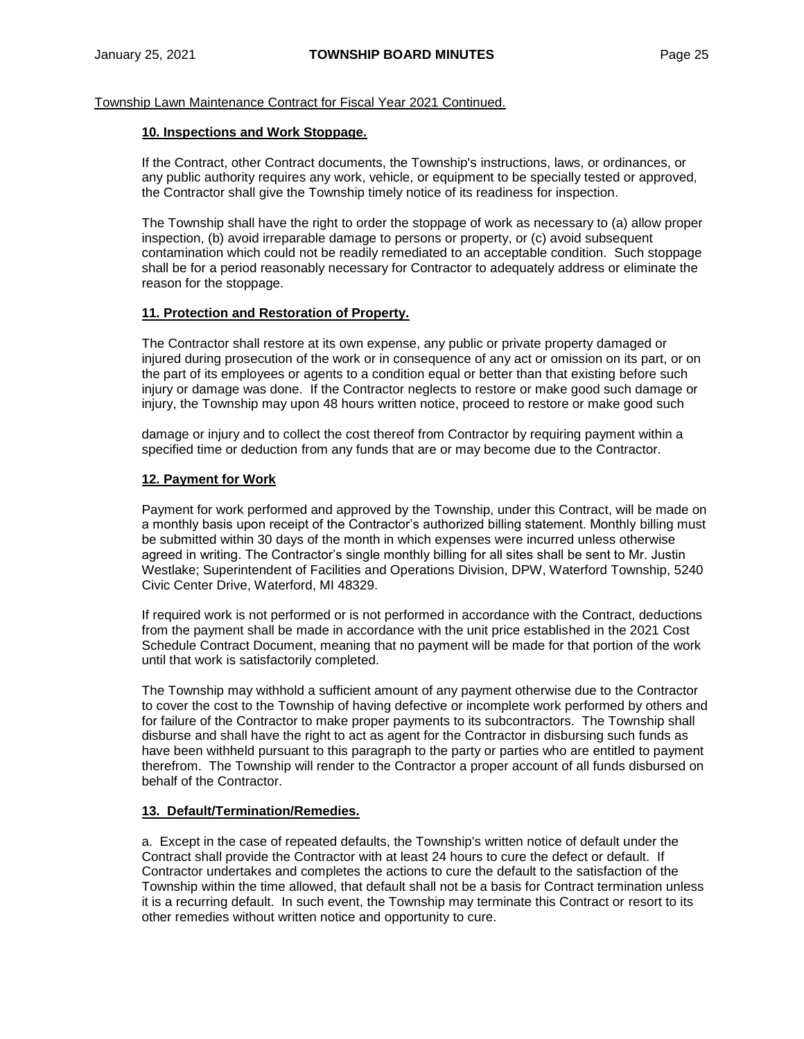#### **10. Inspections and Work Stoppage.**

If the Contract, other Contract documents, the Township's instructions, laws, or ordinances, or any public authority requires any work, vehicle, or equipment to be specially tested or approved, the Contractor shall give the Township timely notice of its readiness for inspection.

The Township shall have the right to order the stoppage of work as necessary to (a) allow proper inspection, (b) avoid irreparable damage to persons or property, or (c) avoid subsequent contamination which could not be readily remediated to an acceptable condition. Such stoppage shall be for a period reasonably necessary for Contractor to adequately address or eliminate the reason for the stoppage.

#### **11. Protection and Restoration of Property.**

The Contractor shall restore at its own expense, any public or private property damaged or injured during prosecution of the work or in consequence of any act or omission on its part, or on the part of its employees or agents to a condition equal or better than that existing before such injury or damage was done. If the Contractor neglects to restore or make good such damage or injury, the Township may upon 48 hours written notice, proceed to restore or make good such

damage or injury and to collect the cost thereof from Contractor by requiring payment within a specified time or deduction from any funds that are or may become due to the Contractor.

#### **12. Payment for Work**

Payment for work performed and approved by the Township, under this Contract, will be made on a monthly basis upon receipt of the Contractor's authorized billing statement. Monthly billing must be submitted within 30 days of the month in which expenses were incurred unless otherwise agreed in writing. The Contractor's single monthly billing for all sites shall be sent to Mr. Justin Westlake; Superintendent of Facilities and Operations Division, DPW, Waterford Township, 5240 Civic Center Drive, Waterford, MI 48329.

If required work is not performed or is not performed in accordance with the Contract, deductions from the payment shall be made in accordance with the unit price established in the 2021 Cost Schedule Contract Document, meaning that no payment will be made for that portion of the work until that work is satisfactorily completed.

The Township may withhold a sufficient amount of any payment otherwise due to the Contractor to cover the cost to the Township of having defective or incomplete work performed by others and for failure of the Contractor to make proper payments to its subcontractors. The Township shall disburse and shall have the right to act as agent for the Contractor in disbursing such funds as have been withheld pursuant to this paragraph to the party or parties who are entitled to payment therefrom. The Township will render to the Contractor a proper account of all funds disbursed on behalf of the Contractor.

#### **13. Default/Termination/Remedies.**

a. Except in the case of repeated defaults, the Township's written notice of default under the Contract shall provide the Contractor with at least 24 hours to cure the defect or default. If Contractor undertakes and completes the actions to cure the default to the satisfaction of the Township within the time allowed, that default shall not be a basis for Contract termination unless it is a recurring default. In such event, the Township may terminate this Contract or resort to its other remedies without written notice and opportunity to cure.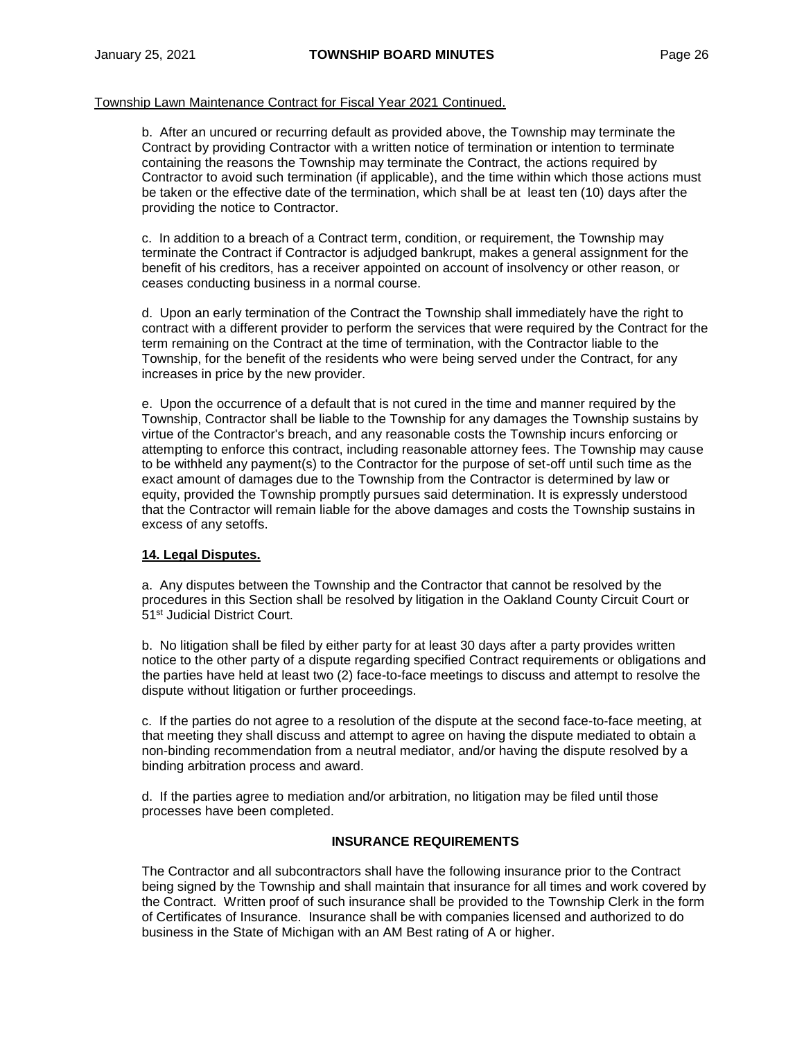b. After an uncured or recurring default as provided above, the Township may terminate the Contract by providing Contractor with a written notice of termination or intention to terminate containing the reasons the Township may terminate the Contract, the actions required by Contractor to avoid such termination (if applicable), and the time within which those actions must be taken or the effective date of the termination, which shall be at least ten (10) days after the providing the notice to Contractor.

c. In addition to a breach of a Contract term, condition, or requirement, the Township may terminate the Contract if Contractor is adjudged bankrupt, makes a general assignment for the benefit of his creditors, has a receiver appointed on account of insolvency or other reason, or ceases conducting business in a normal course.

d. Upon an early termination of the Contract the Township shall immediately have the right to contract with a different provider to perform the services that were required by the Contract for the term remaining on the Contract at the time of termination, with the Contractor liable to the Township, for the benefit of the residents who were being served under the Contract, for any increases in price by the new provider.

e. Upon the occurrence of a default that is not cured in the time and manner required by the Township, Contractor shall be liable to the Township for any damages the Township sustains by virtue of the Contractor's breach, and any reasonable costs the Township incurs enforcing or attempting to enforce this contract, including reasonable attorney fees. The Township may cause to be withheld any payment(s) to the Contractor for the purpose of set-off until such time as the exact amount of damages due to the Township from the Contractor is determined by law or equity, provided the Township promptly pursues said determination. It is expressly understood that the Contractor will remain liable for the above damages and costs the Township sustains in excess of any setoffs.

#### **14. Legal Disputes.**

a. Any disputes between the Township and the Contractor that cannot be resolved by the procedures in this Section shall be resolved by litigation in the Oakland County Circuit Court or 51st Judicial District Court.

b. No litigation shall be filed by either party for at least 30 days after a party provides written notice to the other party of a dispute regarding specified Contract requirements or obligations and the parties have held at least two (2) face-to-face meetings to discuss and attempt to resolve the dispute without litigation or further proceedings.

c. If the parties do not agree to a resolution of the dispute at the second face-to-face meeting, at that meeting they shall discuss and attempt to agree on having the dispute mediated to obtain a non-binding recommendation from a neutral mediator, and/or having the dispute resolved by a binding arbitration process and award.

d. If the parties agree to mediation and/or arbitration, no litigation may be filed until those processes have been completed.

#### **INSURANCE REQUIREMENTS**

The Contractor and all subcontractors shall have the following insurance prior to the Contract being signed by the Township and shall maintain that insurance for all times and work covered by the Contract. Written proof of such insurance shall be provided to the Township Clerk in the form of Certificates of Insurance. Insurance shall be with companies licensed and authorized to do business in the State of Michigan with an AM Best rating of A or higher.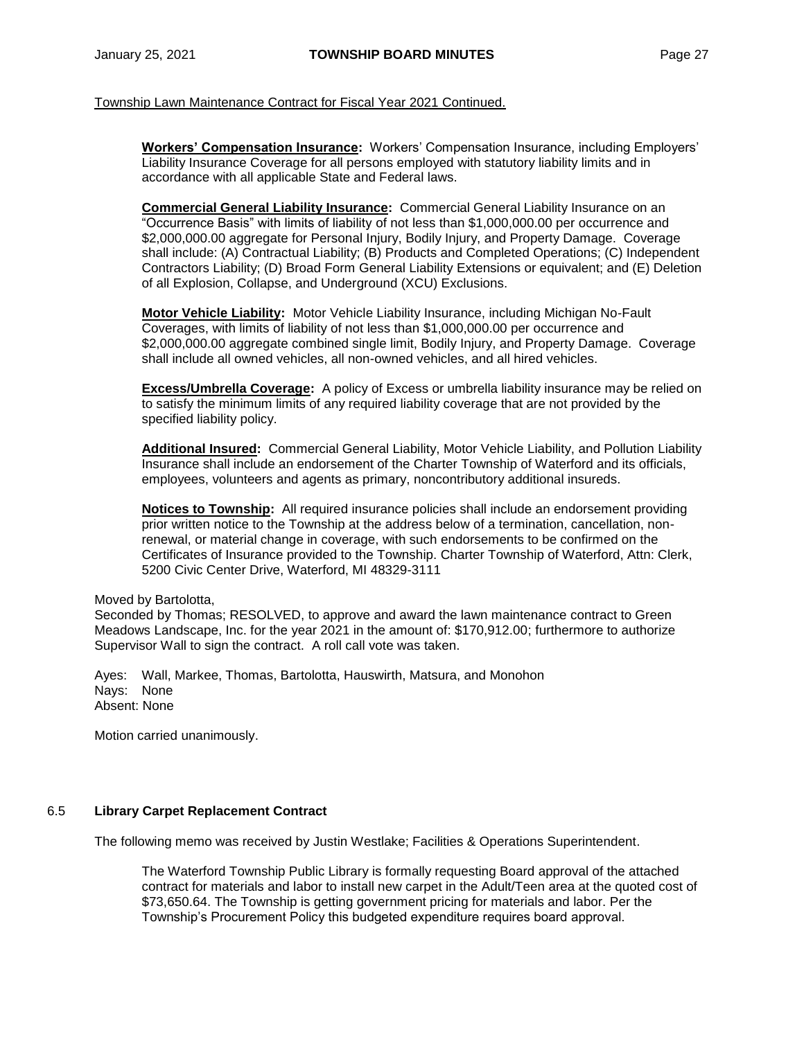**Workers' Compensation Insurance:** Workers' Compensation Insurance, including Employers' Liability Insurance Coverage for all persons employed with statutory liability limits and in accordance with all applicable State and Federal laws.

**Commercial General Liability Insurance:** Commercial General Liability Insurance on an "Occurrence Basis" with limits of liability of not less than \$1,000,000.00 per occurrence and \$2,000,000.00 aggregate for Personal Injury, Bodily Injury, and Property Damage. Coverage shall include: (A) Contractual Liability; (B) Products and Completed Operations; (C) Independent Contractors Liability; (D) Broad Form General Liability Extensions or equivalent; and (E) Deletion of all Explosion, Collapse, and Underground (XCU) Exclusions.

**Motor Vehicle Liability:** Motor Vehicle Liability Insurance, including Michigan No-Fault Coverages, with limits of liability of not less than \$1,000,000.00 per occurrence and \$2,000,000.00 aggregate combined single limit, Bodily Injury, and Property Damage. Coverage shall include all owned vehicles, all non-owned vehicles, and all hired vehicles.

**Excess/Umbrella Coverage:** A policy of Excess or umbrella liability insurance may be relied on to satisfy the minimum limits of any required liability coverage that are not provided by the specified liability policy.

**Additional Insured:** Commercial General Liability, Motor Vehicle Liability, and Pollution Liability Insurance shall include an endorsement of the Charter Township of Waterford and its officials, employees, volunteers and agents as primary, noncontributory additional insureds.

**Notices to Township:** All required insurance policies shall include an endorsement providing prior written notice to the Township at the address below of a termination, cancellation, nonrenewal, or material change in coverage, with such endorsements to be confirmed on the Certificates of Insurance provided to the Township. Charter Township of Waterford, Attn: Clerk, 5200 Civic Center Drive, Waterford, MI 48329-3111

Moved by Bartolotta,

Seconded by Thomas; RESOLVED, to approve and award the lawn maintenance contract to Green Meadows Landscape, Inc. for the year 2021 in the amount of: \$170,912.00; furthermore to authorize Supervisor Wall to sign the contract. A roll call vote was taken.

Ayes: Wall, Markee, Thomas, Bartolotta, Hauswirth, Matsura, and Monohon Nays: None Absent: None

Motion carried unanimously.

#### 6.5 **Library Carpet Replacement Contract**

The following memo was received by Justin Westlake; Facilities & Operations Superintendent.

The Waterford Township Public Library is formally requesting Board approval of the attached contract for materials and labor to install new carpet in the Adult/Teen area at the quoted cost of \$73,650.64. The Township is getting government pricing for materials and labor. Per the Township's Procurement Policy this budgeted expenditure requires board approval.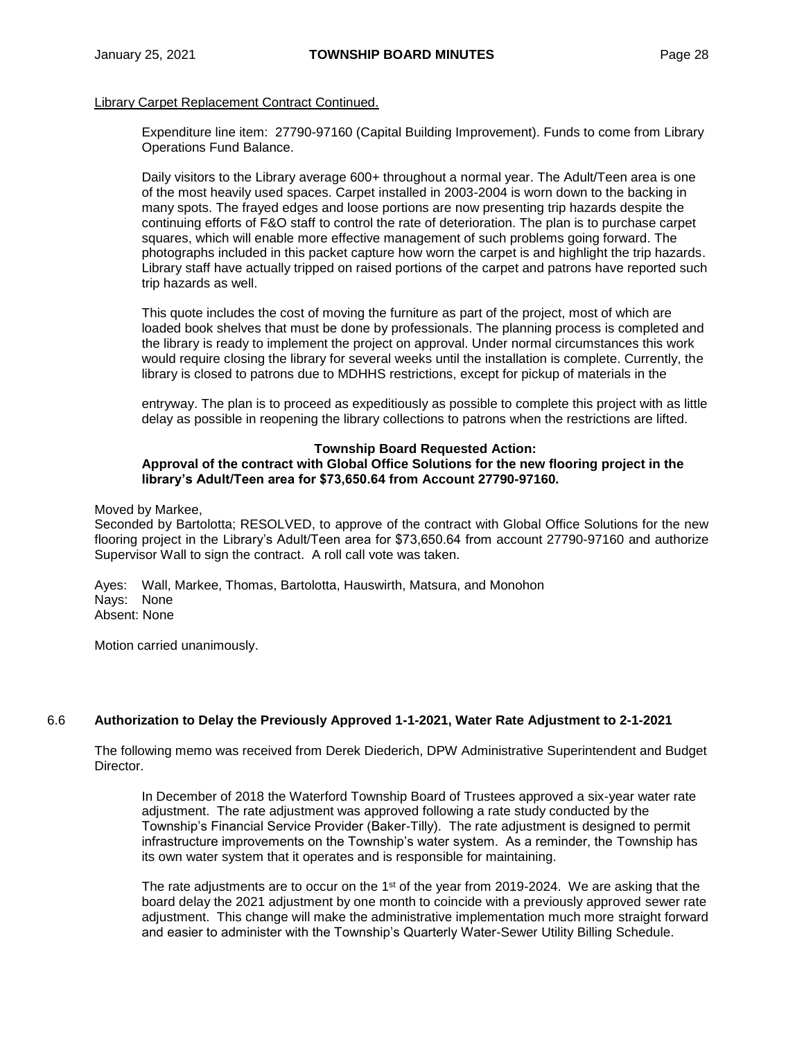#### Library Carpet Replacement Contract Continued.

Expenditure line item: 27790-97160 (Capital Building Improvement). Funds to come from Library Operations Fund Balance.

Daily visitors to the Library average 600+ throughout a normal year. The Adult/Teen area is one of the most heavily used spaces. Carpet installed in 2003-2004 is worn down to the backing in many spots. The frayed edges and loose portions are now presenting trip hazards despite the continuing efforts of F&O staff to control the rate of deterioration. The plan is to purchase carpet squares, which will enable more effective management of such problems going forward. The photographs included in this packet capture how worn the carpet is and highlight the trip hazards. Library staff have actually tripped on raised portions of the carpet and patrons have reported such trip hazards as well.

This quote includes the cost of moving the furniture as part of the project, most of which are loaded book shelves that must be done by professionals. The planning process is completed and the library is ready to implement the project on approval. Under normal circumstances this work would require closing the library for several weeks until the installation is complete. Currently, the library is closed to patrons due to MDHHS restrictions, except for pickup of materials in the

entryway. The plan is to proceed as expeditiously as possible to complete this project with as little delay as possible in reopening the library collections to patrons when the restrictions are lifted.

#### **Township Board Requested Action:**

# **Approval of the contract with Global Office Solutions for the new flooring project in the library's Adult/Teen area for \$73,650.64 from Account 27790-97160.**

Moved by Markee,

Seconded by Bartolotta; RESOLVED, to approve of the contract with Global Office Solutions for the new flooring project in the Library's Adult/Teen area for \$73,650.64 from account 27790-97160 and authorize Supervisor Wall to sign the contract. A roll call vote was taken.

Ayes: Wall, Markee, Thomas, Bartolotta, Hauswirth, Matsura, and Monohon Nays: None Absent: None

Motion carried unanimously.

#### 6.6 **Authorization to Delay the Previously Approved 1-1-2021, Water Rate Adjustment to 2-1-2021**

The following memo was received from Derek Diederich, DPW Administrative Superintendent and Budget Director.

In December of 2018 the Waterford Township Board of Trustees approved a six-year water rate adjustment. The rate adjustment was approved following a rate study conducted by the Township's Financial Service Provider (Baker-Tilly). The rate adjustment is designed to permit infrastructure improvements on the Township's water system. As a reminder, the Township has its own water system that it operates and is responsible for maintaining.

The rate adjustments are to occur on the 1 $st$  of the year from 2019-2024. We are asking that the board delay the 2021 adjustment by one month to coincide with a previously approved sewer rate adjustment. This change will make the administrative implementation much more straight forward and easier to administer with the Township's Quarterly Water-Sewer Utility Billing Schedule.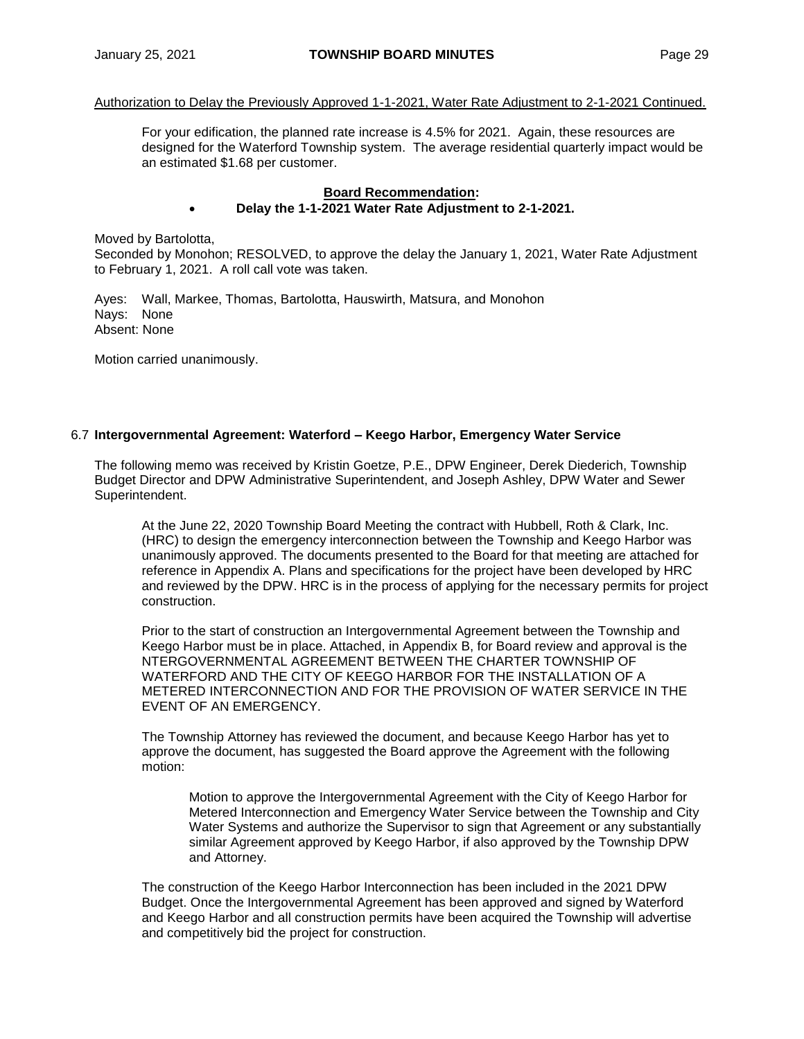#### Authorization to Delay the Previously Approved 1-1-2021, Water Rate Adjustment to 2-1-2021 Continued.

For your edification, the planned rate increase is 4.5% for 2021. Again, these resources are designed for the Waterford Township system. The average residential quarterly impact would be an estimated \$1.68 per customer.

## **Board Recommendation:**

#### **Delay the 1-1-2021 Water Rate Adjustment to 2-1-2021.**

Moved by Bartolotta,

Seconded by Monohon; RESOLVED, to approve the delay the January 1, 2021, Water Rate Adjustment to February 1, 2021. A roll call vote was taken.

Ayes: Wall, Markee, Thomas, Bartolotta, Hauswirth, Matsura, and Monohon Nays: None Absent: None

Motion carried unanimously.

#### 6.7 **Intergovernmental Agreement: Waterford – Keego Harbor, Emergency Water Service**

The following memo was received by Kristin Goetze, P.E., DPW Engineer, Derek Diederich, Township Budget Director and DPW Administrative Superintendent, and Joseph Ashley, DPW Water and Sewer Superintendent.

At the June 22, 2020 Township Board Meeting the contract with Hubbell, Roth & Clark, Inc. (HRC) to design the emergency interconnection between the Township and Keego Harbor was unanimously approved. The documents presented to the Board for that meeting are attached for reference in Appendix A. Plans and specifications for the project have been developed by HRC and reviewed by the DPW. HRC is in the process of applying for the necessary permits for project construction.

Prior to the start of construction an Intergovernmental Agreement between the Township and Keego Harbor must be in place. Attached, in Appendix B, for Board review and approval is the NTERGOVERNMENTAL AGREEMENT BETWEEN THE CHARTER TOWNSHIP OF WATERFORD AND THE CITY OF KEEGO HARBOR FOR THE INSTALLATION OF A METERED INTERCONNECTION AND FOR THE PROVISION OF WATER SERVICE IN THE EVENT OF AN EMERGENCY.

The Township Attorney has reviewed the document, and because Keego Harbor has yet to approve the document, has suggested the Board approve the Agreement with the following motion:

Motion to approve the Intergovernmental Agreement with the City of Keego Harbor for Metered Interconnection and Emergency Water Service between the Township and City Water Systems and authorize the Supervisor to sign that Agreement or any substantially similar Agreement approved by Keego Harbor, if also approved by the Township DPW and Attorney.

The construction of the Keego Harbor Interconnection has been included in the 2021 DPW Budget. Once the Intergovernmental Agreement has been approved and signed by Waterford and Keego Harbor and all construction permits have been acquired the Township will advertise and competitively bid the project for construction.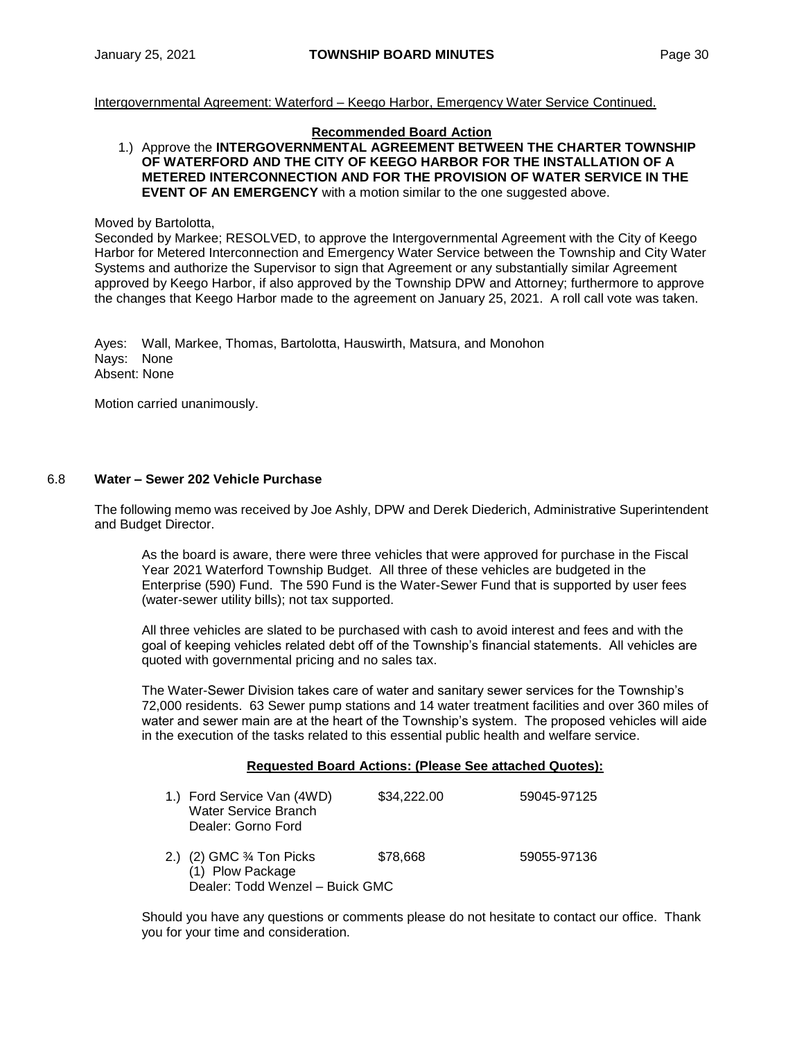Intergovernmental Agreement: Waterford – Keego Harbor, Emergency Water Service Continued.

#### **Recommended Board Action**

#### 1.) Approve the **INTERGOVERNMENTAL AGREEMENT BETWEEN THE CHARTER TOWNSHIP OF WATERFORD AND THE CITY OF KEEGO HARBOR FOR THE INSTALLATION OF A METERED INTERCONNECTION AND FOR THE PROVISION OF WATER SERVICE IN THE EVENT OF AN EMERGENCY** with a motion similar to the one suggested above.

Moved by Bartolotta,

Seconded by Markee; RESOLVED, to approve the Intergovernmental Agreement with the City of Keego Harbor for Metered Interconnection and Emergency Water Service between the Township and City Water Systems and authorize the Supervisor to sign that Agreement or any substantially similar Agreement approved by Keego Harbor, if also approved by the Township DPW and Attorney; furthermore to approve the changes that Keego Harbor made to the agreement on January 25, 2021. A roll call vote was taken.

Ayes: Wall, Markee, Thomas, Bartolotta, Hauswirth, Matsura, and Monohon Nays: None Absent: None

Motion carried unanimously.

# 6.8 **Water – Sewer 202 Vehicle Purchase**

The following memo was received by Joe Ashly, DPW and Derek Diederich, Administrative Superintendent and Budget Director.

As the board is aware, there were three vehicles that were approved for purchase in the Fiscal Year 2021 Waterford Township Budget. All three of these vehicles are budgeted in the Enterprise (590) Fund. The 590 Fund is the Water-Sewer Fund that is supported by user fees (water-sewer utility bills); not tax supported.

All three vehicles are slated to be purchased with cash to avoid interest and fees and with the goal of keeping vehicles related debt off of the Township's financial statements. All vehicles are quoted with governmental pricing and no sales tax.

The Water-Sewer Division takes care of water and sanitary sewer services for the Township's 72,000 residents. 63 Sewer pump stations and 14 water treatment facilities and over 360 miles of water and sewer main are at the heart of the Township's system. The proposed vehicles will aide in the execution of the tasks related to this essential public health and welfare service.

#### **Requested Board Actions: (Please See attached Quotes):**

| 1.) Ford Service Van (4WD)<br>Water Service Branch<br>Dealer: Gorno Ford       | \$34,222.00 | 59045-97125 |
|--------------------------------------------------------------------------------|-------------|-------------|
| 2.) (2) GMC ¾ Ton Picks<br>(1) Plow Package<br>Dealer: Todd Wenzel - Buick GMC | \$78,668    | 59055-97136 |

Should you have any questions or comments please do not hesitate to contact our office. Thank you for your time and consideration.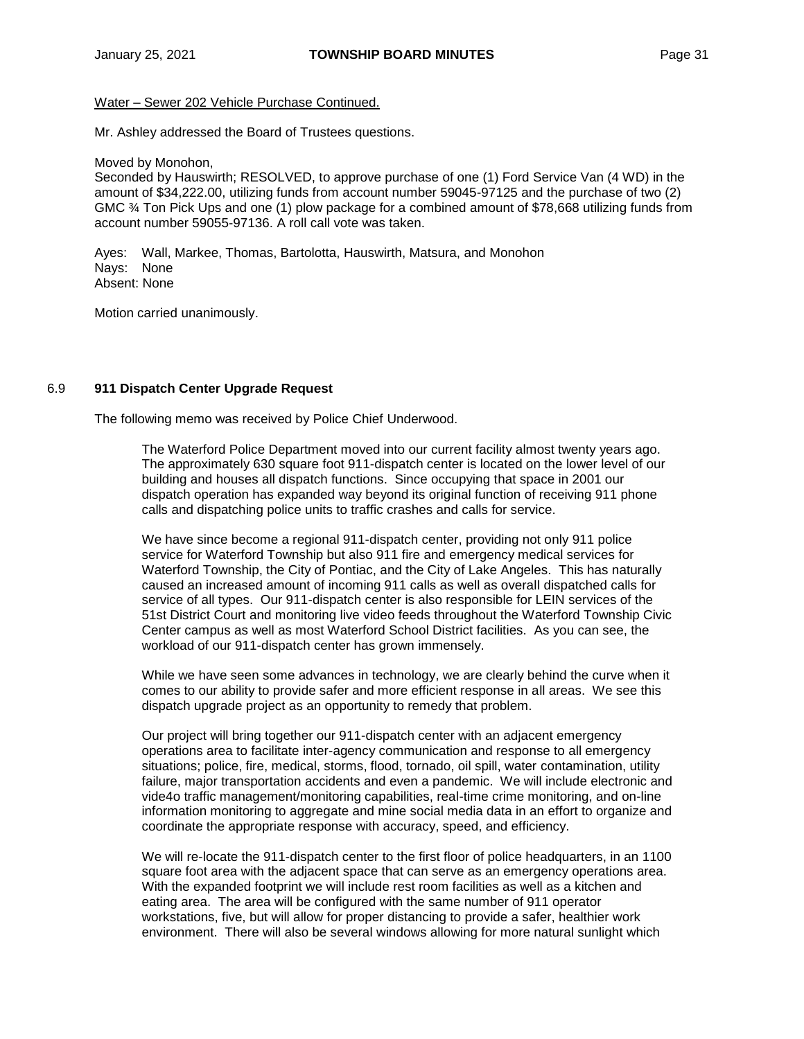#### Water – Sewer 202 Vehicle Purchase Continued.

Mr. Ashley addressed the Board of Trustees questions.

Moved by Monohon,

Seconded by Hauswirth; RESOLVED, to approve purchase of one (1) Ford Service Van (4 WD) in the amount of \$34,222.00, utilizing funds from account number 59045-97125 and the purchase of two (2) GMC ¾ Ton Pick Ups and one (1) plow package for a combined amount of \$78,668 utilizing funds from account number 59055-97136. A roll call vote was taken.

Ayes: Wall, Markee, Thomas, Bartolotta, Hauswirth, Matsura, and Monohon Nays: None Absent: None

Motion carried unanimously.

#### 6.9 **911 Dispatch Center Upgrade Request**

The following memo was received by Police Chief Underwood.

The Waterford Police Department moved into our current facility almost twenty years ago. The approximately 630 square foot 911-dispatch center is located on the lower level of our building and houses all dispatch functions. Since occupying that space in 2001 our dispatch operation has expanded way beyond its original function of receiving 911 phone calls and dispatching police units to traffic crashes and calls for service.

We have since become a regional 911-dispatch center, providing not only 911 police service for Waterford Township but also 911 fire and emergency medical services for Waterford Township, the City of Pontiac, and the City of Lake Angeles. This has naturally caused an increased amount of incoming 911 calls as well as overall dispatched calls for service of all types. Our 911-dispatch center is also responsible for LEIN services of the 51st District Court and monitoring live video feeds throughout the Waterford Township Civic Center campus as well as most Waterford School District facilities. As you can see, the workload of our 911-dispatch center has grown immensely.

While we have seen some advances in technology, we are clearly behind the curve when it comes to our ability to provide safer and more efficient response in all areas. We see this dispatch upgrade project as an opportunity to remedy that problem.

Our project will bring together our 911-dispatch center with an adjacent emergency operations area to facilitate inter-agency communication and response to all emergency situations; police, fire, medical, storms, flood, tornado, oil spill, water contamination, utility failure, major transportation accidents and even a pandemic. We will include electronic and vide4o traffic management/monitoring capabilities, real-time crime monitoring, and on-line information monitoring to aggregate and mine social media data in an effort to organize and coordinate the appropriate response with accuracy, speed, and efficiency.

We will re-locate the 911-dispatch center to the first floor of police headquarters, in an 1100 square foot area with the adjacent space that can serve as an emergency operations area. With the expanded footprint we will include rest room facilities as well as a kitchen and eating area. The area will be configured with the same number of 911 operator workstations, five, but will allow for proper distancing to provide a safer, healthier work environment. There will also be several windows allowing for more natural sunlight which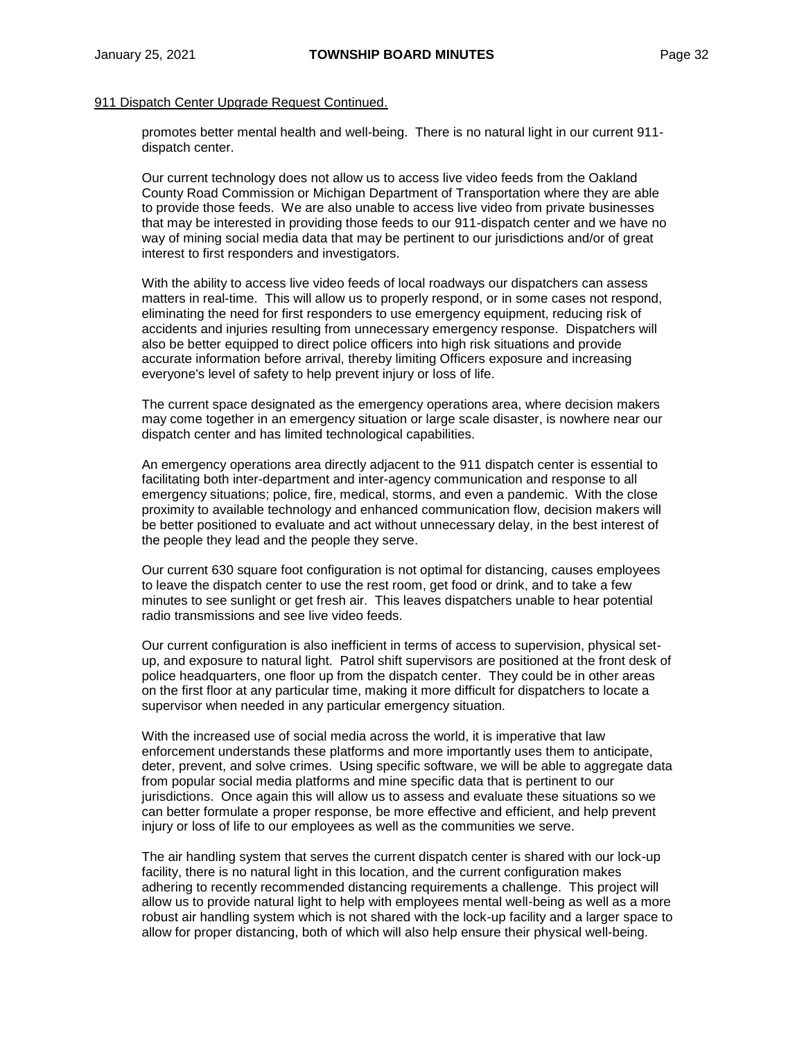### 911 Dispatch Center Upgrade Request Continued.

promotes better mental health and well-being. There is no natural light in our current 911 dispatch center.

Our current technology does not allow us to access live video feeds from the Oakland County Road Commission or Michigan Department of Transportation where they are able to provide those feeds. We are also unable to access live video from private businesses that may be interested in providing those feeds to our 911-dispatch center and we have no way of mining social media data that may be pertinent to our jurisdictions and/or of great interest to first responders and investigators.

With the ability to access live video feeds of local roadways our dispatchers can assess matters in real-time. This will allow us to properly respond, or in some cases not respond, eliminating the need for first responders to use emergency equipment, reducing risk of accidents and injuries resulting from unnecessary emergency response. Dispatchers will also be better equipped to direct police officers into high risk situations and provide accurate information before arrival, thereby limiting Officers exposure and increasing everyone's level of safety to help prevent injury or loss of life.

The current space designated as the emergency operations area, where decision makers may come together in an emergency situation or large scale disaster, is nowhere near our dispatch center and has limited technological capabilities.

An emergency operations area directly adjacent to the 911 dispatch center is essential to facilitating both inter-department and inter-agency communication and response to all emergency situations; police, fire, medical, storms, and even a pandemic. With the close proximity to available technology and enhanced communication flow, decision makers will be better positioned to evaluate and act without unnecessary delay, in the best interest of the people they lead and the people they serve.

Our current 630 square foot configuration is not optimal for distancing, causes employees to leave the dispatch center to use the rest room, get food or drink, and to take a few minutes to see sunlight or get fresh air. This leaves dispatchers unable to hear potential radio transmissions and see live video feeds.

Our current configuration is also inefficient in terms of access to supervision, physical setup, and exposure to natural light. Patrol shift supervisors are positioned at the front desk of police headquarters, one floor up from the dispatch center. They could be in other areas on the first floor at any particular time, making it more difficult for dispatchers to locate a supervisor when needed in any particular emergency situation.

With the increased use of social media across the world, it is imperative that law enforcement understands these platforms and more importantly uses them to anticipate, deter, prevent, and solve crimes. Using specific software, we will be able to aggregate data from popular social media platforms and mine specific data that is pertinent to our jurisdictions. Once again this will allow us to assess and evaluate these situations so we can better formulate a proper response, be more effective and efficient, and help prevent injury or loss of life to our employees as well as the communities we serve.

The air handling system that serves the current dispatch center is shared with our lock-up facility, there is no natural light in this location, and the current configuration makes adhering to recently recommended distancing requirements a challenge. This project will allow us to provide natural light to help with employees mental well-being as well as a more robust air handling system which is not shared with the lock-up facility and a larger space to allow for proper distancing, both of which will also help ensure their physical well-being.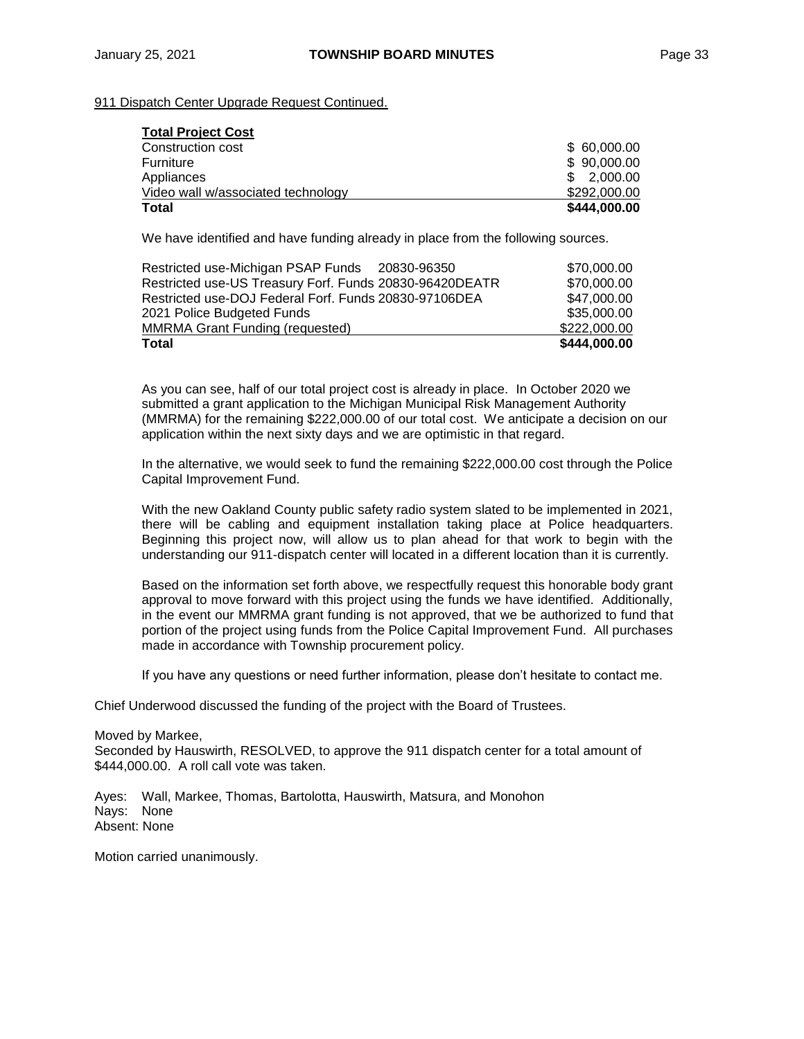# 911 Dispatch Center Upgrade Request Continued.

| <b>Total Project Cost</b>          |              |
|------------------------------------|--------------|
| Construction cost                  | \$60,000.00  |
| Furniture                          | \$90,000.00  |
| Appliances                         | \$2.000.00   |
| Video wall w/associated technology | \$292,000.00 |
| <b>Total</b>                       | \$444,000.00 |

We have identified and have funding already in place from the following sources.

| <b>Total</b>                                            | \$444,000.00 |
|---------------------------------------------------------|--------------|
| <b>MMRMA Grant Funding (requested)</b>                  | \$222,000.00 |
| 2021 Police Budgeted Funds                              | \$35,000.00  |
| Restricted use-DOJ Federal Forf. Funds 20830-97106DEA   | \$47,000.00  |
| Restricted use-US Treasury Forf. Funds 20830-96420DEATR | \$70,000.00  |
| Restricted use-Michigan PSAP Funds 20830-96350          | \$70,000.00  |
|                                                         |              |

As you can see, half of our total project cost is already in place. In October 2020 we submitted a grant application to the Michigan Municipal Risk Management Authority (MMRMA) for the remaining \$222,000.00 of our total cost. We anticipate a decision on our application within the next sixty days and we are optimistic in that regard.

In the alternative, we would seek to fund the remaining \$222,000.00 cost through the Police Capital Improvement Fund.

With the new Oakland County public safety radio system slated to be implemented in 2021, there will be cabling and equipment installation taking place at Police headquarters. Beginning this project now, will allow us to plan ahead for that work to begin with the understanding our 911-dispatch center will located in a different location than it is currently.

Based on the information set forth above, we respectfully request this honorable body grant approval to move forward with this project using the funds we have identified. Additionally, in the event our MMRMA grant funding is not approved, that we be authorized to fund that portion of the project using funds from the Police Capital Improvement Fund. All purchases made in accordance with Township procurement policy.

If you have any questions or need further information, please don't hesitate to contact me.

Chief Underwood discussed the funding of the project with the Board of Trustees.

Moved by Markee, Seconded by Hauswirth, RESOLVED, to approve the 911 dispatch center for a total amount of \$444,000.00. A roll call vote was taken.

Ayes: Wall, Markee, Thomas, Bartolotta, Hauswirth, Matsura, and Monohon Nays: None Absent: None

Motion carried unanimously.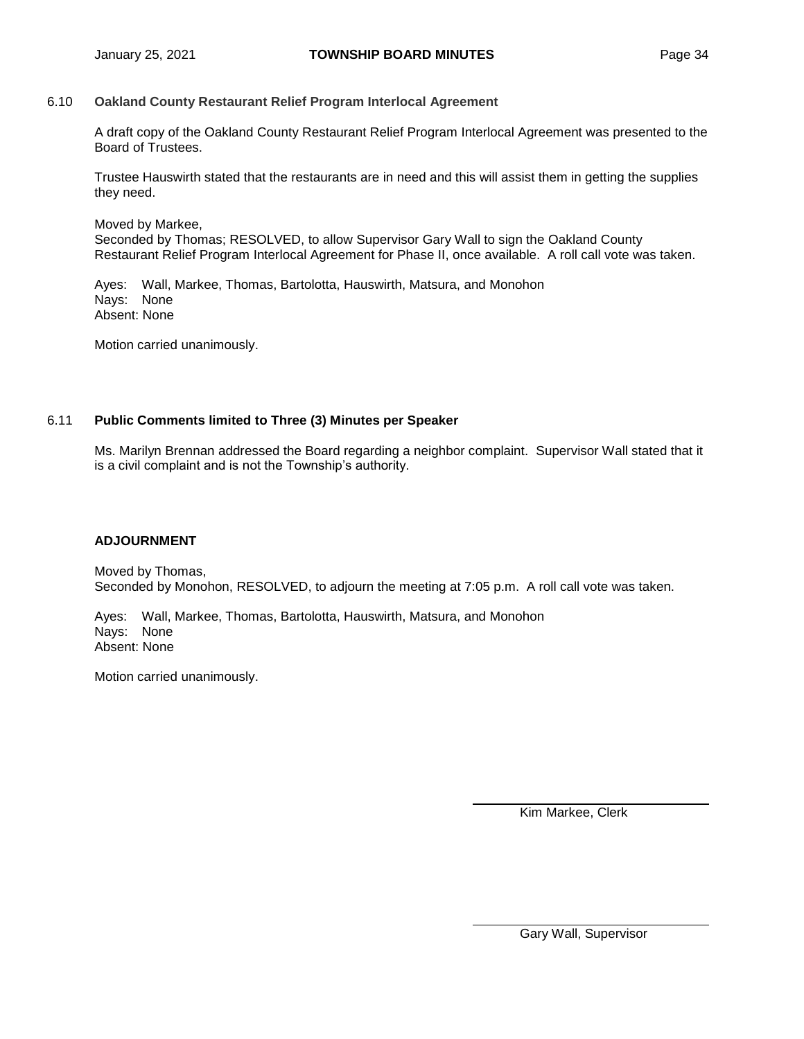# 6.10 **Oakland County Restaurant Relief Program Interlocal Agreement**

A draft copy of the Oakland County Restaurant Relief Program Interlocal Agreement was presented to the Board of Trustees.

Trustee Hauswirth stated that the restaurants are in need and this will assist them in getting the supplies they need.

Moved by Markee,

Seconded by Thomas; RESOLVED, to allow Supervisor Gary Wall to sign the Oakland County Restaurant Relief Program Interlocal Agreement for Phase II, once available. A roll call vote was taken.

Ayes: Wall, Markee, Thomas, Bartolotta, Hauswirth, Matsura, and Monohon Nays: None Absent: None

Motion carried unanimously.

# 6.11 **Public Comments limited to Three (3) Minutes per Speaker**

Ms. Marilyn Brennan addressed the Board regarding a neighbor complaint. Supervisor Wall stated that it is a civil complaint and is not the Township's authority.

#### **ADJOURNMENT**

Moved by Thomas, Seconded by Monohon, RESOLVED, to adjourn the meeting at 7:05 p.m. A roll call vote was taken.

Ayes: Wall, Markee, Thomas, Bartolotta, Hauswirth, Matsura, and Monohon Nays: None Absent: None

Motion carried unanimously.

Kim Markee, Clerk

Gary Wall, Supervisor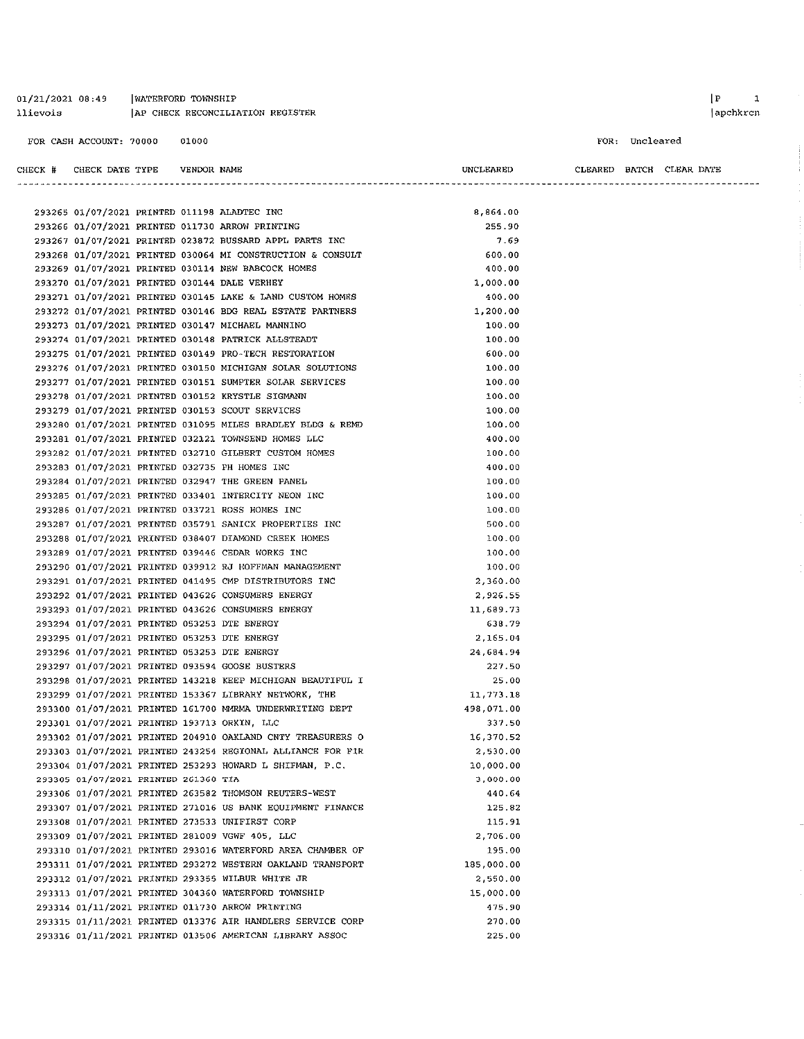#### 01/21/2021 08:49 | WATERFORD TOWNSHIP AP CHECK RECONCILIATION REGISTER llievois

FOR CASH ACCOUNT: 70000 01000

FOR: Uncleared

| CHECK # CHECK DATE TYPE              | VENDOR NAME |                                                            | UNCLEARED  | CLEARED BATCH CLEAR DATE |  |  |
|--------------------------------------|-------------|------------------------------------------------------------|------------|--------------------------|--|--|
|                                      |             |                                                            |            |                          |  |  |
|                                      |             | 293265 01/07/2021 PRINTED 011198 ALADTEC INC               | 8,864.00   |                          |  |  |
|                                      |             | 293266 01/07/2021 PRINTED 011730 ARROW PRINTING            | 255.90     |                          |  |  |
|                                      |             | 293267 01/07/2021 PRINTED 023872 BUSSARD APPL PARTS INC    | 7.69       |                          |  |  |
|                                      |             | 293268 01/07/2021 PRINTED 030064 MI CONSTRUCTION & CONSULT | 600.00     |                          |  |  |
|                                      |             | 293269 01/07/2021 PRINTED 030114 NEW BABCOCK HOMES         | 400.00     |                          |  |  |
|                                      |             | 293270 01/07/2021 PRINTED 030144 DALE VERHEY               | 1,000.00   |                          |  |  |
|                                      |             | 293271 01/07/2021 PRINTED 030145 LAKE & LAND CUSTOM HOMES  | 400.00     |                          |  |  |
|                                      |             | 293272 01/07/2021 PRINTED 030146 BDG REAL ESTATE PARTNERS  | 1,200.00   |                          |  |  |
|                                      |             | 293273 01/07/2021 PRINTED 030147 MICHAEL MANNINO           | 100.00     |                          |  |  |
|                                      |             | 293274 01/07/2021 PRINTED 030148 PATRICK ALLSTEADT         | 100.00     |                          |  |  |
|                                      |             | 293275 01/07/2021 PRINTED 030149 PRO-TECH RESTORATION      | 600.00     |                          |  |  |
|                                      |             | 293276 01/07/2021 PRINTED 030150 MICHIGAN SOLAR SOLUTIONS  | 100.00     |                          |  |  |
|                                      |             | 293277 01/07/2021 PRINTED 030151 SUMPTER SOLAR SERVICES    | 100.00     |                          |  |  |
|                                      |             | 293278 01/07/2021 PRINTED 030152 KRYSTLE SIGMANN           | 100.00     |                          |  |  |
|                                      |             | 293279 01/07/2021 PRINTED 030153 SCOUT SERVICES            | 100.00     |                          |  |  |
|                                      |             | 293280 01/07/2021 PRINTED 031095 MILES BRADLEY BLDG & REMD | 100.00     |                          |  |  |
|                                      |             | 293281 01/07/2021 PRINTED 032121 TOWNSEND HOMES LLC        | 400.00     |                          |  |  |
|                                      |             | 293282 01/07/2021 PRINTED 032710 GILBERT CUSTOM HOMES      | 100.00     |                          |  |  |
|                                      |             | 293283 01/07/2021 PRINTED 032735 PH HOMES INC              | 400.00     |                          |  |  |
|                                      |             | 293284 01/07/2021 PRINTED 032947 THE GREEN PANEL           | 100.00     |                          |  |  |
|                                      |             | 293285 01/07/2021 PRINTED 033401 INTERCITY NEON INC        | 100.00     |                          |  |  |
|                                      |             | 293286 01/07/2021 PRINTED 033721 ROSS HOMES INC            | 100.00     |                          |  |  |
|                                      |             | 293287 01/07/2021 PRINTED 035791 SANICK PROPERTIES INC     | 500.00     |                          |  |  |
|                                      |             | 293288 01/07/2021 PRINTED 038407 DIAMOND CREEK HOMES       | 100.00     |                          |  |  |
|                                      |             | 293289 01/07/2021 PRINTED 039446 CEDAR WORKS INC           | 100.00     |                          |  |  |
|                                      |             | 293290 01/07/2021 PRINTED 039912 RJ HOFFMAN MANAGEMENT     | 100.00     |                          |  |  |
|                                      |             | 293291 01/07/2021 PRINTED 041495 CMP DISTRIBUTORS INC      | 2,360.00   |                          |  |  |
|                                      |             | 293292 01/07/2021 PRINTED 043626 CONSUMERS ENERGY          | 2,926.55   |                          |  |  |
|                                      |             | 293293 01/07/2021 PRINTED 043626 CONSUMERS ENERGY          | 11,689.73  |                          |  |  |
|                                      |             | 293294 01/07/2021 PRINTED 053253 DTE ENERGY                | 638.79     |                          |  |  |
|                                      |             | 293295 01/07/2021 PRINTED 053253 DTE ENERGY                | 2.165.04   |                          |  |  |
|                                      |             | 293296 01/07/2021 PRINTED 053253 DTE ENERGY                | 24 684 94  |                          |  |  |
|                                      |             | 293297 01/07/2021 PRINTED 093594 GOOSE BUSTERS             | 227.50     |                          |  |  |
|                                      |             | 293298 01/07/2021 PRINTED 143218 KEEP MICHIGAN BEAUTIFUL I | 25.00      |                          |  |  |
|                                      |             | 293299 01/07/2021 PRINTED 153367 LIBRARY NETWORK, THE      | 11 773.18  |                          |  |  |
|                                      |             | 293300 01/07/2021 PRINTED 161700 MMRMA UNDERWRITING DEPT   | 498,071.00 |                          |  |  |
|                                      |             | 293301 01/07/2021 PRINTED 193713 ORKIN, LLC                | 337.50     |                          |  |  |
|                                      |             | 293302 01/07/2021 PRINTED 204910 OAKLAND CNTY TREASURERS O | 16,370.52  |                          |  |  |
|                                      |             | 293303 01/07/2021 PRINTED 243254 REGIONAL ALLIANCE FOR FIR | 2,530.00   |                          |  |  |
|                                      |             | 293304 01/07/2021 PRINTED 253293 HOWARD L SHIFMAN, P.C.    | 10,000.00  |                          |  |  |
| 293305 01/07/2021 PRINTED 261360 TIA |             |                                                            | 3.000.00   |                          |  |  |
|                                      |             | 293306 01/07/2021 PRINTED 263582 THOMSON REUTERS-WEST      | 440.64     |                          |  |  |
|                                      |             | 293307 01/07/2021 PRINTED 271016 US BANK EQUIPMENT FINANCE | 125.82     |                          |  |  |
|                                      |             | 293308 01/07/2021 PRINTED 273533 UNIFIRST CORP             | 115.91     |                          |  |  |
|                                      |             | 293309 01/07/2021 PRINTED 281009 VGWF 405, LLC             | 2,706.00   |                          |  |  |
|                                      |             | 293310 01/07/2021 PRINTED 293016 WATERFORD AREA CHAMBER OF | 195,00     |                          |  |  |
|                                      |             | 293311 01/07/2021 PRINTED 293272 WESTERN OAKLAND TRANSPORT | 185,000.00 |                          |  |  |
|                                      |             | 293312 01/07/2021 PRINTED 293355 WILBUR WHITE JR           | 2,550.00   |                          |  |  |
|                                      |             | 293313 01/07/2021 PRINTED 304360 WATERFORD TOWNSHIP        | 15,000.00  |                          |  |  |
|                                      |             | 293314 01/11/2021 PRINTED 011730 ARROW PRINTING            | 475.90     |                          |  |  |
|                                      |             | 293315 01/11/2021 PRINTED 013376 AIR HANDLERS SERVICE CORP | 270.00     |                          |  |  |
|                                      |             | 293316 01/11/2021 PRINTED 013506 AMERICAN LIBRARY ASSOC    | 225.00     |                          |  |  |

#### $\begin{array}{ccc} \mid \textbf{P} & \textbf{1} \end{array}$ apchkrcn

 $\sim$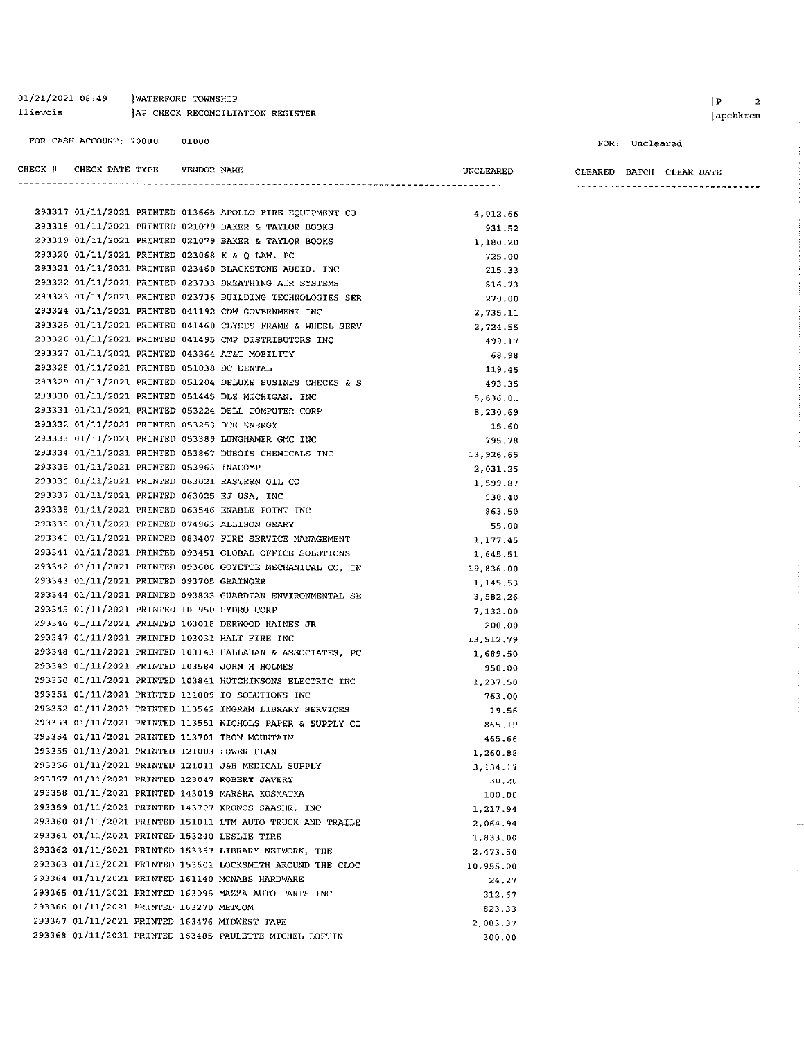01/21/2021 08:49 *NATERFORD TOWNSHIP* llievois TAP CHECK RECONCILIATION REGISTER FOR CASH ACCOUNT: 70000 01000 CHECK # CHECK DATE TYPE VENDOR NAME UNCLEARED CLEARED BATCH CLEAR DATE

293317 01/11/2021 PRINTED 013665 APOLLO FIRE EQUIPMENT CO 4.012.66 293318 01/11/2021 PRINTED 021079 BAKER & TAYLOR BOOKS 931.52 293319 01/11/2021 PRINTED 021079 BAKER & TAYLOR BOOKS 1,180.20 293320 01/11/2021 PRINTED 023068 K & Q LAW, PC 725.00 293321 01/11/2021 PRINTED 023460 BLACKSTONE AUDIO, INC 215.33 293322 01/11/2021 PRINTED 023733 BREATHING AIR SYSTEMS 816.73 293323 01/11/2021 PRINTED 023736 BUILDING TECHNOLOGIES SER 270.00 293324 01/11/2021 PRINTED 041192 CDW GOVERNMENT INC 2.735.11 293325 01/11/2021 PRINTED 041460 CLYDES FRAME & WHEEL SERV 2.724.55 293326 01/11/2021 PRINTED 041495 CMP DISTRIBUTORS INC 499.17 293327 01/11/2021 PRINTED 043364 AT&T MOBILITY 68.98 293328 01/11/2021 PRINTED 051038 DC DENTAL 119.45 293329 01/11/2021 PRINTED 051204 DELUXE BUSINES CHECKS & S 493.35 293330 01/11/2021 PRINTED 051445 DLZ MICHIGAN, INC. 5,636.01 293331 01/11/2021 PRINTED 053224 DELL COMPUTER CORP. 8,230.69 293332 01/11/2021 PRINTED 053253 DTE ENERGY 15.60 293333 01/11/2021 PRINTED 053389 LUNGHAMER GMC INC 795.78 293334 01/11/2021 PRINTED 053867 DUBOIS CHEMICALS INC 13,926.65 293335 01/11/2021 PRINTED 053963 INACOMP 2.031.25 293336 01/11/2021 PRINTED 063021 EASTERN OIL CO 1.599.87 293337 01/11/2021 PRINTED 063025 EJ USA. INC. 938 40 293338 01/11/2021 PRINTED 063546 ENABLE POINT INC 863.50 293339 01/11/2021 PRINTED 074963 ALLISON GEARY 55.00 293340 01/11/2021 PRINTED 083407 FIRE SERVICE MANAGEMENT 1,177.45 293341 01/11/2021 PRINTED 093451 GLOBAL OFFICE SOLUTIONS 1,645.51 293342 01/11/2021 PRINTED 093608 GOYETTE MECHANICAL CO, IN 19.836.00 293343 01/11/2021 PRINTED 093705 GRATNGER 1.145.53 293344 01/11/2021 PRINTED 093833 GUARDIAN ENVIRONMENTAL SE 3.582.26 293345 01/11/2021 PRINTED 101950 HYDRO CORP 7.132.00 293346 01/11/2021 PRINTED 103018 DERWOOD HAINES JR 200.00 293347 01/11/2021 PRINTED 103031 HALT FIRE INC 13.512.79 293348 01/11/2021 PRINTED 103143 HALLAHAN & ASSOCIATES, PC 1.689.50 293349 01/11/2021 PRINTED 103584 JOHN H HOLMES 950.00 293350 01/11/2021 PRINTED 103841 HUTCHINSONS ELECTRIC INC 1,237.50 293351 01/11/2021 PRINTED 111009 IO SOLUTIONS INC 763.00 293352 01/11/2021 PRINTED 113542 INGRAM LIBRARY SERVICES 19.56 293353 01/11/2021 PRINTED 113551 NICHOLS PAPER & SUPPLY CO 865.19 293354 01/11/2021 PRINTED 113701 IRON MOUNTAIN 465.66 293355 01/11/2021 PRINTED 121003 POWER PLAN 1.260.88 293356 01/11/2021 PRINTED 121011 J&B MEDICAL SUPPLY 3.134.17 293357 01/11/2021 PRINTED 123047 ROBERT JAVERY 30.20 293358 01/11/2021 PRINTED 143019 MARSHA KOSMATKA 100.00 293359 01/11/2021 PRINTED 143707 KRONOS SAASHR, INC 1,217.94 293360 01/11/2021 PRINTED 151011 LTM AUTO TRUCK AND TRAILE 2,064.94 293361 01/11/2021 PRINTED 153240 LESLIE TIRE 1,833.00 293362 01/11/2021 PRINTED 153367 LIBRARY NETWORK, THE 2.473.50 293363 01/11/2021 PRINTED 153601 LOCKSMITH AROUND THE CLOC 10,955.00 293364 01/11/2021 PRINTED 161140 MCNABS HARDWARE 24.27 293365 01/11/2021 PRINTED 163095 MAZZA AUTO PARTS INC 312.67 293366 01/11/2021 PRINTED 163270 METCOM 823.33 293367 01/11/2021 PRINTED 163476 MIDWEST TAPE 2,083.37 293368 01/11/2021 PRINTED 163485 PAULETTE MICHEL LOFTIN 300.00

 $|P|$  $\overline{2}$ apchkrcn

FOR: Uncleared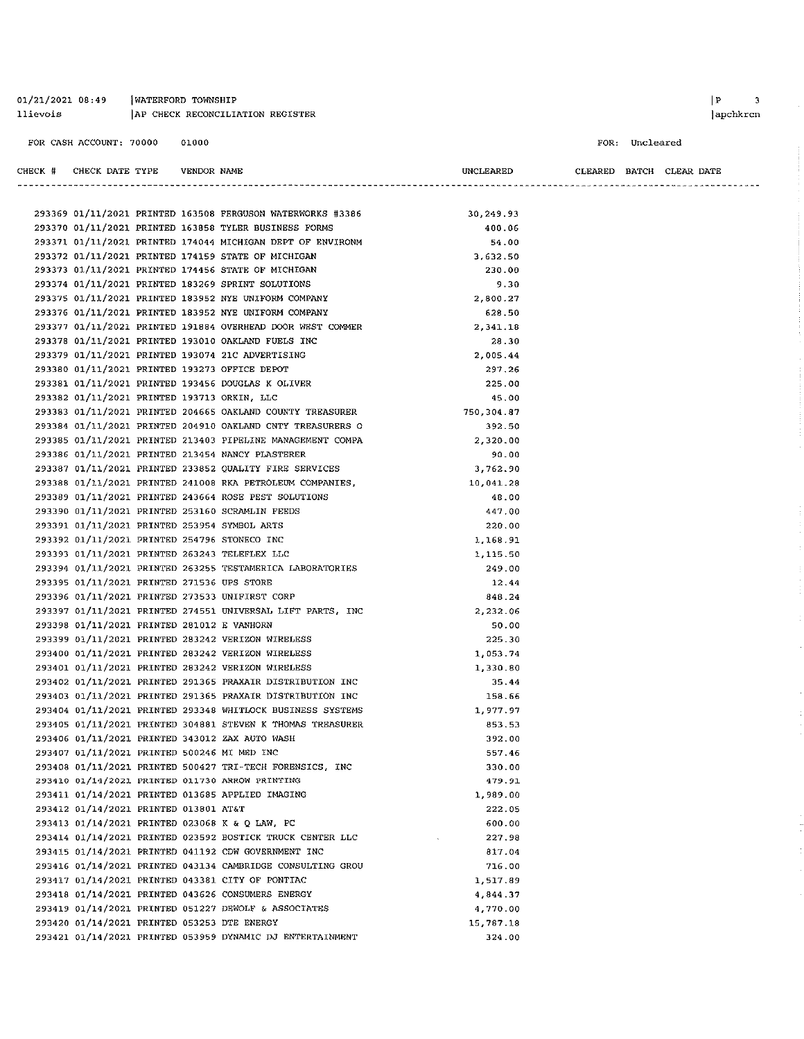| 01/21/2021 08:49 |  | <b>WATERFORD TOWNSHIP</b>        |  |
|------------------|--|----------------------------------|--|
| llievois         |  | AP CHECK RECONCILIATION REGISTER |  |

CHECK # CHECK DATE TYPE VENDOR NAME

FOR: Uncleared

CLEARED BATCH CLEAR DATE

UNCLEARED

|                                             |  | 293369 01/11/2021 PRINTED 163508 FERGUSON WATERWORKS #3386 | 30,249.93  |
|---------------------------------------------|--|------------------------------------------------------------|------------|
|                                             |  | 293370 01/11/2021 PRINTED 163858 TYLER BUSINESS FORMS      | 400.06     |
|                                             |  | 293371 01/11/2021 PRINTED 174044 MICHIGAN DEPT OF ENVIRONM | 54.00      |
|                                             |  | 293372 01/11/2021 PRINTED 174159 STATE OF MICHIGAN         | 3,632.50   |
|                                             |  | 293373 01/11/2021 PRINTED 174456 STATE OF MICHIGAN         | 230.00     |
|                                             |  | 293374 01/11/2021 PRINTED 183269 SPRINT SOLUTIONS          | 9.30       |
|                                             |  | 293375 01/11/2021 PRINTED 183952 NYE UNIFORM COMPANY       | 2,800.27   |
|                                             |  | 293376 01/11/2021 PRINTED 183952 NYE UNIFORM COMPANY       | 628.50     |
|                                             |  | 293377 01/11/2021 PRINTED 191884 OVERHEAD DOOR WEST COMMER | 2,341.18   |
|                                             |  | 293378 01/11/2021 PRINTED 193010 OAKLAND FUELS INC         | 28.30      |
|                                             |  | 293379 01/11/2021 PRINTED 193074 21C ADVERTISING           | 2,005.44   |
|                                             |  | 293380 01/11/2021 PRINTED 193273 OFFICE DEPOT              | 297.26     |
|                                             |  | 293381 01/11/2021 PRINTED 193456 DOUGLAS K OLIVER          | 225.00     |
| 293382 01/11/2021 PRINTED 193713 ORKIN, LLC |  |                                                            | 45.00      |
|                                             |  | 293383 01/11/2021 PRINTED 204665 OAKLAND COUNTY TREASURER  | 750,304.87 |
|                                             |  | 293384 01/11/2021 PRINTED 204910 OAKLAND CNTY TREASURERS O | 392.50     |
|                                             |  | 293385 01/11/2021 PRINTED 213403 PIPELINE MANAGEMENT COMPA | 2,320.00   |
|                                             |  | 293386 01/11/2021 PRINTED 213454 NANCY PLASTERER           | 90.00      |
|                                             |  | 293387 01/11/2021 PRINTED 233852 QUALITY FIRE SERVICES     | 3,762.90   |
|                                             |  | 293388 01/11/2021 PRINTED 241008 RKA PETROLEUM COMPANIES.  | 10,041.28  |
|                                             |  | 293389 01/11/2021 PRINTED 243664 ROSE PEST SOLUTIONS       | 48.00      |
|                                             |  | 293390 01/11/2021 PRINTED 253160 SCRAMLIN FEEDS            | 447.00     |
|                                             |  | 293391 01/11/2021 PRINTED 253954 SYMBOL ARTS               | 220.00     |
|                                             |  | 293392 01/11/2021 PRINTED 254796 STONECO INC               | 1.168.91   |
|                                             |  | 293393 01/11/2021 PRINTED 263243 TELEFLEX LLC              | 1,115.50   |
|                                             |  | 293394 01/11/2021 PRINTED 263255 TESTAMERICA LABORATORIES  | 249.00     |
| 293395 01/11/2021 PRINTED 271536 UPS STORE  |  |                                                            | 12.44      |
|                                             |  | 293396 01/11/2021 PRINTED 273533 UNIFIRST CORP             | 848.24     |
|                                             |  | 293397 01/11/2021 PRINTED 274551 UNIVERSAL LIFT PARTS, INC | 2,232.06   |
| 293398 01/11/2021 PRINTED 281012 E VANHORN  |  |                                                            | 50.00      |
|                                             |  | 293399 01/11/2021 PRINTED 283242 VERIZON WIRELESS          | 225.30     |
|                                             |  | 293400 01/11/2021 PRINTED 283242 VERIZON WIRELESS          | 1 053 74   |
|                                             |  | 293401 01/11/2021 PRINTED 283242 VERIZON WIRELESS          | 1,330.80   |
|                                             |  | 293402 01/11/2021 PRINTED 291365 PRAXAIR DISTRIBUTION INC  | 35.44      |
|                                             |  | 293403 01/11/2021 PRINTED 291365 PRAXAIR DISTRIBUTION INC  | 158.66     |
|                                             |  | 293404 01/11/2021 PRINTED 293348 WHITLOCK BUSINESS SYSTEMS | 1.977.97   |
|                                             |  | 293405 01/11/2021 PRINTED 304881 STEVEN K THOMAS TREASURER | 853.53     |
|                                             |  | 293406 01/11/2021 PRINTED 343012 ZAX AUTO WASH             | 392.00     |
| 293407 01/11/2021 PRINTED 500246 MI MED INC |  |                                                            | 557.46     |
|                                             |  | 293408 01/11/2021 PRINTED 500427 TRI-TECH FORENSICS, INC   | 330.00     |
|                                             |  | 293410 01/14/2021 PRINTED 011730 ARROW PRINTING            | 479.91     |
|                                             |  | 293411 01/14/2021 PRINTED 013685 APPLIED IMAGING           | 1,989.00   |
| 293412 01/14/2021 PRINTED 013801 AT&T       |  |                                                            | 222.05     |
|                                             |  | 293413 01/14/2021 PRINTED 023068 K & Q LAW, PC             | 600.00     |
|                                             |  | 293414 01/14/2021 PRINTED 023592 BOSTICK TRUCK CENTER LLC  | 227,98     |
|                                             |  | 293415 01/14/2021 PRINTED 041192 CDW GOVERNMENT INC        | 817.04     |
|                                             |  | 293416 01/14/2021 PRINTED 043134 CAMBRIDGE CONSULTING GROU | 716.00     |
|                                             |  | 293417 01/14/2021 PRINTED 043381 CITY OF PONTIAC           | 1,517.89   |
|                                             |  | 293418 01/14/2021 PRINTED 043626 CONSUMERS ENERGY          | 4,844.37   |
|                                             |  | 293419 01/14/2021 PRINTED 051227 DEWOLF & ASSOCIATES       | 4,770.00   |
|                                             |  | 293420 01/14/2021 PRINTED 053253 DTE ENERGY                | 15,787.18  |
|                                             |  | 293421 01/14/2021 PRINTED 053959 DYNAMIC DJ ENTERTAINMENT  | 324.00     |
|                                             |  |                                                            |            |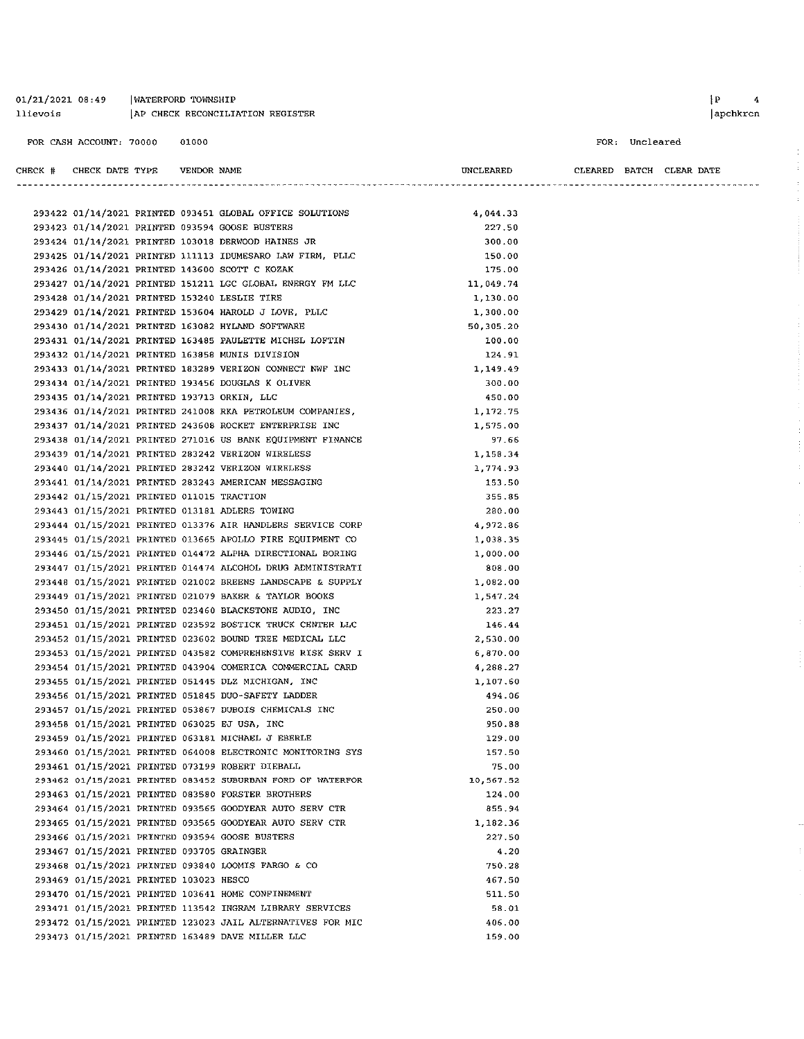01/21/2021 08:49 | WATERFORD TOWNSHIP AP CHECK RECONCILIATION REGISTER llievois

Ļ.

FOR: Uncleared

| CHECK # | CHECK DATE TYPE VENDOR NAME                 |  |                                                            | <b>UNCLEARED</b><br>--------------- |  | CLEARED BATCH CLEAR DATE |  |
|---------|---------------------------------------------|--|------------------------------------------------------------|-------------------------------------|--|--------------------------|--|
|         |                                             |  |                                                            |                                     |  |                          |  |
|         |                                             |  | 293422 01/14/2021 PRINTED 093451 GLOBAL OFFICE SOLUTIONS   | 4,044.33                            |  |                          |  |
|         |                                             |  | 293423 01/14/2021 PRINTED 093594 GOOSE BUSTERS             | 227.50                              |  |                          |  |
|         |                                             |  | 293424 01/14/2021 PRINTED 103018 DERWOOD HAINES JR         | 300.00                              |  |                          |  |
|         |                                             |  | 293425 01/14/2021 PRINTED 111113 IDUMESARO LAW FIRM, PLLC  | 150.00                              |  |                          |  |
|         |                                             |  | 293426 01/14/2021 PRINTED 143600 SCOTT C KOZAK             | 175.00                              |  |                          |  |
|         |                                             |  | 293427 01/14/2021 PRINTED 151211 LGC GLOBAL ENERGY FM LLC  | 11,049.74                           |  |                          |  |
|         |                                             |  | 293428 01/14/2021 PRINTED 153240 LESLIE TIRE               | 1,130.00                            |  |                          |  |
|         |                                             |  | 293429 01/14/2021 PRINTED 153604 HAROLD J LOVE, PLLC       | 1,300.00                            |  |                          |  |
|         |                                             |  | 293430 01/14/2021 PRINTED 163082 HYLAND SOFTWARE           | 50,305.20                           |  |                          |  |
|         |                                             |  | 293431 01/14/2021 PRINTED 163485 PAULETTE MICHEL LOFTIN    | 100.00                              |  |                          |  |
|         |                                             |  | 293432 01/14/2021 PRINTED 163858 MUNIS DIVISION            | 124.91                              |  |                          |  |
|         |                                             |  | 293433 01/14/2021 PRINTED 183289 VERIZON CONNECT NWF INC   | 1,149.49                            |  |                          |  |
|         |                                             |  | 293434 01/14/2021 PRINTED 193456 DOUGLAS K OLIVER          | 300.00                              |  |                          |  |
|         | 293435 01/14/2021 PRINTED 193713 ORKIN, LLC |  |                                                            | 450.00                              |  |                          |  |
|         |                                             |  | 293436 01/14/2021 PRINTED 241008 RKA PETROLEUM COMPANIES,  | 1,172.75                            |  |                          |  |
|         |                                             |  | 293437 01/14/2021 PRINTED 243608 ROCKET ENTERPRISE INC     | 1,575.00                            |  |                          |  |
|         |                                             |  | 293438 01/14/2021 PRINTED 271016 US BANK EQUIPMENT FINANCE | 97.66                               |  |                          |  |
|         |                                             |  | 293439 01/14/2021 PRINTED 283242 VERIZON WIRELESS          | 1,158.34                            |  |                          |  |
|         |                                             |  | 293440 01/14/2021 PRINTED 283242 VERIZON WIRELESS          | 1,774.93                            |  |                          |  |
|         |                                             |  | 293441 01/14/2021 PRINTED 283243 AMERICAN MESSAGING        | 153.50                              |  |                          |  |
|         | 293442 01/15/2021 PRINTED 011015 TRACTION   |  |                                                            | 355.85                              |  |                          |  |
|         |                                             |  | 293443 01/15/2021 PRINTED 013181 ADLERS TOWING             | 280.00                              |  |                          |  |
|         |                                             |  | 293444 01/15/2021 PRINTED 013376 AIR HANDLERS SERVICE CORP | 4,972.86                            |  |                          |  |
|         |                                             |  | 293445 01/15/2021 PRINTED 013665 APOLLO FIRE EQUIPMENT CO  | 1,038.35                            |  |                          |  |
|         |                                             |  | 293446 01/15/2021 PRINTED 014472 ALPHA DIRECTIONAL BORING  | 1,000.00                            |  |                          |  |
|         |                                             |  | 293447 01/15/2021 PRINTED 014474 ALCOHOL DRUG ADMINISTRATI | 808.00                              |  |                          |  |
|         |                                             |  | 293448 01/15/2021 PRINTED 021002 BREENS LANDSCAPE & SUPPLY | 1,082.00                            |  |                          |  |
|         |                                             |  | 293449 01/15/2021 PRINTED 021079 BAKER & TAYLOR BOOKS      | 1,547.24                            |  |                          |  |
|         |                                             |  | 293450 01/15/2021 PRINTED 023460 BLACKSTONE AUDIO, INC     | 223.27                              |  |                          |  |
|         |                                             |  | 293451 01/15/2021 PRINTED 023592 BOSTICK TRUCK CENTER LLC  | 146.44                              |  |                          |  |
|         |                                             |  | 293452 01/15/2021 PRINTED 023602 BOUND TREE MEDICAL LLC    | 2,530.00                            |  |                          |  |
|         |                                             |  | 293453 01/15/2021 PRINTED 043582 COMPREHENSIVE RISK SERV I | 6.870.00                            |  |                          |  |
|         |                                             |  | 293454 01/15/2021 PRINTED 043904 COMERICA COMMERCIAL CARD  | 4, 288.27                           |  |                          |  |
|         |                                             |  | 293455 01/15/2021 PRINTED 051445 DLZ MICHIGAN, INC         | 1,107.60                            |  |                          |  |
|         |                                             |  | 293456 01/15/2021 PRINTED 051845 DUO-SAFETY LADDER         | 494.06                              |  |                          |  |
|         |                                             |  | 293457 01/15/2021 PRINTED 053867 DUBOIS CHEMICALS INC      | 250.00                              |  |                          |  |
|         |                                             |  | 293458 01/15/2021 PRINTED 063025 EJ USA, INC               | 950.88                              |  |                          |  |
|         |                                             |  | 293459 01/15/2021 PRINTED 063181 MICHAEL J EBERLE          | 129.00                              |  |                          |  |
|         |                                             |  | 293460 01/15/2021 PRINTED 064008 ELECTRONIC MONITORING SYS | 157.50                              |  |                          |  |
|         |                                             |  | 293461 01/15/2021 PRINTED 073199 ROBERT DIEBALL            | 75.00                               |  |                          |  |
|         |                                             |  | 293462 01/15/2021 PRINTED 083452 SUBURBAN FORD OF WATERFOR |                                     |  |                          |  |
|         |                                             |  | 293463 01/15/2021 PRINTED 083580 FORSTER BROTHERS          | 10,567.52                           |  |                          |  |
|         |                                             |  | 293464 01/15/2021 PRINTED 093565 GOODYEAR AUTO SERV CTR    | 124.00                              |  |                          |  |
|         |                                             |  |                                                            | 855.94                              |  |                          |  |
|         |                                             |  | 293465 01/15/2021 PRINTED 093565 GOODYEAR AUTO SERV CTR    | 1, 182.36                           |  |                          |  |
|         |                                             |  | 293466 01/15/2021 PRINTED 093594 GOOSE BUSTERS             | 227.50                              |  |                          |  |
|         | 293467 01/15/2021 PRINTED 093705 GRAINGER   |  |                                                            | 4.20                                |  |                          |  |
|         |                                             |  | 293468 01/15/2021 PRINTED 093840 LOOMIS FARGO & CO         | 750.28                              |  |                          |  |
|         | 293469 01/15/2021 PRINTED 103023 HESCO      |  |                                                            | 467.50                              |  |                          |  |
|         |                                             |  | 293470 01/15/2021 PRINTED 103641 HOME CONFINEMENT          | 511.50                              |  |                          |  |
|         |                                             |  | 293471 01/15/2021 PRINTED 113542 INGRAM LIBRARY SERVICES   | 58.01                               |  |                          |  |
|         |                                             |  | 293472 01/15/2021 PRINTED 123023 JAIL ALTERNATIVES FOR MIC | 406.00                              |  |                          |  |
|         |                                             |  | 293473 01/15/2021 PRINTED 163489 DAVE MILLER LLC           | 159.00                              |  |                          |  |